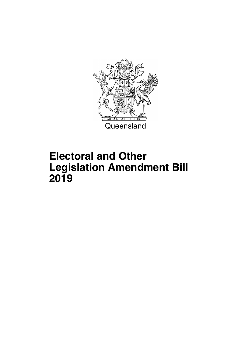

## **Electoral and Other Legislation Amendment Bill 2019**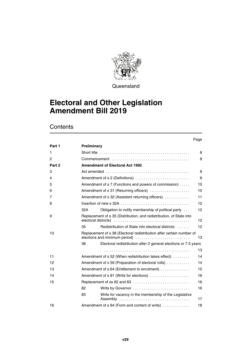

**Queensland** 

### **Electoral and Other Legislation Amendment Bill 2019**

### **Contents**

#### Page

| Part 1 | <b>Preliminary</b>                                                                                     |                                                                                                   |                 |  |  |
|--------|--------------------------------------------------------------------------------------------------------|---------------------------------------------------------------------------------------------------|-----------------|--|--|
| 1      |                                                                                                        |                                                                                                   |                 |  |  |
| 2      |                                                                                                        |                                                                                                   |                 |  |  |
| Part 2 |                                                                                                        | <b>Amendment of Electoral Act 1992</b>                                                            |                 |  |  |
| 3      |                                                                                                        | Act amended $\ldots \ldots \ldots \ldots \ldots \ldots \ldots \ldots \ldots \ldots \ldots \ldots$ | 8               |  |  |
| 4      |                                                                                                        | Amendment of s 2 (Definitions)                                                                    | 8               |  |  |
| 5      |                                                                                                        | Amendment of s 7 (Functions and powers of commission)                                             | 10              |  |  |
| 6      |                                                                                                        | Amendment of s 31 (Returning officers)                                                            | 10              |  |  |
| 7      |                                                                                                        | Amendment of s 32 (Assistant returning officers)                                                  | 11              |  |  |
| 8      |                                                                                                        |                                                                                                   | 12 <sup>2</sup> |  |  |
|        | 32A                                                                                                    | Obligation to notify membership of political party                                                | 12              |  |  |
| 9      |                                                                                                        | Replacement of s 35 (Distribution, and redistribution, of State into                              | 12 <sup>2</sup> |  |  |
|        | 35                                                                                                     | Redistribution of State into electoral districts                                                  | 12              |  |  |
| 10     | Replacement of s 38 (Electoral redistribution after certain number of<br>elections and minimum period) |                                                                                                   |                 |  |  |
|        | 38                                                                                                     | Electoral redistribution after 2 general elections or 7.5 years                                   |                 |  |  |
|        |                                                                                                        |                                                                                                   | 13              |  |  |
| 11     |                                                                                                        | Amendment of s 52 (When redistribution takes effect)                                              | 14              |  |  |
| 12     |                                                                                                        | Amendment of s 59 (Preparation of electoral rolls)                                                | 14              |  |  |
| 13     |                                                                                                        | Amendment of s 64 (Entitlement to enrolment)                                                      | 15              |  |  |
| 14     |                                                                                                        | Amendment of s 81 (Writs for elections)                                                           | 16              |  |  |
| 15     |                                                                                                        | Replacement of ss 82 and 83                                                                       | 16              |  |  |
|        | 82                                                                                                     | Writs by Governor                                                                                 | 16              |  |  |
|        | 83                                                                                                     | Writs for vacancy in the membership of the Legislative                                            | 17              |  |  |
| 16     |                                                                                                        | Amendment of s 84 (Form and content of writs)                                                     | 18              |  |  |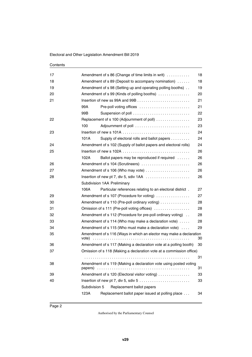| 17 |                                                                    | Amendment of s 86 (Change of time limits in writ)                    | 18 |  |  |  |
|----|--------------------------------------------------------------------|----------------------------------------------------------------------|----|--|--|--|
| 18 | 18<br>Amendment of s 89 (Deposit to accompany nomination)          |                                                                      |    |  |  |  |
| 19 | 19<br>Amendment of s 98 (Setting up and operating polling booths). |                                                                      |    |  |  |  |
| 20 | Amendment of s 99 (Kinds of polling booths)<br>20                  |                                                                      |    |  |  |  |
| 21 | 21                                                                 |                                                                      |    |  |  |  |
|    | 99A                                                                | Pre-poll voting offices                                              | 21 |  |  |  |
|    | 99B                                                                | Suspension of poll                                                   | 22 |  |  |  |
| 22 |                                                                    | Replacement of s 100 (Adjournment of poll)                           | 23 |  |  |  |
|    | 100                                                                |                                                                      | 23 |  |  |  |
| 23 |                                                                    |                                                                      | 24 |  |  |  |
|    | 101A                                                               | Supply of electoral rolls and ballot papers                          | 24 |  |  |  |
| 24 |                                                                    | Amendment of s 102 (Supply of ballot papers and electoral rolls)     | 24 |  |  |  |
| 25 |                                                                    |                                                                      | 26 |  |  |  |
|    | 102A                                                               | Ballot papers may be reproduced if required                          | 26 |  |  |  |
| 26 |                                                                    | Amendment of s 104 (Scrutineers)                                     | 26 |  |  |  |
| 27 |                                                                    | Amendment of s 106 (Who may vote)                                    | 26 |  |  |  |
| 28 | Insertion of new pt 7, div 5, sdiv 1AA<br>26                       |                                                                      |    |  |  |  |
|    |                                                                    | Subdivision 1AA Preliminary                                          |    |  |  |  |
|    | 106A                                                               | Particular references relating to an electoral district.             | 27 |  |  |  |
| 29 |                                                                    | Amendment of s 107 (Procedure for voting)                            | 27 |  |  |  |
| 30 |                                                                    | Amendment of s 110 (Pre-poll ordinary voting)                        | 28 |  |  |  |
| 31 |                                                                    | Omission of s 111 (Pre-poll voting offices)                          | 28 |  |  |  |
| 32 |                                                                    | Amendment of s 112 (Procedure for pre-poll ordinary voting)          | 28 |  |  |  |
| 33 |                                                                    | Amendment of s 114 (Who may make a declaration vote)                 | 28 |  |  |  |
| 34 |                                                                    | Amendment of s 115 (Who must make a declaration vote)                | 29 |  |  |  |
| 35 |                                                                    | Amendment of s 116 (Ways in which an elector may make a declaration  |    |  |  |  |
|    | vote)                                                              |                                                                      | 30 |  |  |  |
| 36 |                                                                    | Amendment of s 117 (Making a declaration vote at a polling booth)    | 30 |  |  |  |
| 37 |                                                                    | Omission of s 118 (Making a declaration vote at a commission office) |    |  |  |  |
|    |                                                                    |                                                                      | 31 |  |  |  |
| 38 | papers)                                                            | Amendment of s 119 (Making a declaration vote using posted voting    | 31 |  |  |  |
| 39 |                                                                    | Amendment of s 120 (Electoral visitor voting)                        | 33 |  |  |  |
| 40 |                                                                    |                                                                      | 33 |  |  |  |
|    | Subdivision 5                                                      | Replacement ballot papers                                            |    |  |  |  |
|    | 123A                                                               | Replacement ballot paper issued at polling place                     | 34 |  |  |  |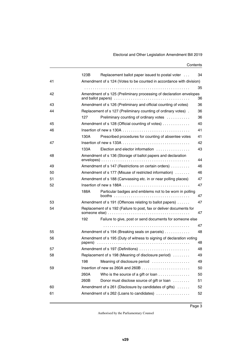#### Electoral and Other Legislation Amendment Bill 2019

|    | 123B | Replacement ballot paper issued to postal voter                      | 34 |
|----|------|----------------------------------------------------------------------|----|
| 41 |      | Amendment of s 124 (Votes to be counted in accordance with division) |    |
|    |      |                                                                      | 35 |
| 42 |      | Amendment of s 125 (Preliminary processing of declaration envelopes  | 36 |
| 43 |      | Amendment of s 126 (Preliminary and official counting of votes)      | 36 |
| 44 |      | Replacement of s 127 (Preliminary counting of ordinary votes).       | 36 |
|    | 127  | Preliminary counting of ordinary votes                               | 36 |
| 45 |      | Amendment of s 128 (Official counting of votes)                      | 40 |
| 46 |      |                                                                      | 41 |
|    | 130A | Prescribed procedures for counting of absentee votes                 | 41 |
| 47 |      |                                                                      | 42 |
|    | 133A | Election and elector information                                     | 43 |
| 48 |      | Amendment of s 136 (Storage of ballot papers and declaration         | 44 |
| 49 |      | Amendment of s 147 (Restrictions on certain orders)                  | 46 |
| 50 |      | Amendment of s 177 (Misuse of restricted information)                | 46 |
| 51 |      | Amendment of s 188 (Canvassing etc. in or near polling places)       | 47 |
| 52 |      |                                                                      | 47 |
|    | 188A | Particular badges and emblems not to be worn in polling              | 47 |
| 53 |      | Amendment of s 191 (Offences relating to ballot papers)              | 47 |
| 54 |      | Replacement of s 192 (Failure to post, fax or deliver documents for  | 47 |
|    | 192  | Failure to give, post or send documents for someone else             |    |
|    |      |                                                                      | 47 |
| 55 |      | Amendment of s 194 (Breaking seals on parcels)                       | 48 |
| 56 |      | Amendment of s 195 (Duty of witness to signing of declaration voting | 48 |
| 57 |      | Amendment of s 197 (Definitions)                                     | 48 |
| 58 |      | Replacement of s 198 (Meaning of disclosure period)                  | 49 |
|    |      | 198 Meaning of disclosure period                                     | 49 |
| 59 |      |                                                                      | 50 |
|    | 260A | Who is the source of a gift or loan                                  | 50 |
|    | 260B | Donor must disclose source of gift or loan                           | 51 |
| 60 |      | Amendment of s 261 (Disclosure by candidates of gifts)               | 52 |
| 61 |      | Amendment of s 262 (Loans to candidates)                             | 52 |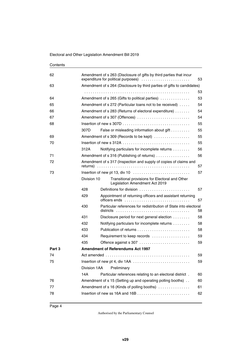| Contents |
|----------|
|----------|

| 62     | Amendment of s 263 (Disclosure of gifts by third parties that incur<br>expenditure for political purposes)<br>53 |                                                                                   |    |  |  |  |
|--------|------------------------------------------------------------------------------------------------------------------|-----------------------------------------------------------------------------------|----|--|--|--|
| 63     |                                                                                                                  | Amendment of s 264 (Disclosure by third parties of gifts to candidates)           |    |  |  |  |
|        |                                                                                                                  |                                                                                   | 53 |  |  |  |
| 64     | Amendment of s 265 (Gifts to political parties)<br>53                                                            |                                                                                   |    |  |  |  |
| 65     | Amendment of s 272 (Particular loans not to be received)<br>54                                                   |                                                                                   |    |  |  |  |
| 66     |                                                                                                                  | Amendment of s 283 (Returns of electoral expenditure)                             | 54 |  |  |  |
| 67     |                                                                                                                  | Amendment of s 307 (Offences)                                                     | 54 |  |  |  |
| 68     |                                                                                                                  |                                                                                   | 55 |  |  |  |
|        | 307D                                                                                                             | False or misleading information about gift                                        | 55 |  |  |  |
| 69     |                                                                                                                  | Amendment of s 309 (Records to be kept)                                           | 55 |  |  |  |
| 70     |                                                                                                                  |                                                                                   | 55 |  |  |  |
|        | 312A                                                                                                             | Notifying particulars for incomplete returns                                      | 56 |  |  |  |
| 71     |                                                                                                                  | Amendment of s 316 (Publishing of returns)                                        | 56 |  |  |  |
| 72     |                                                                                                                  | Amendment of s 317 (Inspection and supply of copies of claims and                 | 57 |  |  |  |
| 73     |                                                                                                                  | Insertion of new pt 13, div 10                                                    | 57 |  |  |  |
|        | Division 10                                                                                                      | Transitional provisions for Electoral and Other<br>Legislation Amendment Act 2019 |    |  |  |  |
|        | 428                                                                                                              | Definitions for division                                                          | 57 |  |  |  |
|        | 429                                                                                                              | Appointment of returning officers and assistant returning                         | 57 |  |  |  |
|        | 430                                                                                                              | Particular references for redistribution of State into electoral                  | 58 |  |  |  |
|        | 431                                                                                                              | Disclosure period for next general election                                       | 58 |  |  |  |
|        | 432                                                                                                              | Notifying particulars for incomplete returns                                      | 58 |  |  |  |
|        | 433                                                                                                              |                                                                                   | 58 |  |  |  |
|        | 434                                                                                                              | Requirement to keep records                                                       | 59 |  |  |  |
|        | 435                                                                                                              | Offence against s 307                                                             | 59 |  |  |  |
| Part 3 |                                                                                                                  | <b>Amendment of Referendums Act 1997</b>                                          |    |  |  |  |
| 74     |                                                                                                                  |                                                                                   | 59 |  |  |  |
| 75     |                                                                                                                  | Insertion of new pt 4, div 1AA                                                    | 59 |  |  |  |
|        | Division 1AA                                                                                                     | Preliminary                                                                       |    |  |  |  |
|        | 14A                                                                                                              | Particular references relating to an electoral district.                          | 60 |  |  |  |
| 76     |                                                                                                                  | Amendment of s 15 (Setting up and operating polling booths)                       | 60 |  |  |  |
| 77     |                                                                                                                  | Amendment of s 16 (Kinds of polling booths)                                       | 61 |  |  |  |
| 78     | 62                                                                                                               |                                                                                   |    |  |  |  |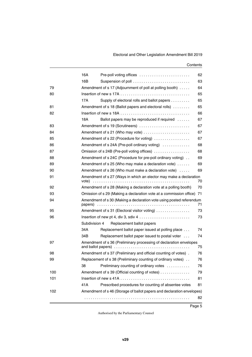|     | 16A           | Pre-poll voting offices                                                   | 62 |  |  |  |  |
|-----|---------------|---------------------------------------------------------------------------|----|--|--|--|--|
|     | 16B           | Suspension of poll                                                        | 63 |  |  |  |  |
| 79  |               | Amendment of s 17 (Adjournment of poll at polling booth)<br>64            |    |  |  |  |  |
| 80  |               |                                                                           | 65 |  |  |  |  |
|     | 17A           | Supply of electoral rolls and ballot papers                               | 65 |  |  |  |  |
| 81  |               | Amendment of s 18 (Ballot papers and electoral rolls)                     | 65 |  |  |  |  |
| 82  |               |                                                                           | 66 |  |  |  |  |
|     | 18A           | Ballot papers may be reproduced if required                               | 67 |  |  |  |  |
| 83  |               | Amendment of s 19 (Scrutineers)                                           | 67 |  |  |  |  |
| 84  |               | Amendment of s 21 (Who may vote)                                          | 67 |  |  |  |  |
| 85  |               | Amendment of s 22 (Procedure for voting)                                  | 67 |  |  |  |  |
| 86  |               | Amendment of s 24A (Pre-poll ordinary voting)                             | 68 |  |  |  |  |
| 87  |               | Omission of s 24B (Pre-poll voting offices)                               | 68 |  |  |  |  |
| 88  |               | Amendment of s 24C (Procedure for pre-poll ordinary voting).              | 69 |  |  |  |  |
| 89  |               | Amendment of $s$ 25 (Who may make a declaration vote) $\dots$ .           | 69 |  |  |  |  |
| 90  |               | Amendment of s 26 (Who must make a declaration vote)                      | 69 |  |  |  |  |
| 91  |               | Amendment of s 27 (Ways in which an elector may make a declaration        | 70 |  |  |  |  |
| 92  |               | Amendment of s 28 (Making a declaration vote at a polling booth)          | 70 |  |  |  |  |
| 93  |               | Omission of s 29 (Making a declaration vote at a commission office)<br>71 |    |  |  |  |  |
| 94  | papers)       | Amendment of s 30 (Making a declaration vote using posted referendum      | 71 |  |  |  |  |
| 95  |               | Amendment of s 31 (Electoral visitor voting)                              | 73 |  |  |  |  |
| 96  |               |                                                                           | 73 |  |  |  |  |
|     | Subdivision 4 | Replacement ballot papers                                                 |    |  |  |  |  |
|     | 34A           | Replacement ballot paper issued at polling place                          | 74 |  |  |  |  |
|     | 34B           | Replacement ballot paper issued to postal voter                           | 74 |  |  |  |  |
| 97  |               | Amendment of s 36 (Preliminary processing of declaration envelopes        | 75 |  |  |  |  |
| 98  |               | Amendment of s 37 (Preliminary and official counting of votes).           | 76 |  |  |  |  |
| 99  |               | Replacement of s 38 (Preliminary counting of ordinary votes)              | 76 |  |  |  |  |
|     | 38            | Preliminary counting of ordinary votes                                    | 76 |  |  |  |  |
| 100 |               | Amendment of s 39 (Official counting of votes)                            | 79 |  |  |  |  |
| 101 |               |                                                                           | 81 |  |  |  |  |
|     | 41 A          | Prescribed procedures for counting of absentee votes                      | 81 |  |  |  |  |
| 102 |               | Amendment of s 46 (Storage of ballot papers and declaration envelopes)    |    |  |  |  |  |
|     |               |                                                                           | 82 |  |  |  |  |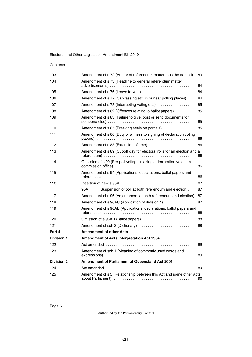| 103               | Amendment of s 72 (Author of referendum matter must be named)                                     | 83 |  |  |  |  |  |  |
|-------------------|---------------------------------------------------------------------------------------------------|----|--|--|--|--|--|--|
| 104               | Amendment of s 73 (Headline to general referendum matter                                          | 84 |  |  |  |  |  |  |
|                   |                                                                                                   | 84 |  |  |  |  |  |  |
| 105               | Amendment of s 76 (Leave to vote)                                                                 | 84 |  |  |  |  |  |  |
| 106               | Amendment of s 77 (Canvassing etc. in or near polling places).                                    |    |  |  |  |  |  |  |
| 107               | Amendment of s 78 (Interrupting voting etc.)                                                      | 85 |  |  |  |  |  |  |
| 108               | Amendment of s 82 (Offences relating to ballot papers)                                            | 85 |  |  |  |  |  |  |
| 109               | Amendment of s 83 (Failure to give, post or send documents for                                    | 85 |  |  |  |  |  |  |
| 110               | Amendment of s 85 (Breaking seals on parcels)                                                     | 85 |  |  |  |  |  |  |
| 111               | Amendment of s 86 (Duty of witness to signing of declaration voting                               | 86 |  |  |  |  |  |  |
| 112               | Amendment of s 88 (Extension of time)                                                             | 86 |  |  |  |  |  |  |
| 113               | Amendment of s 89 (Cut-off day for electoral rolls for an election and a                          | 86 |  |  |  |  |  |  |
| 114               | Omission of s 90 (Pre-poll voting-making a declaration vote at a                                  | 86 |  |  |  |  |  |  |
| 115               | Amendment of s 94 (Applications, declarations, ballot papers and                                  | 86 |  |  |  |  |  |  |
| 116               | Insertion of new s 95A $\ldots$ , $\ldots$ , $\ldots$ , $\ldots$ , $\ldots$ , $\ldots$ , $\ldots$ | 87 |  |  |  |  |  |  |
|                   | 95A<br>Suspension of poll at both referendum and election.                                        | 87 |  |  |  |  |  |  |
| 117               | Amendment of s 96 (Adjournment at both referendum and election)                                   | 87 |  |  |  |  |  |  |
| 118               | Amendment of s 96AC (Application of division 1)                                                   | 87 |  |  |  |  |  |  |
| 119               | Amendment of s 96AE (Applications, declarations, ballot papers and                                | 88 |  |  |  |  |  |  |
| 120               | Omission of s 96AH (Ballot papers)                                                                | 88 |  |  |  |  |  |  |
| 121               | Amendment of sch 3 (Dictionary)                                                                   | 88 |  |  |  |  |  |  |
| Part 4            | <b>Amendment of other Acts</b>                                                                    |    |  |  |  |  |  |  |
| <b>Division 1</b> | Amendment of Acts Interpretation Act 1954                                                         |    |  |  |  |  |  |  |
| 122               |                                                                                                   | 89 |  |  |  |  |  |  |
| 123               | Amendment of sch 1 (Meaning of commonly used words and                                            | 89 |  |  |  |  |  |  |
| <b>Division 2</b> | <b>Amendment of Parliament of Queensland Act 2001</b>                                             |    |  |  |  |  |  |  |
| 124               |                                                                                                   | 89 |  |  |  |  |  |  |
| 125               | Amendment of s 5 (Relationship between this Act and some other Acts                               | 90 |  |  |  |  |  |  |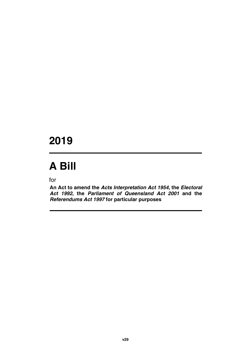### **2019**

# **A Bill**

for

**An Act to amend the** *Acts Interpretation Act 1954***, the** *Electoral Act 1992***, the** *Parliament of Queensland Act 2001* **and the** *Referendums Act 1997* **for particular purposes**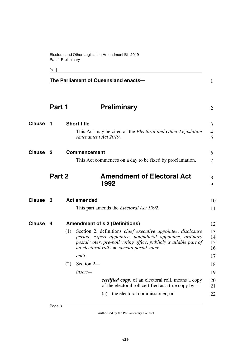<span id="page-9-7"></span><span id="page-9-5"></span><span id="page-9-3"></span><span id="page-9-1"></span><span id="page-9-0"></span> $[s 1]$ 

<span id="page-9-11"></span><span id="page-9-10"></span><span id="page-9-9"></span><span id="page-9-8"></span><span id="page-9-6"></span><span id="page-9-4"></span><span id="page-9-2"></span>**The Parliament of Queensland enacts— Part 1** Preliminary **1 Short title** This Act may be cited as the *Electoral and Other Legislation Amendment Act 2019*. **2** Commencement 6 This Act commences on a day to be fixed by proclamation. **Part 2 Amendment of Electoral Act 1992 Clause 3** Act amended 10 This part amends the *Electoral Act 1992*. **4 Amendment of s 2 (Definitions) Clause** 12 (1) Section 2, definitions *chief executive appointee*, *disclosure period*, *expert appointee*, *nonjudicial appointee*, *ordinary postal voter*, *pre-poll voting office*, *publicly available part of an electoral roll* and *special postal voter omit.* (2) Section 2 *insert certified copy*, of an electoral roll, means a copy of the electoral roll certified as a true copy by— (a) the electoral commissioner; or 1 2 **Clause 1** Short title 3 4 5 7 8 9 11 13 14 15 16 17 18 19 20 21 22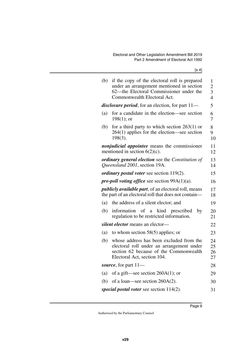[s 4]

| (b) | if the copy of the electoral roll is prepared<br>under an arrangement mentioned in section<br>62—the Electoral Commissioner under the<br>Commonwealth Electoral Act. | 1<br>$\overline{2}$<br>3<br>$\overline{4}$ |
|-----|----------------------------------------------------------------------------------------------------------------------------------------------------------------------|--------------------------------------------|
|     | <i>disclosure period</i> , for an election, for part 11—                                                                                                             | 5                                          |
| (a) | for a candidate in the election—see section<br>$198(1)$ ; or                                                                                                         | 6<br>7                                     |
| (b) | for a third party to which section $263(1)$ or<br>$264(1)$ applies for the election—see section<br>$198(3)$ .                                                        | 8<br>9<br>10                               |
|     | <i>nonjudicial appointee</i> means the commissioner<br>mentioned in section $6(2)(c)$ .                                                                              | 11<br>12                                   |
|     | ordinary general election see the Constitution of<br>Queensland 2001, section 19A.                                                                                   | 13<br>14                                   |
|     | <i>ordinary postal voter see section 119(2).</i>                                                                                                                     | 15                                         |
|     | <i>pre-poll voting office</i> see section $99A(1)(a)$ .                                                                                                              | 16                                         |
|     | <i>publicly available part, of an electoral roll, means</i><br>the part of an electoral roll that does not contain—                                                  | 17<br>18                                   |
|     |                                                                                                                                                                      |                                            |
| (a) | the address of a silent elector; and                                                                                                                                 | 19                                         |
| (b) | information of a<br>kind prescribed<br>by<br>regulation to be restricted information.                                                                                | 20<br>21                                   |
|     | silent elector means an elector-                                                                                                                                     | 22                                         |
| (a) | to whom section $58(5)$ applies; or                                                                                                                                  | 23                                         |
| (b) | whose address has been excluded from the<br>electoral roll under an arrangement under<br>section 62 because of the Commonwealth<br>Electoral Act, section 104.       | 24<br>25<br>26<br>27                       |
|     | source, for part $11-$                                                                                                                                               | 28                                         |
| (a) | of a gift—see section $260A(1)$ ; or                                                                                                                                 | 29                                         |
| (b) | of a loan—see section $260A(2)$ .                                                                                                                                    | 30                                         |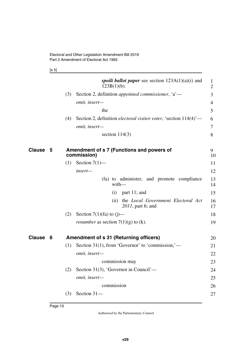<span id="page-11-1"></span>[s 5]

<span id="page-11-3"></span><span id="page-11-2"></span><span id="page-11-0"></span>

|        |   |     | spoilt ballot paper see section $123A(1)(a)(i)$ and<br>$123B(1)(b)$ .    | $\mathbf{1}$<br>$\overline{2}$ |
|--------|---|-----|--------------------------------------------------------------------------|--------------------------------|
|        |   | (3) | Section 2, definition <i>appointed commissioner</i> , 'a'—               | 3                              |
|        |   |     | omit, insert-                                                            | 4                              |
|        |   |     | the                                                                      | 5                              |
|        |   | (4) | Section 2, definition <i>electoral visitor voter</i> , 'section 114(4)'— | 6                              |
|        |   |     | omit, insert-                                                            | 7                              |
|        |   |     | section $114(3)$                                                         | 8                              |
| Clause | 5 |     | Amendment of s 7 (Functions and powers of<br>commission)                 | 9<br>10                        |
|        |   | (1) | Section $7(1)$ —                                                         | 11                             |
|        |   |     | insert-                                                                  | 12                             |
|        |   |     | (fa) to administer, and promote compliance<br>$with$ —                   | 13<br>14                       |
|        |   |     | part 11; and<br>(i)                                                      | 15                             |
|        |   |     | the Local Government Electoral Act<br>(ii)<br>2011, part 6; and          | 16<br>17                       |
|        |   | (2) | Section 7(1)(fa) to $(j)$ —                                              | 18                             |
|        |   |     | <i>renumber</i> as section $7(1)(g)$ to (k).                             | 19                             |
| Clause | 6 |     | <b>Amendment of s 31 (Returning officers)</b>                            | 20                             |
|        |   | (1) | Section 31(1), from 'Governor' to 'commission,'—                         | 21                             |
|        |   |     | omit, insert-                                                            | 22                             |
|        |   |     | commission may                                                           | 23                             |
|        |   | (2) | Section 31(3), 'Governor in Council'—                                    | 24                             |
|        |   |     | omit, insert-                                                            | 25                             |
|        |   |     | commission                                                               | 26                             |
|        |   | (3) | Section 31-                                                              | 27                             |
|        |   |     |                                                                          |                                |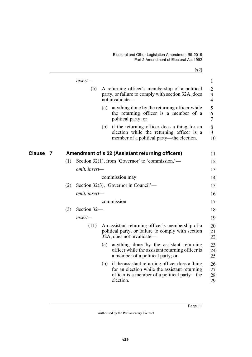<span id="page-12-1"></span><span id="page-12-0"></span>

|                    |     |               |     | [s 7]                                                                                                                                                         |                                       |
|--------------------|-----|---------------|-----|---------------------------------------------------------------------------------------------------------------------------------------------------------------|---------------------------------------|
|                    |     | insert-       |     |                                                                                                                                                               | $\mathbf{1}$                          |
|                    |     | (5)           |     | A returning officer's membership of a political<br>party, or failure to comply with section 32A, does<br>not invalidate-                                      | $\overline{2}$<br>3<br>$\overline{4}$ |
|                    |     |               | (a) | anything done by the returning officer while<br>the returning officer is a member of a<br>political party; or                                                 | 5<br>6<br>$\overline{7}$              |
|                    |     |               | (b) | if the returning officer does a thing for an<br>election while the returning officer is a<br>member of a political party—the election.                        | $8\,$<br>9<br>10                      |
| <b>Clause</b><br>7 |     |               |     | Amendment of s 32 (Assistant returning officers)                                                                                                              | 11                                    |
|                    | (1) |               |     | Section 32(1), from 'Governor' to 'commission,'—                                                                                                              | 12                                    |
|                    |     | omit, insert- |     |                                                                                                                                                               | 13                                    |
|                    |     |               |     | commission may                                                                                                                                                | 14                                    |
|                    | (2) |               |     | Section 32(3), 'Governor in Council'—                                                                                                                         | 15                                    |
|                    |     | omit, insert- |     |                                                                                                                                                               | 16                                    |
|                    |     |               |     | commission                                                                                                                                                    | 17                                    |
|                    | (3) | Section 32-   |     |                                                                                                                                                               | 18                                    |
|                    |     | insert—       |     |                                                                                                                                                               | 19                                    |
|                    |     | (11)          |     | An assistant returning officer's membership of a<br>political party, or failure to comply with section<br>32A, does not invalidate—                           | 20<br>21<br>22                        |
|                    |     |               | (a) | anything done by the assistant returning<br>officer while the assistant returning officer is<br>a member of a political party; or                             | 23<br>24<br>25                        |
|                    |     |               | (b) | if the assistant returning officer does a thing<br>for an election while the assistant returning<br>officer is a member of a political party—the<br>election. | 26<br>27<br>28<br>29                  |
|                    |     |               |     |                                                                                                                                                               |                                       |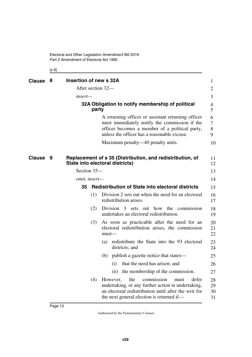Electoral and Other Legislation Amendment Bill 2019 Part 2 Amendment of Electoral Act 1992

<span id="page-13-7"></span><span id="page-13-6"></span><span id="page-13-3"></span><span id="page-13-2"></span><span id="page-13-1"></span><span id="page-13-0"></span>[s 8]

<span id="page-13-5"></span><span id="page-13-4"></span>

| Clause | 8   | Insertion of new s 32A |                                                                                                                                                                                                           | 1                    |
|--------|-----|------------------------|-----------------------------------------------------------------------------------------------------------------------------------------------------------------------------------------------------------|----------------------|
|        |     | After section 32—      |                                                                                                                                                                                                           | 2                    |
|        |     | insert—                |                                                                                                                                                                                                           | 3                    |
|        |     | party                  | 32A Obligation to notify membership of political                                                                                                                                                          | 4<br>5               |
|        |     |                        | A returning officer or assistant returning officer<br>must immediately notify the commission if the<br>officer becomes a member of a political party,<br>unless the officer has a reasonable excuse.      | 6<br>7<br>8<br>9     |
|        |     |                        | Maximum penalty—40 penalty units.                                                                                                                                                                         | 10                   |
| Clause | - 9 |                        | Replacement of s 35 (Distribution, and redistribution, of<br>State into electoral districts)                                                                                                              | 11<br>12             |
|        |     | Section 35-            |                                                                                                                                                                                                           | 13                   |
|        |     | omit, insert-          |                                                                                                                                                                                                           | 14                   |
|        |     | 35                     | <b>Redistribution of State into electoral districts</b>                                                                                                                                                   | 15                   |
|        |     | (1)                    | Division 2 sets out when the need for an electoral<br>redistribution arises.                                                                                                                              | 16<br>17             |
|        |     | (2)                    | Division 3<br>sets out how the commission<br>undertakes an electoral redistribution.                                                                                                                      | 18<br>19             |
|        |     | (3)                    | As soon as practicable after the need for an<br>electoral redistribution arises, the commission<br>$must$ —                                                                                               | 20<br>21<br>22       |
|        |     |                        | (a) redistribute the State into the 93 electoral<br>districts; and                                                                                                                                        | 23<br>24             |
|        |     |                        | (b) publish a gazette notice that states—                                                                                                                                                                 | 25                   |
|        |     |                        | that the need has arisen; and<br>(i)                                                                                                                                                                      | 26                   |
|        |     |                        | (ii) the membership of the commission.                                                                                                                                                                    | 27                   |
|        |     | (4)                    | the<br>However,<br>commission<br>defer<br>must<br>undertaking, or any further action in undertaking,<br>an electoral redistribution until after the writ for<br>the next general election is returned if— | 28<br>29<br>30<br>31 |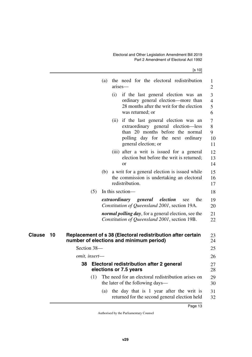[s 10]

<span id="page-14-3"></span><span id="page-14-2"></span><span id="page-14-1"></span><span id="page-14-0"></span>

|              |               | (a)<br>arises—         | the need for the electoral redistribution                                                                                                                                        |            | 1<br>$\overline{2}$           |
|--------------|---------------|------------------------|----------------------------------------------------------------------------------------------------------------------------------------------------------------------------------|------------|-------------------------------|
|              |               | (i)                    | if the last general election was an<br>ordinary general election—more than<br>28 months after the writ for the election<br>was returned; or                                      |            | 3<br>$\overline{4}$<br>5<br>6 |
|              |               |                        | (ii) if the last general election was an<br>extraordinary general election—less<br>than 20 months before the normal<br>polling day for the next ordinary<br>general election; or |            | 7<br>8<br>9<br>10<br>11       |
|              |               | <b>or</b>              | (iii) after a writ is issued for a general<br>election but before the writ is returned;                                                                                          |            | 12<br>13<br>14                |
|              |               | redistribution.        | (b) a writ for a general election is issued while<br>the commission is undertaking an electoral                                                                                  |            | 15<br>16<br>17                |
|              | (5)           | In this section—       |                                                                                                                                                                                  |            | 18                            |
|              |               |                        | extraordinary general<br>election<br>Constitution of Queensland 2001, section 19A.                                                                                               | the<br>see | 19<br>20                      |
|              |               |                        | <i>normal polling day</i> , for a general election, see the<br>Constitution of Queensland 2001, section 19B.                                                                     |            | 21<br>22                      |
| Clause<br>10 |               |                        | Replacement of s 38 (Electoral redistribution after certain<br>number of elections and minimum period)                                                                           |            | 23<br>24                      |
|              | Section 38-   |                        |                                                                                                                                                                                  |            | 25                            |
|              | omit, insert- |                        |                                                                                                                                                                                  |            | 26                            |
|              | 38            | elections or 7.5 years | Electoral redistribution after 2 general                                                                                                                                         |            | 27<br>28                      |
|              | (1)           |                        | The need for an electoral redistribution arises on<br>the later of the following days—                                                                                           |            | 29<br>30                      |
|              |               | (a)                    | the day that is 1 year after the writ is<br>returned for the second general election held                                                                                        |            | 31<br>32                      |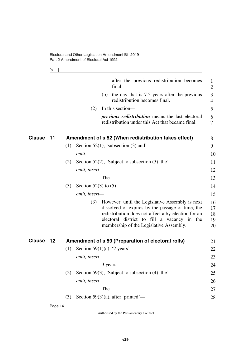<span id="page-15-1"></span>[s 11]

<span id="page-15-3"></span><span id="page-15-2"></span><span id="page-15-0"></span>

|        |       |     |                          | after the previous redistribution becomes<br>final;                                                                                                                                                                                                  | 1<br>$\mathfrak{2}$        |
|--------|-------|-----|--------------------------|------------------------------------------------------------------------------------------------------------------------------------------------------------------------------------------------------------------------------------------------------|----------------------------|
|        |       |     |                          | (b) the day that is 7.5 years after the previous<br>redistribution becomes final.                                                                                                                                                                    | 3<br>$\overline{4}$        |
|        |       |     | (2)                      | In this section—                                                                                                                                                                                                                                     | 5                          |
|        |       |     |                          | <i>previous redistribution</i> means the last electoral<br>redistribution under this Act that became final.                                                                                                                                          | 6<br>7                     |
| Clause | $-11$ |     |                          | Amendment of s 52 (When redistribution takes effect)                                                                                                                                                                                                 | 8                          |
|        |       | (1) |                          | Section 52(1), 'subsection (3) and'—                                                                                                                                                                                                                 | 9                          |
|        |       |     | omit.                    |                                                                                                                                                                                                                                                      | 10                         |
|        |       | (2) |                          | Section 52(2), 'Subject to subsection (3), the $\sim$                                                                                                                                                                                                | 11                         |
|        |       |     | omit, insert-            |                                                                                                                                                                                                                                                      | 12                         |
|        |       |     |                          | The                                                                                                                                                                                                                                                  | 13                         |
|        |       | (3) | Section 52(3) to $(5)$ — |                                                                                                                                                                                                                                                      | 14                         |
|        |       |     | omit, insert-            |                                                                                                                                                                                                                                                      | 15                         |
|        |       |     | (3)                      | However, until the Legislative Assembly is next<br>dissolved or expires by the passage of time, the<br>redistribution does not affect a by-election for an<br>electoral district to fill a vacancy in the<br>membership of the Legislative Assembly. | 16<br>17<br>18<br>19<br>20 |
| Clause | 12    |     |                          | Amendment of s 59 (Preparation of electoral rolls)                                                                                                                                                                                                   | 21                         |
|        |       | (1) |                          | Section 59(1)(c), '2 years'—                                                                                                                                                                                                                         | 22                         |
|        |       |     | omit, insert-            |                                                                                                                                                                                                                                                      | 23                         |
|        |       |     |                          | 3 years                                                                                                                                                                                                                                              | 24                         |
|        |       | (2) |                          | Section 59(3), 'Subject to subsection (4), the $\sim$                                                                                                                                                                                                | 25                         |
|        |       |     | omit, insert-            |                                                                                                                                                                                                                                                      | 26                         |
|        |       |     |                          | The                                                                                                                                                                                                                                                  | 27                         |
|        |       | (3) |                          | Section 59 $(3)(a)$ , after 'printed'—                                                                                                                                                                                                               | 28                         |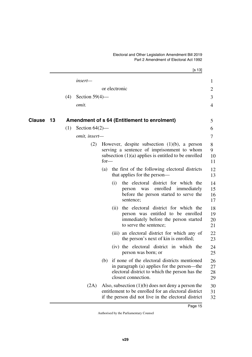<span id="page-16-1"></span><span id="page-16-0"></span>

|        |    |     |                   |        |               | [s 13]                                                                                                                                                               |                      |
|--------|----|-----|-------------------|--------|---------------|----------------------------------------------------------------------------------------------------------------------------------------------------------------------|----------------------|
|        |    |     | insert—           |        |               |                                                                                                                                                                      | $\mathbf{1}$         |
|        |    |     |                   |        | or electronic |                                                                                                                                                                      | $\overline{2}$       |
|        |    | (4) | Section $59(4)$ — |        |               |                                                                                                                                                                      | 3                    |
|        |    |     | omit.             |        |               |                                                                                                                                                                      | $\overline{4}$       |
| Clause | 13 |     |                   |        |               | Amendment of s 64 (Entitlement to enrolment)                                                                                                                         | 5                    |
|        |    | (1) | Section $64(2)$ — |        |               |                                                                                                                                                                      | 6                    |
|        |    |     | omit, insert-     |        |               |                                                                                                                                                                      | 7                    |
|        |    |     | (2)               | $for-$ |               | However, despite subsection $(1)(b)$ , a person<br>serving a sentence of imprisonment to whom<br>subsection $(1)(a)$ applies is entitled to be enrolled              | 8<br>9<br>10<br>11   |
|        |    |     |                   | (a)    |               | the first of the following electoral districts<br>that applies for the person—                                                                                       | 12<br>13             |
|        |    |     |                   |        | (i)           | the electoral district for which the<br>enrolled immediately<br>was<br>person<br>before the person started to serve the<br>sentence;                                 | 14<br>15<br>16<br>17 |
|        |    |     |                   |        | (ii)          | the electoral district for which the<br>person was entitled to be enrolled<br>immediately before the person started<br>to serve the sentence;                        | 18<br>19<br>20<br>21 |
|        |    |     |                   |        |               | (iii) an electoral district for which any of<br>the person's next of kin is enrolled;                                                                                | 22<br>23             |
|        |    |     |                   |        |               | (iv) the electoral district in which the<br>person was born; or                                                                                                      | 24<br>25             |
|        |    |     |                   | (b)    |               | if none of the electoral districts mentioned<br>in paragraph (a) applies for the person—the<br>electoral district to which the person has the<br>closest connection. | 26<br>27<br>28<br>29 |
|        |    |     | (2A)              |        |               | Also, subsection $(1)(b)$ does not deny a person the<br>entitlement to be enrolled for an electoral district<br>if the person did not live in the electoral district | 30<br>31<br>32       |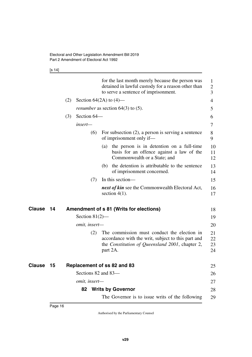[s 14]

<span id="page-17-5"></span><span id="page-17-4"></span><span id="page-17-3"></span><span id="page-17-2"></span><span id="page-17-1"></span><span id="page-17-0"></span>

|               |    |     |                     | for the last month merely because the person was<br>detained in lawful custody for a reason other than<br>to serve a sentence of imprisonment.                   | 1<br>$\overline{2}$<br>3 |
|---------------|----|-----|---------------------|------------------------------------------------------------------------------------------------------------------------------------------------------------------|--------------------------|
|               |    | (2) |                     | Section $64(2A)$ to $(4)$ —                                                                                                                                      | 4                        |
|               |    |     |                     | <i>renumber</i> as section $64(3)$ to $(5)$ .                                                                                                                    | 5                        |
|               |    | (3) | Section 64–         |                                                                                                                                                                  | 6                        |
|               |    |     | insert-             |                                                                                                                                                                  | 7                        |
|               |    |     | (6)                 | For subsection $(2)$ , a person is serving a sentence<br>of imprisonment only if—                                                                                | 8<br>9                   |
|               |    |     |                     | (a) the person is in detention on a full-time<br>basis for an offence against a law of the<br>Commonwealth or a State; and                                       | 10<br>11<br>12           |
|               |    |     |                     | the detention is attributable to the sentence<br>(b)<br>of imprisonment concerned.                                                                               | 13<br>14                 |
|               |    |     | (7)                 | In this section—                                                                                                                                                 | 15                       |
|               |    |     |                     | <i>next of kin</i> see the Commonwealth Electoral Act,<br>section $4(1)$ .                                                                                       | 16<br>17                 |
| Clause        | 14 |     |                     | Amendment of s 81 (Writs for elections)                                                                                                                          | 18                       |
|               |    |     | Section $81(2)$ —   |                                                                                                                                                                  | 19                       |
|               |    |     | omit, insert-       |                                                                                                                                                                  | 20                       |
|               |    |     | (2)                 | The commission must conduct the election in<br>accordance with the writ, subject to this part and<br>the Constitution of Queensland 2001, chapter 2,<br>part 2A. | 21<br>22<br>23<br>24     |
| <b>Clause</b> | 15 |     |                     | Replacement of ss 82 and 83                                                                                                                                      | 25                       |
|               |    |     | Sections 82 and 83- |                                                                                                                                                                  | 26                       |
|               |    |     | omit, insert-       |                                                                                                                                                                  | 27                       |
|               |    |     | 82                  | <b>Writs by Governor</b>                                                                                                                                         | 28                       |
|               |    |     |                     | The Governor is to issue writs of the following                                                                                                                  | 29                       |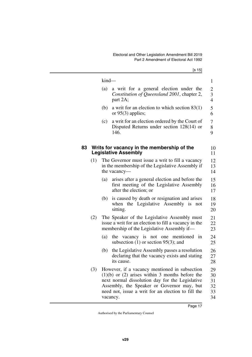<span id="page-18-1"></span><span id="page-18-0"></span>

|    |     |         | [s 15]                                                                                                                                                                                                                                                                  |                                  |
|----|-----|---------|-------------------------------------------------------------------------------------------------------------------------------------------------------------------------------------------------------------------------------------------------------------------------|----------------------------------|
|    |     | $kind-$ |                                                                                                                                                                                                                                                                         | $\mathbf{1}$                     |
|    |     | (a)     | a writ for a general election under the<br>Constitution of Queensland 2001, chapter 2,<br>part 2A;                                                                                                                                                                      | $\overline{c}$<br>$\frac{3}{4}$  |
|    |     | (b)     | a writ for an election to which section $83(1)$<br>or $95(3)$ applies;                                                                                                                                                                                                  | 5<br>6                           |
|    |     | (c)     | a writ for an election ordered by the Court of<br>Disputed Returns under section $128(14)$ or<br>146.                                                                                                                                                                   | 7<br>8<br>9                      |
| 83 |     |         | Writs for vacancy in the membership of the<br><b>Legislative Assembly</b>                                                                                                                                                                                               | 10<br>11                         |
|    | (1) |         | The Governor must issue a writ to fill a vacancy<br>in the membership of the Legislative Assembly if<br>the vacancy—                                                                                                                                                    | 12<br>13<br>14                   |
|    |     | (a)     | arises after a general election and before the<br>first meeting of the Legislative Assembly<br>after the election; or                                                                                                                                                   | 15<br>16<br>17                   |
|    |     | (b)     | is caused by death or resignation and arises<br>when the Legislative Assembly is<br>not<br>sitting.                                                                                                                                                                     | 18<br>19<br>20                   |
|    | (2) |         | The Speaker of the Legislative Assembly must<br>issue a writ for an election to fill a vacancy in the<br>membership of the Legislative Assembly if—                                                                                                                     | 21<br>22<br>23                   |
|    |     | (a)     | the vacancy is not one mentioned in<br>subsection $(1)$ or section 95 $(3)$ ; and                                                                                                                                                                                       | 24<br>25                         |
|    |     | (b)     | the Legislative Assembly passes a resolution<br>declaring that the vacancy exists and stating<br>its cause.                                                                                                                                                             | 26<br>27<br>28                   |
|    | (3) |         | However, if a vacancy mentioned in subsection<br>$(1)(b)$ or $(2)$ arises within 3 months before the<br>next normal dissolution day for the Legislative<br>Assembly, the Speaker or Governor may, but<br>need not, issue a writ for an election to fill the<br>vacancy. | 29<br>30<br>31<br>32<br>33<br>34 |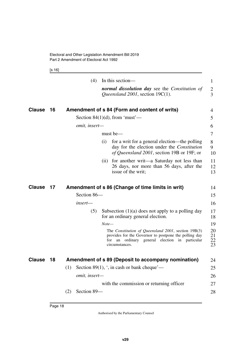<span id="page-19-1"></span>[s 16]

<span id="page-19-5"></span><span id="page-19-4"></span><span id="page-19-3"></span><span id="page-19-2"></span><span id="page-19-0"></span>

|               |    | (4)                | In this section—                                                                                                                                                                       | $\mathbf{1}$                |
|---------------|----|--------------------|----------------------------------------------------------------------------------------------------------------------------------------------------------------------------------------|-----------------------------|
|               |    |                    | normal dissolution day see the Constitution of<br>Queensland 2001, section $19C(1)$ .                                                                                                  | $\overline{2}$<br>3         |
| <b>Clause</b> | 16 |                    | Amendment of s 84 (Form and content of writs)                                                                                                                                          | 4                           |
|               |    |                    | Section 84 $(1)(d)$ , from 'must'—                                                                                                                                                     | 5                           |
|               |    | omit, insert-      |                                                                                                                                                                                        | 6                           |
|               |    |                    | must be-                                                                                                                                                                               | 7                           |
|               |    |                    | (i)<br>for a writ for a general election—the polling<br>day for the election under the Constitution<br>of Queensland 2001, section 19B or 19F; or                                      | 8<br>9<br>10                |
|               |    |                    | for another writ—a Saturday not less than<br>(11)<br>26 days, nor more than 56 days, after the<br>issue of the writ;                                                                   | 11<br>12<br>13              |
| <b>Clause</b> | 17 |                    | Amendment of s 86 (Change of time limits in writ)                                                                                                                                      | 14                          |
|               |    | Section 86-        |                                                                                                                                                                                        | 15                          |
|               |    | insert—            |                                                                                                                                                                                        | 16                          |
|               |    | (5)                | Subsection $(1)(a)$ does not apply to a polling day<br>for an ordinary general election.                                                                                               | 17<br>18                    |
|               |    |                    | $Note-$                                                                                                                                                                                | 19                          |
|               |    |                    | The Constitution of Queensland 2001, section 19B(3)<br>provides for the Governor to postpone the polling day<br>for<br>ordinary general election in particular<br>an<br>circumstances. | 20<br>21<br>$\frac{22}{23}$ |
| <b>Clause</b> | 18 |                    | Amendment of s 89 (Deposit to accompany nomination)                                                                                                                                    | 24                          |
|               |    | (1)                | Section 89(1), $\cdot$ , in cash or bank cheque'—                                                                                                                                      | 25                          |
|               |    | omit, insert-      |                                                                                                                                                                                        | 26                          |
|               |    |                    | with the commission or returning officer                                                                                                                                               | 27                          |
|               |    | (2)<br>Section 89- |                                                                                                                                                                                        | 28                          |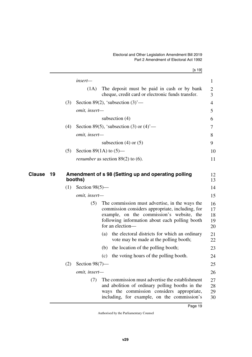[s 19]

<span id="page-20-1"></span><span id="page-20-0"></span>

|     | $insert-$                                                                                                                                                                                                                    |
|-----|------------------------------------------------------------------------------------------------------------------------------------------------------------------------------------------------------------------------------|
|     | The deposit must be paid in cash or by bank<br>(1A)<br>cheque, credit card or electronic funds transfer.                                                                                                                     |
| (3) | Section 89(2), 'subsection $(3)$ '—                                                                                                                                                                                          |
|     | omit, insert-                                                                                                                                                                                                                |
|     | subsection $(4)$                                                                                                                                                                                                             |
| (4) | Section 89(5), 'subsection (3) or $(4)$ '—                                                                                                                                                                                   |
|     | omit, insert-                                                                                                                                                                                                                |
|     | subsection $(4)$ or $(5)$                                                                                                                                                                                                    |
| (5) | Section 89(1A) to $(5)$ —                                                                                                                                                                                                    |
|     | <i>renumber</i> as section $89(2)$ to (6).                                                                                                                                                                                   |
| (1) | Section $98(5)$ —                                                                                                                                                                                                            |
|     | booths)                                                                                                                                                                                                                      |
|     | omit, insert-                                                                                                                                                                                                                |
|     | (5)<br>The commission must advertise, in the ways the<br>commission considers appropriate, including, for<br>example, on the commission's website, the<br>following information about each polling booth<br>for an election- |
|     | the electoral districts for which an ordinary<br>(a)<br>vote may be made at the polling booth;                                                                                                                               |
|     | (b) the location of the polling booth;                                                                                                                                                                                       |
|     | the voting hours of the polling booth.<br>(c)                                                                                                                                                                                |
| (2) | Section $98(7)$ —                                                                                                                                                                                                            |
|     | omit, insert-                                                                                                                                                                                                                |
|     | The commission must advertise the establishment<br>(7)<br>and abolition of ordinary polling booths in the<br>ways the commission considers appropriate,<br>including, for example, on the commission's                       |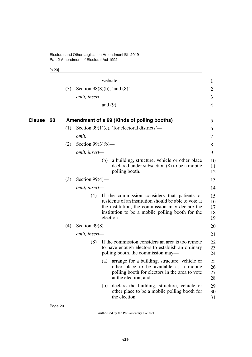<span id="page-21-1"></span>[s 20]

<span id="page-21-0"></span>

|        |     |                      | website.  |                                                                                                                                                                                                              | $\mathbf{1}$               |
|--------|-----|----------------------|-----------|--------------------------------------------------------------------------------------------------------------------------------------------------------------------------------------------------------------|----------------------------|
|        | (3) |                      |           | Section 98(8)(b), 'and $(8)$ '—                                                                                                                                                                              | $\overline{2}$             |
|        |     | omit, insert-        |           |                                                                                                                                                                                                              | 3                          |
|        |     |                      | and $(9)$ |                                                                                                                                                                                                              | $\overline{4}$             |
| Clause | 20  |                      |           | Amendment of s 99 (Kinds of polling booths)                                                                                                                                                                  | 5                          |
|        | (1) |                      |           | Section 99(1)(c), 'for electoral districts'—                                                                                                                                                                 | 6                          |
|        |     | omit.                |           |                                                                                                                                                                                                              | 7                          |
|        | (2) | Section $99(3)(b)$ — |           |                                                                                                                                                                                                              | 8                          |
|        |     | omit, insert-        |           |                                                                                                                                                                                                              | 9                          |
|        |     |                      | (b)       | a building, structure, vehicle or other place<br>declared under subsection $(8)$ to be a mobile<br>polling booth.                                                                                            | 10<br>11<br>12             |
|        | (3) | Section $99(4)$ —    |           |                                                                                                                                                                                                              | 13                         |
|        |     | omit, insert-        |           |                                                                                                                                                                                                              | 14                         |
|        |     | (4)                  | election. | If the commission considers that patients or<br>residents of an institution should be able to vote at<br>the institution, the commission may declare the<br>institution to be a mobile polling booth for the | 15<br>16<br>17<br>18<br>19 |
|        | (4) | Section $99(8)$ —    |           |                                                                                                                                                                                                              | 20                         |
|        |     | omit, insert-        |           |                                                                                                                                                                                                              | 21                         |
|        |     | (8)                  |           | If the commission considers an area is too remote<br>to have enough electors to establish an ordinary<br>polling booth, the commission may—                                                                  | 22<br>23<br>24             |
|        |     |                      | (a)       | arrange for a building, structure, vehicle or<br>other place to be available as a mobile<br>polling booth for electors in the area to vote<br>at the election; and                                           | 25<br>26<br>27<br>28       |
|        |     |                      | (b)       | declare the building, structure, vehicle or<br>other place to be a mobile polling booth for<br>the election.                                                                                                 | 29<br>30<br>31             |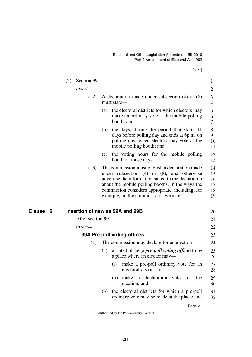<span id="page-22-3"></span><span id="page-22-2"></span><span id="page-22-1"></span><span id="page-22-0"></span>

|              | (5) | Section 99-                     |     |                             |                                                                                                                                                                                                                                                                                                           | $\mathbf{1}$                     |  |  |
|--------------|-----|---------------------------------|-----|-----------------------------|-----------------------------------------------------------------------------------------------------------------------------------------------------------------------------------------------------------------------------------------------------------------------------------------------------------|----------------------------------|--|--|
|              |     | insert-                         |     |                             |                                                                                                                                                                                                                                                                                                           | 2                                |  |  |
|              |     | (12)                            |     | must state—                 | A declaration made under subsection $(4)$ or $(8)$                                                                                                                                                                                                                                                        | 3<br>$\overline{4}$              |  |  |
|              |     |                                 | (a) |                             | the electoral districts for which electors may<br>make an ordinary vote at the mobile polling<br>booth; and                                                                                                                                                                                               | 5<br>6<br>7                      |  |  |
|              |     |                                 | (b) |                             | the days, during the period that starts 11<br>days before polling day and ends at 6p.m. on<br>polling day, when electors may vote at the<br>mobile polling booth; and                                                                                                                                     | 8<br>9<br>10<br>11               |  |  |
|              |     |                                 | (c) |                             | the voting hours for the mobile polling<br>booth on those days.                                                                                                                                                                                                                                           | 12<br>13                         |  |  |
|              |     | (13)                            |     |                             | The commission must publish a declaration made<br>under subsection $(4)$ or $(8)$ , and otherwise<br>advertise the information stated in the declaration<br>about the mobile polling booths, in the ways the<br>commission considers appropriate, including, for<br>example, on the commission's website. | 14<br>15<br>16<br>17<br>18<br>19 |  |  |
| Clause<br>21 |     | Insertion of new ss 99A and 99B |     |                             |                                                                                                                                                                                                                                                                                                           | 20                               |  |  |
|              |     | After section 99—               |     |                             |                                                                                                                                                                                                                                                                                                           | 21                               |  |  |
|              |     | insert—                         |     |                             |                                                                                                                                                                                                                                                                                                           | 22                               |  |  |
|              |     |                                 |     | 99A Pre-poll voting offices |                                                                                                                                                                                                                                                                                                           |                                  |  |  |
|              |     | (1)                             |     |                             | The commission may declare for an election—                                                                                                                                                                                                                                                               | 23<br>24                         |  |  |
|              |     |                                 | (a) |                             | a stated place (a <i>pre-poll voting office</i> ) to be<br>a place where an elector may—                                                                                                                                                                                                                  | 25<br>26                         |  |  |
|              |     |                                 |     | (i)                         | make a pre-poll ordinary vote for an<br>electoral district; or                                                                                                                                                                                                                                            | 27<br>28                         |  |  |
|              |     |                                 |     | (ii)                        | declaration<br>make<br>the<br>a<br>vote<br>for<br>election; and                                                                                                                                                                                                                                           | 29<br>30                         |  |  |
|              |     |                                 | (b) |                             | the electoral districts for which a pre-poll<br>ordinary vote may be made at the place; and                                                                                                                                                                                                               | 31<br>32                         |  |  |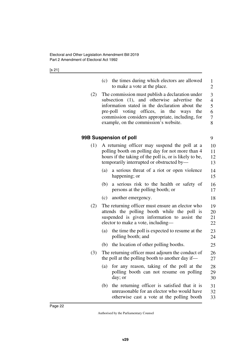[s 21]

<span id="page-23-1"></span><span id="page-23-0"></span>

|     | (c) the times during which electors are allowed<br>to make a vote at the place.                                                                                                                                                                                                                  | 1<br>$\overline{2}$                               |
|-----|--------------------------------------------------------------------------------------------------------------------------------------------------------------------------------------------------------------------------------------------------------------------------------------------------|---------------------------------------------------|
| (2) | The commission must publish a declaration under<br>subsection (1), and otherwise advertise the<br>information stated in the declaration about the<br>pre-poll voting offices, in the<br>ways<br>the<br>commission considers appropriate, including, for<br>example, on the commission's website. | 3<br>$\overline{\mathcal{A}}$<br>5<br>6<br>7<br>8 |
|     | 99B Suspension of poll                                                                                                                                                                                                                                                                           | 9                                                 |
| (1) | A returning officer may suspend the poll at a<br>polling booth on polling day for not more than 4<br>hours if the taking of the poll is, or is likely to be,<br>temporarily interrupted or obstructed by-                                                                                        | 10<br>11<br>12<br>13                              |
|     | a serious threat of a riot or open violence<br>(a)<br>happening; or                                                                                                                                                                                                                              | 14<br>15                                          |
|     | (b)<br>a serious risk to the health or safety of<br>persons at the polling booth; or                                                                                                                                                                                                             | 16<br>17                                          |
|     | (c)<br>another emergency.                                                                                                                                                                                                                                                                        | 18                                                |
| (2) | The returning officer must ensure an elector who<br>attends the polling booth while the poll is<br>suspended is given information to assist the<br>elector to make a vote, including—                                                                                                            | 19<br>20<br>21<br>22                              |
|     | the time the poll is expected to resume at the<br>(a)<br>polling booth; and                                                                                                                                                                                                                      | 23<br>24                                          |
|     | (b) the location of other polling booths.                                                                                                                                                                                                                                                        | 25                                                |
| (3) | The returning officer must adjourn the conduct of<br>the poll at the polling booth to another day if—                                                                                                                                                                                            | 26<br>27                                          |
|     | for any reason, taking of the poll at the<br>(a)<br>polling booth can not resume on polling<br>day; or                                                                                                                                                                                           | 28<br>29<br>30                                    |
|     | the returning officer is satisfied that it is<br>(b)<br>unreasonable for an elector who would have<br>otherwise cast a vote at the polling booth                                                                                                                                                 | 31<br>32<br>33                                    |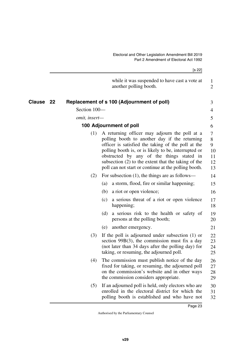<span id="page-24-3"></span><span id="page-24-2"></span><span id="page-24-1"></span><span id="page-24-0"></span>

| Clause |               | [s 22]                                                                                                                                                                                                                                                                                                                                                                     |                                     |  |  |  |
|--------|---------------|----------------------------------------------------------------------------------------------------------------------------------------------------------------------------------------------------------------------------------------------------------------------------------------------------------------------------------------------------------------------------|-------------------------------------|--|--|--|
|        |               | while it was suspended to have cast a vote at<br>another polling booth.                                                                                                                                                                                                                                                                                                    | 1<br>$\overline{2}$                 |  |  |  |
|        | 22            | Replacement of s 100 (Adjournment of poll)                                                                                                                                                                                                                                                                                                                                 | 3                                   |  |  |  |
|        | Section 100-  |                                                                                                                                                                                                                                                                                                                                                                            | 4                                   |  |  |  |
|        | omit, insert- |                                                                                                                                                                                                                                                                                                                                                                            | 5                                   |  |  |  |
|        |               | 100 Adjournment of poll                                                                                                                                                                                                                                                                                                                                                    | 6                                   |  |  |  |
|        | (1)           | A returning officer may adjourn the poll at a<br>polling booth to another day if the returning<br>officer is satisfied the taking of the poll at the<br>polling booth is, or is likely to be, interrupted or<br>obstructed by any of the things stated in<br>subsection $(2)$ to the extent that the taking of the<br>poll can not start or continue at the polling booth. | 7<br>8<br>9<br>10<br>11<br>12<br>13 |  |  |  |
|        | (2)           | For subsection $(1)$ , the things are as follows—                                                                                                                                                                                                                                                                                                                          | 14                                  |  |  |  |
|        |               | a storm, flood, fire or similar happening;<br>(a)                                                                                                                                                                                                                                                                                                                          | 15                                  |  |  |  |
|        |               | a riot or open violence;<br>(b)                                                                                                                                                                                                                                                                                                                                            | 16                                  |  |  |  |
|        |               | (c) a serious threat of a riot or open violence<br>happening;                                                                                                                                                                                                                                                                                                              | 17<br>18                            |  |  |  |
|        |               | a serious risk to the health or safety of<br>(d)<br>persons at the polling booth;                                                                                                                                                                                                                                                                                          | 19<br>20                            |  |  |  |
|        |               | another emergency.<br>(e)                                                                                                                                                                                                                                                                                                                                                  | 21                                  |  |  |  |
|        | (3)           | If the poll is adjourned under subsection (1) or<br>section $99B(3)$ , the commission must fix a day<br>(not later than 34 days after the polling day) for<br>taking, or resuming, the adjourned poll.                                                                                                                                                                     | 22<br>23<br>24<br>25                |  |  |  |
|        | (4)           | The commission must publish notice of the day<br>fixed for taking, or resuming, the adjourned poll<br>on the commission's website and in other ways<br>the commission considers appropriate.                                                                                                                                                                               | 26<br>27<br>28<br>29                |  |  |  |
|        | (5)           | If an adjourned poll is held, only electors who are<br>enrolled in the electoral district for which the<br>polling booth is established and who have not                                                                                                                                                                                                                   | 30<br>31<br>32                      |  |  |  |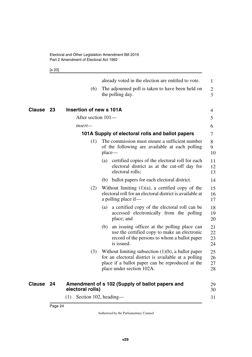<span id="page-25-3"></span><span id="page-25-2"></span><span id="page-25-1"></span>[s 23]

<span id="page-25-5"></span><span id="page-25-4"></span><span id="page-25-0"></span>

|              |     |                         |        | already voted in the election are entitled to vote.                                                                                                                                           | 1                                |
|--------------|-----|-------------------------|--------|-----------------------------------------------------------------------------------------------------------------------------------------------------------------------------------------------|----------------------------------|
|              |     | (6)                     |        | The adjourned poll is taken to have been held on<br>the polling day.                                                                                                                          | $\overline{2}$<br>$\overline{3}$ |
| Clause<br>23 |     | Insertion of new s 101A |        |                                                                                                                                                                                               | 4                                |
|              |     | After section 101-      |        |                                                                                                                                                                                               | 5                                |
|              |     | insert—                 |        |                                                                                                                                                                                               | 6                                |
|              |     |                         |        | 101A Supply of electoral rolls and ballot papers                                                                                                                                              | 7                                |
|              |     | (1)                     | place— | The commission must ensure a sufficient number<br>of the following are available at each polling                                                                                              | 8<br>9<br>10                     |
|              |     |                         | (a)    | certified copies of the electoral roll for each<br>electoral district as at the cut-off day for<br>electoral rolls;                                                                           | 11<br>12<br>13                   |
|              |     |                         | (b)    | ballot papers for each electoral district.                                                                                                                                                    | 14                               |
|              |     | (2)                     |        | Without limiting $(1)(a)$ , a certified copy of the<br>electoral roll for an electoral district is available at<br>a polling place if-                                                        | 15<br>16<br>17                   |
|              |     |                         | (a)    | a certified copy of the electoral roll can be<br>accessed electronically from the polling<br>place; and                                                                                       | 18<br>19<br>20                   |
|              |     |                         | (b)    | an issuing officer at the polling place can<br>use the certified copy to make an electronic<br>record of the persons to whom a ballot paper<br>is issued.                                     | 21<br>22<br>23<br>24             |
|              |     | (3)                     |        | Without limiting subsection $(1)(b)$ , a ballot paper<br>for an electoral district is available at a polling<br>place if a ballot paper can be reproduced at the<br>place under section 102A. | 25<br>26<br>27<br>28             |
| Clause 24    |     | electoral rolls)        |        | Amendment of s 102 (Supply of ballot papers and                                                                                                                                               | 29<br>30                         |
|              | (1) | Section 102, heading-   |        |                                                                                                                                                                                               | 31                               |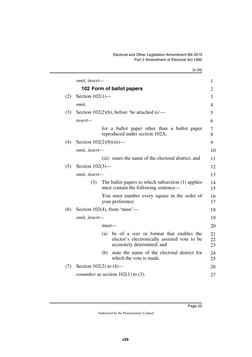[s 24]

*omit, insert—* **102 Form of ballot papers** (2) Section 102(1) *omit.* (3) Section 102(2)(b), before 'be attached to' *insert* for a ballot paper other than a ballot paper reproduced under section 102A, (4) Section  $102(2)(b)(iii)$  *omit, insert—* (iii) states the name of the electoral district; and (5) Section 102(3) *omit, insert—* (3) The ballot papers to which subsection (1) applies must contain the following sentence— You must number every square in the order of your preference. (6) Section 102(4), from 'must' *omit, insert* must— (a) be of a size or format that enables the elector's electronically assisted vote to be accurately determined; and (b) state the name of the electoral district for which the vote is made. (7) Section 102(2) to (4) *renumber* as section 102(1) to (3). 1  $\mathcal{D}_{\mathcal{L}}$ 3 4 5 6 7 8 9 10 11 12 13 14 15 16 17 18 19 20 21 22 23  $24$ 25 26 27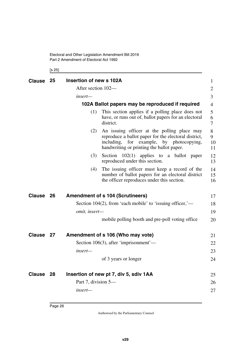Electoral and Other Legislation Amendment Bill 2019 Part 2 Amendment of Electoral Act 1992

<span id="page-27-3"></span><span id="page-27-2"></span><span id="page-27-1"></span><span id="page-27-0"></span>[s 25]

<span id="page-27-9"></span><span id="page-27-8"></span><span id="page-27-7"></span><span id="page-27-6"></span><span id="page-27-5"></span><span id="page-27-4"></span>

| <b>Clause</b> | 25  | Insertion of new s 102A                                                                                                                                                                                      | 1                  |
|---------------|-----|--------------------------------------------------------------------------------------------------------------------------------------------------------------------------------------------------------------|--------------------|
|               |     | After section 102-                                                                                                                                                                                           | $\overline{2}$     |
|               |     | insert-                                                                                                                                                                                                      | 3                  |
|               |     | 102A Ballot papers may be reproduced if required                                                                                                                                                             | $\overline{4}$     |
|               |     | This section applies if a polling place does not<br>(1)<br>have, or runs out of, ballot papers for an electoral<br>district.                                                                                 | 5<br>6<br>7        |
|               |     | An issuing officer at the polling place may<br>(2)<br>reproduce a ballot paper for the electoral district,<br>including,<br>example,<br>for<br>by photocopying,<br>handwriting or printing the ballot paper. | 8<br>9<br>10<br>11 |
|               |     | (3)<br>Section $102(1)$ applies to a ballot<br>paper<br>reproduced under this section.                                                                                                                       | 12<br>13           |
|               |     | The issuing officer must keep a record of the<br>(4)<br>number of ballot papers for an electoral district<br>the officer reproduces under this section.                                                      | 14<br>15<br>16     |
| <b>Clause</b> | 26  | <b>Amendment of s 104 (Scrutineers)</b>                                                                                                                                                                      | 17                 |
|               |     | Section 104(2), from 'each mobile' to 'issuing officer,'—                                                                                                                                                    | 18                 |
|               |     | omit, insert-                                                                                                                                                                                                | 19                 |
|               |     | mobile polling booth and pre-poll voting office                                                                                                                                                              | 20                 |
| <b>Clause</b> | -27 | Amendment of s 106 (Who may vote)                                                                                                                                                                            | 21                 |
|               |     | Section $106(3)$ , after 'imprisonment'—                                                                                                                                                                     | 22                 |
|               |     | insert—                                                                                                                                                                                                      | 23                 |
|               |     | of 3 years or longer                                                                                                                                                                                         | 24                 |
| <b>Clause</b> | -28 | Insertion of new pt 7, div 5, sdiv 1AA                                                                                                                                                                       | 25                 |
|               |     | Part 7, division 5—                                                                                                                                                                                          | 26                 |
|               |     | insert—                                                                                                                                                                                                      | 27                 |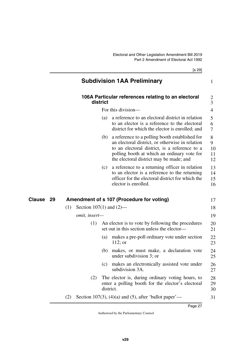<span id="page-28-1"></span>[s 29]

<span id="page-28-5"></span><span id="page-28-4"></span><span id="page-28-3"></span><span id="page-28-2"></span><span id="page-28-0"></span>

|           |     |                              |          | <b>Subdivision 1AA Preliminary</b>                                                                                                                                                                                                           | 1                        |
|-----------|-----|------------------------------|----------|----------------------------------------------------------------------------------------------------------------------------------------------------------------------------------------------------------------------------------------------|--------------------------|
|           |     |                              | district | 106A Particular references relating to an electoral                                                                                                                                                                                          | $\frac{2}{3}$            |
|           |     |                              |          | For this division-                                                                                                                                                                                                                           | $\overline{4}$           |
|           |     |                              | (a)      | a reference to an electoral district in relation<br>to an elector is a reference to the electoral<br>district for which the elector is enrolled; and                                                                                         | 5<br>6<br>7              |
|           |     |                              | (b)      | a reference to a polling booth established for<br>an electoral district, or otherwise in relation<br>to an electoral district, is a reference to a<br>polling booth at which an ordinary vote for<br>the electoral district may be made; and | 8<br>9<br>10<br>11<br>12 |
|           |     |                              | (c)      | a reference to a returning officer in relation<br>to an elector is a reference to the returning<br>officer for the electoral district for which the<br>elector is enrolled.                                                                  | 13<br>14<br>15<br>16     |
| Clause 29 |     |                              |          | Amendment of s 107 (Procedure for voting)                                                                                                                                                                                                    | 17                       |
|           | (1) | Section $107(1)$ and $(2)$ — |          |                                                                                                                                                                                                                                              | 18                       |
|           |     | omit, insert-                |          |                                                                                                                                                                                                                                              | 19                       |
|           |     | (1)                          |          | An elector is to vote by following the procedures<br>set out in this section unless the elector-                                                                                                                                             | 20<br>21                 |
|           |     |                              | (a)      | makes a pre-poll ordinary vote under section<br>$112$ ; or                                                                                                                                                                                   | 22<br>23                 |
|           |     |                              | (b)      | makes, or must make, a declaration vote<br>under subdivision 3; or                                                                                                                                                                           | 24<br>25                 |
|           |     |                              |          | (c) makes an electronically assisted vote under<br>subdivision 3A.                                                                                                                                                                           | $26\,$<br>27             |
|           |     | (2)                          |          | The elector is, during ordinary voting hours, to<br>enter a polling booth for the elector's electoral<br>district.                                                                                                                           | 28<br>29<br>30           |
|           | (2) |                              |          | Section 107(3), (4)(a) and (5), after 'ballot paper'—                                                                                                                                                                                        | 31                       |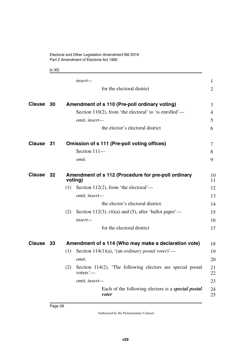<span id="page-29-3"></span><span id="page-29-1"></span><span id="page-29-0"></span>[s 30]

<span id="page-29-7"></span><span id="page-29-6"></span><span id="page-29-5"></span><span id="page-29-4"></span><span id="page-29-2"></span>

|               |    | insert-                                                                       | 1        |
|---------------|----|-------------------------------------------------------------------------------|----------|
|               |    | for the electoral district                                                    | 2        |
| <b>Clause</b> | 30 | Amendment of s 110 (Pre-poll ordinary voting)                                 | 3        |
|               |    | Section 110(2), from 'the electoral' to 'is enrolled'—                        | 4        |
|               |    | omit, insert-                                                                 | 5        |
|               |    | the elector's electoral district                                              | 6        |
| Clause 31     |    | Omission of s 111 (Pre-poll voting offices)                                   | 7        |
|               |    | Section 111-                                                                  | 8        |
|               |    | omit.                                                                         | 9        |
| Clause 32     |    | Amendment of s 112 (Procedure for pre-poll ordinary<br>voting)                | 10<br>11 |
|               |    | Section 112(2), from 'the electoral'—<br>(1)                                  | 12       |
|               |    | omit, insert-                                                                 | 13       |
|               |    | the elector's electoral district.                                             | 14       |
|               |    | Section 112(3), (4)(a) and (5), after 'ballot paper'—<br>(2)                  | 15       |
|               |    | insert-                                                                       | 16       |
|               |    | for the electoral district                                                    | 17       |
| Clause 33     |    | Amendment of s 114 (Who may make a declaration vote)                          | 18       |
|               |    | Section 114(1)(a), '(an <i>ordinary postal voter</i> )'—<br>(1)               | 19       |
|               |    | omit.                                                                         | 20       |
|               |    | (2)<br>Section 114(2), 'The following electors are special postal<br>voters'- | 21<br>22 |
|               |    | omit, insert-                                                                 | 23       |
|               |    | Each of the following electors is a <i>special postal</i><br>voter            | 24<br>25 |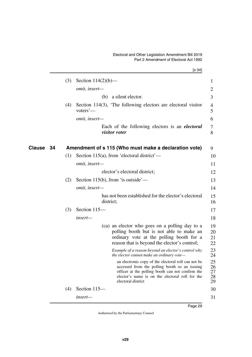<span id="page-30-1"></span><span id="page-30-0"></span>

|              |     | [s 34]                                                                                                                                                                                                                            |                            |
|--------------|-----|-----------------------------------------------------------------------------------------------------------------------------------------------------------------------------------------------------------------------------------|----------------------------|
|              | (3) | Section $114(2)(b)$ —                                                                                                                                                                                                             | $\mathbf{1}$               |
|              |     | omit, insert-                                                                                                                                                                                                                     | $\overline{2}$             |
|              |     | a silent elector.<br>(b)                                                                                                                                                                                                          | 3                          |
|              | (4) | Section 114(3), 'The following electors are electoral visitor<br>voters' $-$                                                                                                                                                      | 4<br>5                     |
|              |     | omit, insert-                                                                                                                                                                                                                     | 6                          |
|              |     | Each of the following electors is an <i>electoral</i><br><i>visitor voter</i>                                                                                                                                                     | 7<br>8                     |
| Clause<br>34 |     | Amendment of s 115 (Who must make a declaration vote)                                                                                                                                                                             | 9                          |
|              | (1) | Section 115(a), from 'electoral district'—                                                                                                                                                                                        | 10                         |
|              |     | omit, insert-                                                                                                                                                                                                                     | 11                         |
|              |     | elector's electoral district;                                                                                                                                                                                                     | 12                         |
|              | (2) | Section 115(b), from 'is outside'—                                                                                                                                                                                                | 13                         |
|              |     | omit, insert-                                                                                                                                                                                                                     | 14                         |
|              |     | has not been established for the elector's electoral<br>district;                                                                                                                                                                 | 15<br>16                   |
|              | (3) | Section 115-                                                                                                                                                                                                                      | 17                         |
|              |     | insert-                                                                                                                                                                                                                           | 18                         |
|              |     | (ca) an elector who goes on a polling day to a<br>polling booth but is not able to make an<br>ordinary vote at the polling booth for a<br>reason that is beyond the elector's control;                                            | 19<br>20<br>21<br>22       |
|              |     | Example of a reason beyond an elector's control why<br>the elector cannot make an ordinary vote—                                                                                                                                  | 23<br>24                   |
|              |     | an electronic copy of the electoral roll can not be<br>accessed from the polling booth so an issuing<br>officer at the polling booth can not confirm the<br>elector's name is on the electoral roll for the<br>electoral district | 25<br>26<br>27<br>28<br>29 |
|              | (4) | Section 115-                                                                                                                                                                                                                      | 30                         |
|              |     | insert-                                                                                                                                                                                                                           | 31                         |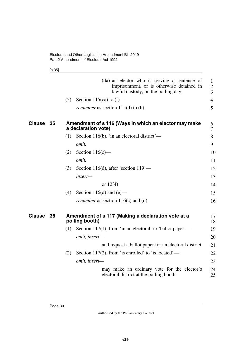<span id="page-31-1"></span>[s 35]

<span id="page-31-3"></span><span id="page-31-2"></span><span id="page-31-0"></span>

|               |    |     | (da) an elector who is serving a sentence of<br>imprisonment, or is otherwise detained in<br>lawful custody, on the polling day; | 1<br>$\overline{2}$<br>3 |
|---------------|----|-----|----------------------------------------------------------------------------------------------------------------------------------|--------------------------|
|               |    | (5) | Section 115(ca) to $(f)$ —                                                                                                       | $\overline{4}$           |
|               |    |     | <i>renumber</i> as section $115(d)$ to (h).                                                                                      | 5                        |
| <b>Clause</b> | 35 |     | Amendment of s 116 (Ways in which an elector may make<br>a declaration vote)                                                     | 6<br>7                   |
|               |    | (1) | Section 116(b), 'in an electoral district'—                                                                                      | 8                        |
|               |    |     | omit.                                                                                                                            | 9                        |
|               |    | (2) | Section $116(c)$ —                                                                                                               | 10                       |
|               |    |     | omit.                                                                                                                            | 11                       |
|               |    | (3) | Section 116(d), after 'section $119'$ —                                                                                          | 12                       |
|               |    |     | insert-                                                                                                                          | 13                       |
|               |    |     | or 123B                                                                                                                          | 14                       |
|               |    | (4) | Section 116(d) and $(e)$ —                                                                                                       | 15                       |
|               |    |     | <i>renumber</i> as section $116(c)$ and (d).                                                                                     | 16                       |
| <b>Clause</b> | 36 |     | Amendment of s 117 (Making a declaration vote at a<br>polling booth)                                                             | 17<br>18                 |
|               |    | (1) | Section 117(1), from 'in an electoral' to 'ballot paper'—                                                                        | 19                       |
|               |    |     | omit, insert-                                                                                                                    | 20                       |
|               |    |     | and request a ballot paper for an electoral district                                                                             | 21                       |
|               |    | (2) | Section 117(2), from 'is enrolled' to 'is located'—                                                                              | 22                       |
|               |    |     | omit, insert-                                                                                                                    | 23                       |
|               |    |     | may make an ordinary vote for the elector's<br>electoral district at the polling booth                                           | 24<br>25                 |
|               |    |     |                                                                                                                                  |                          |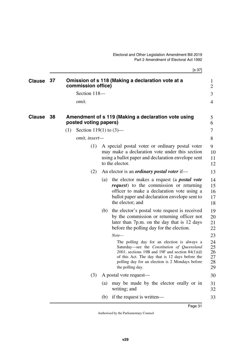[s 37]

<span id="page-32-3"></span><span id="page-32-2"></span><span id="page-32-1"></span><span id="page-32-0"></span>

| <b>Clause</b> | - 37 |     | commission office)        |     | Omission of s 118 (Making a declaration vote at a                                                                                                                                                                                                                          | 1<br>2                           |
|---------------|------|-----|---------------------------|-----|----------------------------------------------------------------------------------------------------------------------------------------------------------------------------------------------------------------------------------------------------------------------------|----------------------------------|
|               |      |     | Section 118-              |     |                                                                                                                                                                                                                                                                            | 3                                |
|               |      |     | omit.                     |     |                                                                                                                                                                                                                                                                            | 4                                |
|               |      |     |                           |     |                                                                                                                                                                                                                                                                            |                                  |
| <b>Clause</b> | 38   |     | posted voting papers)     |     | Amendment of s 119 (Making a declaration vote using                                                                                                                                                                                                                        | 5<br>6                           |
|               |      | (1) | Section 119(1) to $(3)$ — |     |                                                                                                                                                                                                                                                                            | 7                                |
|               |      |     | omit, insert-             |     |                                                                                                                                                                                                                                                                            | 8                                |
|               |      |     | (1)                       |     | A special postal voter or ordinary postal voter<br>may make a declaration vote under this section<br>using a ballot paper and declaration envelope sent<br>to the elector.                                                                                                 | 9<br>10<br>11<br>12              |
|               |      |     | (2)                       |     | An elector is an <i>ordinary postal voter</i> if—                                                                                                                                                                                                                          | 13                               |
|               |      |     |                           | (a) | the elector makes a request (a <i>postal vote</i><br><i>request</i> ) to the commission or returning<br>officer to make a declaration vote using a<br>ballot paper and declaration envelope sent to<br>the elector; and                                                    | 14<br>15<br>16<br>17<br>18       |
|               |      |     |                           | (b) | the elector's postal vote request is received<br>by the commission or returning officer not<br>later than 7p.m. on the day that is 12 days<br>before the polling day for the election.                                                                                     | 19<br>20<br>21<br>22             |
|               |      |     |                           |     | $Note-$                                                                                                                                                                                                                                                                    | 23                               |
|               |      |     |                           |     | The polling day for an election is always a<br>Saturday-see the Constitution of Queensland<br>$2001$ , sections 19B and 19F and section 84(1)(d)<br>of this Act. The day that is 12 days before the<br>polling day for an election is 2 Mondays before<br>the polling day. | 24<br>25<br>26<br>27<br>28<br>29 |
|               |      |     | (3)                       |     | A postal vote request—                                                                                                                                                                                                                                                     | 30                               |
|               |      |     |                           | (a) | may be made by the elector orally or in<br>writing; and                                                                                                                                                                                                                    | 31<br>32                         |
|               |      |     |                           | (b) | if the request is written—                                                                                                                                                                                                                                                 | 33                               |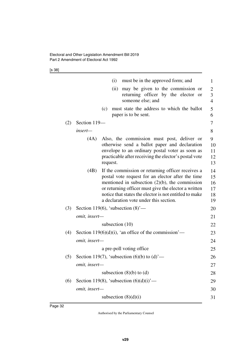[s 38]

|     |               | (i)<br>must be in the approved form; and                                                                                                                                                                                                                                                                                | $\mathbf{1}$                     |
|-----|---------------|-------------------------------------------------------------------------------------------------------------------------------------------------------------------------------------------------------------------------------------------------------------------------------------------------------------------------|----------------------------------|
|     |               | (ii)<br>may be given to the commission or<br>returning officer by the elector<br><sub>or</sub><br>someone else; and                                                                                                                                                                                                     | $\overline{2}$<br>3<br>4         |
|     |               | must state the address to which the ballot<br>(c)<br>paper is to be sent.                                                                                                                                                                                                                                               | 5<br>6                           |
| (2) | Section 119-  |                                                                                                                                                                                                                                                                                                                         | 7                                |
|     | insert-       |                                                                                                                                                                                                                                                                                                                         | 8                                |
|     | (4A)          | Also, the commission must post, deliver or<br>otherwise send a ballot paper and declaration<br>envelope to an ordinary postal voter as soon as<br>practicable after receiving the elector's postal vote<br>request.                                                                                                     | 9<br>10<br>11<br>12<br>13        |
|     | (4B)          | If the commission or returning officer receives a<br>postal vote request for an elector after the time<br>mentioned in subsection $(2)(b)$ , the commission<br>or returning officer must give the elector a written<br>notice that states the elector is not entitled to make<br>a declaration vote under this section. | 14<br>15<br>16<br>17<br>18<br>19 |
| (3) |               | Section 119(6), 'subsection $(8)$ '—                                                                                                                                                                                                                                                                                    | 20                               |
|     | omit, insert- |                                                                                                                                                                                                                                                                                                                         | 21                               |
|     |               | subsection $(10)$                                                                                                                                                                                                                                                                                                       | 22                               |
| (4) |               | Section 119 $(6)(d)(i)$ , 'an office of the commission'—                                                                                                                                                                                                                                                                | 23                               |
|     | omit, insert- |                                                                                                                                                                                                                                                                                                                         | 24                               |
|     |               | a pre-poll voting office                                                                                                                                                                                                                                                                                                | 25                               |
| (5) |               | Section 119(7), 'subsection $(6)(b)$ to $(d)$ '—                                                                                                                                                                                                                                                                        | 26                               |
|     | omit, insert- |                                                                                                                                                                                                                                                                                                                         | 27                               |
|     |               | subsection $(8)(b)$ to $(d)$                                                                                                                                                                                                                                                                                            | 28                               |
| (6) |               | Section 119(8), 'subsection $(6)(d)(i)$ '—                                                                                                                                                                                                                                                                              | 29                               |
|     | omit, insert- |                                                                                                                                                                                                                                                                                                                         | 30                               |
|     |               | subsection $(8)(d)(i)$                                                                                                                                                                                                                                                                                                  | 31                               |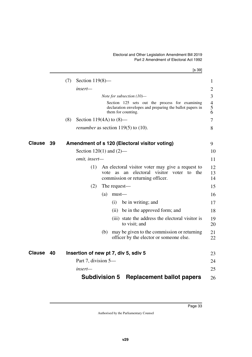#### <span id="page-34-5"></span>Electoral and Other Legislation Amendment Bill 2019 Part 2 Amendment of Electoral Act 1992

<span id="page-34-4"></span><span id="page-34-3"></span><span id="page-34-2"></span><span id="page-34-1"></span><span id="page-34-0"></span>

|                     | [s 39]                                                                                                                                               |
|---------------------|------------------------------------------------------------------------------------------------------------------------------------------------------|
|                     | (7)<br>Section $119(8)$ —                                                                                                                            |
|                     | insert-                                                                                                                                              |
|                     | Note for subsection $(10)$ —                                                                                                                         |
|                     | Section 125 sets out the process for examining<br>declaration envelopes and preparing the ballot papers in<br>them for counting.                     |
|                     | (8)<br>Section 119(4A) to $(8)$ —                                                                                                                    |
|                     | <i>renumber</i> as section $119(5)$ to $(10)$ .                                                                                                      |
| <b>Clause</b><br>39 | Amendment of s 120 (Electoral visitor voting)                                                                                                        |
|                     | Section $120(1)$ and $(2)$ —                                                                                                                         |
|                     | omit, insert-                                                                                                                                        |
|                     | (1)<br>An electoral visitor voter may give a request to<br>an electoral visitor<br>voter to<br>the<br>vote<br>as<br>commission or returning officer. |
|                     | (2)<br>The request—                                                                                                                                  |
|                     | (a)<br>$must$ —                                                                                                                                      |
|                     | (i)<br>be in writing; and                                                                                                                            |
|                     | (ii) be in the approved form; and                                                                                                                    |
|                     | (iii) state the address the electoral visitor is<br>to visit; and                                                                                    |
|                     | may be given to the commission or returning<br>(b)<br>officer by the elector or someone else.                                                        |
| Clause<br>40        | Insertion of new pt 7, div 5, sdiv 5                                                                                                                 |
|                     | Part 7, division 5—                                                                                                                                  |
|                     | insert—                                                                                                                                              |
|                     | <b>Replacement ballot papers</b><br><b>Subdivision 5</b>                                                                                             |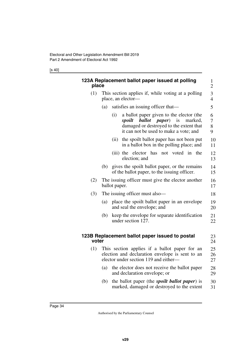#### [s 40]

<span id="page-35-3"></span><span id="page-35-2"></span><span id="page-35-1"></span><span id="page-35-0"></span>

| place | 123A Replacement ballot paper issued at polling                                                                                                                                  | $\mathbf{1}$<br>$\overline{2}$ |
|-------|----------------------------------------------------------------------------------------------------------------------------------------------------------------------------------|--------------------------------|
| (1)   | This section applies if, while voting at a polling<br>place, an elector-                                                                                                         | 3<br>$\overline{4}$            |
|       | satisfies an issuing officer that—<br>(a)                                                                                                                                        | 5                              |
|       | a ballot paper given to the elector (the<br>(i)<br>ballot paper)<br>spoilt<br>is<br>marked,<br>damaged or destroyed to the extent that<br>it can not be used to make a vote; and | 6<br>$\overline{7}$<br>8<br>9  |
|       | the spoilt ballot paper has not been put<br>(ii)<br>in a ballot box in the polling place; and                                                                                    | 10<br>11                       |
|       | (iii) the elector has<br>voted in the<br>not<br>election; and                                                                                                                    | 12<br>13                       |
|       | gives the spoilt ballot paper, or the remains<br>(b)<br>of the ballot paper, to the issuing officer.                                                                             | 14<br>15                       |
| (2)   | The issuing officer must give the elector another<br>ballot paper.                                                                                                               | 16<br>17                       |
| (3)   | The issuing officer must also—                                                                                                                                                   | 18                             |
|       | place the spoilt ballot paper in an envelope<br>(a)<br>and seal the envelope; and                                                                                                | 19<br>20                       |
|       | keep the envelope for separate identification<br>(b)<br>under section 127.                                                                                                       | 21<br>22                       |
| voter | 123B Replacement ballot paper issued to postal                                                                                                                                   | 23<br>24                       |
| (1)   | This section applies if a ballot paper for an<br>election and declaration envelope is sent to an<br>elector under section 119 and either-                                        | 25<br>26<br>27                 |
|       | the elector does not receive the ballot paper<br>(a)<br>and declaration envelope; or                                                                                             | 28<br>29                       |
|       | the ballot paper (the <i>spoilt ballot paper</i> ) is<br>(b)<br>marked, damaged or destroyed to the extent                                                                       | 30<br>31                       |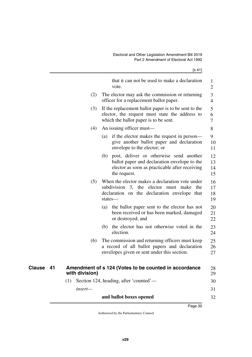[s 41]

|                     |                | that it can not be used to make a declaration<br>vote.                                                                                                        | 1<br>$\overline{2}$  |
|---------------------|----------------|---------------------------------------------------------------------------------------------------------------------------------------------------------------|----------------------|
|                     | (2)            | The elector may ask the commission or returning<br>officer for a replacement ballot paper.                                                                    | 3<br>$\overline{4}$  |
|                     | (3)            | If the replacement ballot paper is to be sent to the<br>elector, the request must state the address to<br>which the ballot paper is to be sent.               | 5<br>6<br>7          |
|                     | (4)            | An issuing officer must—                                                                                                                                      | 8                    |
|                     |                | (a) if the elector makes the request in person—<br>give another ballot paper and declaration<br>envelope to the elector; or                                   | 9<br>10<br>11        |
|                     |                | (b) post, deliver or otherwise send another<br>ballot paper and declaration envelope to the<br>elector as soon as practicable after receiving<br>the request. | 12<br>13<br>14<br>15 |
|                     | (5)            | When the elector makes a declaration vote under<br>subdivision 3, the elector must make<br>the<br>declaration on the declaration envelope that<br>states-     | 16<br>17<br>18<br>19 |
|                     |                | (a) the ballot paper sent to the elector has not<br>been received or has been marked, damaged<br>or destroyed; and                                            | 20<br>21<br>22       |
|                     |                | (b) the elector has not otherwise voted in the<br>election.                                                                                                   | 23<br>24             |
|                     | (6)            | The commission and returning officers must keep<br>a record of all ballot papers and declaration<br>envelopes given or sent under this section.               | 25<br>26<br>27       |
| <b>Clause</b><br>41 | with division) | Amendment of s 124 (Votes to be counted in accordance                                                                                                         | 28<br>29             |
|                     | (1)            | Section 124, heading, after 'counted'—                                                                                                                        | 30                   |
|                     | insert-        |                                                                                                                                                               | 31                   |
|                     |                | and ballot boxes opened                                                                                                                                       | 32                   |

## **and ballot boxes opened**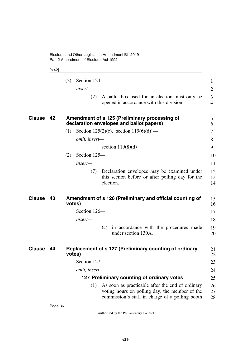## [s 42]

|               |    | Section 124-<br>(2)                                                                                                                                          | 1                   |
|---------------|----|--------------------------------------------------------------------------------------------------------------------------------------------------------------|---------------------|
|               |    | insert—                                                                                                                                                      | $\overline{2}$      |
|               |    | A ballot box used for an election must only be<br>(2)<br>opened in accordance with this division.                                                            | 3<br>$\overline{4}$ |
| Clause        | 42 | Amendment of s 125 (Preliminary processing of<br>declaration envelopes and ballot papers)                                                                    | 5<br>6              |
|               |    | Section 125(2)(c), 'section $119(6)(d)$ '—<br>(1)                                                                                                            | 7                   |
|               |    | omit, insert-                                                                                                                                                | 8                   |
|               |    | section $119(8)(d)$                                                                                                                                          | 9                   |
|               |    | Section 125-<br>(2)                                                                                                                                          | 10                  |
|               |    | insert—                                                                                                                                                      | 11                  |
|               |    | Declaration envelopes may be examined under<br>(7)<br>this section before or after polling day for the<br>election.                                          | 12<br>13<br>14      |
| Clause        | 43 | Amendment of s 126 (Preliminary and official counting of<br>votes)                                                                                           | 15<br>16            |
|               |    | Section 126-                                                                                                                                                 | 17                  |
|               |    | insert—                                                                                                                                                      | 18                  |
|               |    | (c) in accordance with the procedures made<br>under section 130A.                                                                                            | 19<br>20            |
| <b>Clause</b> | 44 | Replacement of s 127 (Preliminary counting of ordinary<br>votes)                                                                                             | 21<br>22            |
|               |    | Section 127-                                                                                                                                                 | 23                  |
|               |    | omit, insert-                                                                                                                                                | 24                  |
|               |    | 127 Preliminary counting of ordinary votes                                                                                                                   | 25                  |
|               |    | As soon as practicable after the end of ordinary<br>(1)<br>voting hours on polling day, the member of the<br>commission's staff in charge of a polling booth | 26<br>27<br>28      |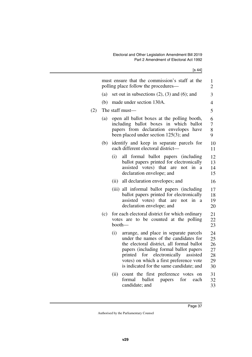|     |     |        | must ensure that the commission's staff at the<br>polling place follow the procedures—                                                                                                                                                                                                                  | 1<br>$\overline{2}$                    |  |  |  |  |  |  |  |
|-----|-----|--------|---------------------------------------------------------------------------------------------------------------------------------------------------------------------------------------------------------------------------------------------------------------------------------------------------------|----------------------------------------|--|--|--|--|--|--|--|
|     | (a) |        | set out in subsections $(2)$ , $(3)$ and $(6)$ ; and                                                                                                                                                                                                                                                    |                                        |  |  |  |  |  |  |  |
|     | (b) |        | made under section 130A.                                                                                                                                                                                                                                                                                | $\overline{4}$                         |  |  |  |  |  |  |  |
| (2) |     |        | The staff must-                                                                                                                                                                                                                                                                                         | 5                                      |  |  |  |  |  |  |  |
|     | (a) |        | open all ballot boxes at the polling booth,<br>including ballot boxes in which ballot<br>papers from declaration envelopes have<br>been placed under section $125(3)$ ; and                                                                                                                             | 6<br>7<br>8<br>9                       |  |  |  |  |  |  |  |
|     | (b) |        | identify and keep in separate parcels for<br>each different electoral district—                                                                                                                                                                                                                         | 10<br>11                               |  |  |  |  |  |  |  |
|     |     | (i)    | all formal ballot papers (including<br>ballot papers printed for electronically<br>assisted votes) that are<br>in<br>not<br>a<br>declaration envelope; and                                                                                                                                              | 12<br>13<br>14<br>15                   |  |  |  |  |  |  |  |
|     |     | (ii)   | all declaration envelopes; and                                                                                                                                                                                                                                                                          | 16                                     |  |  |  |  |  |  |  |
|     |     |        | (iii) all informal ballot papers (including<br>ballot papers printed for electronically<br>assisted votes) that are<br>not<br>in a<br>declaration envelope; and                                                                                                                                         | 17<br>18<br>19<br>20                   |  |  |  |  |  |  |  |
|     | (c) | booth- | for each electoral district for which ordinary<br>votes are to be counted at the polling                                                                                                                                                                                                                | 21<br>22<br>23                         |  |  |  |  |  |  |  |
|     |     | (i)    | arrange, and place in separate parcels<br>under the names of the candidates for<br>the electoral district, all formal ballot<br>papers (including formal ballot papers<br>for electronically assisted<br>printed<br>votes) on which a first preference vote<br>is indicated for the same candidate; and | 24<br>25<br>26<br>27<br>28<br>29<br>30 |  |  |  |  |  |  |  |
|     |     | (ii)   | count the first preference votes on<br>formal ballot<br>for<br>papers<br>each<br>candidate; and                                                                                                                                                                                                         | 31<br>32<br>33                         |  |  |  |  |  |  |  |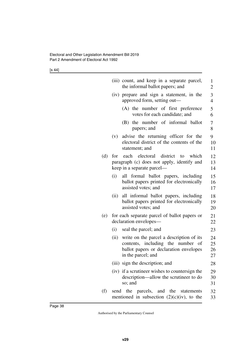[s 44]

|     |      | (iii) count, and keep in a separate parcel,<br>the informal ballot papers; and                                                                     | 1<br>$\overline{c}$  |
|-----|------|----------------------------------------------------------------------------------------------------------------------------------------------------|----------------------|
|     |      | (iv) prepare and sign a statement, in the<br>approved form, setting out—                                                                           | 3<br>$\overline{4}$  |
|     |      | (A) the number of first preference<br>votes for each candidate; and                                                                                | 5<br>6               |
|     |      | (B) the number of informal ballot<br>papers; and                                                                                                   | $\overline{7}$<br>8  |
|     | (v)  | advise the returning officer for the<br>electoral district of the contents of the<br>statement; and                                                | 9<br>10<br>11        |
| (d) | for  | each electoral district to<br>which<br>paragraph (c) does not apply, identify and<br>keep in a separate parcel—                                    | 12<br>13<br>14       |
|     | (i)  | all formal ballot papers, including<br>ballot papers printed for electronically<br>assisted votes; and                                             | 15<br>16<br>17       |
|     | (ii) | all informal ballot papers, including<br>ballot papers printed for electronically<br>assisted votes; and                                           | 18<br>19<br>20       |
| (e) |      | for each separate parcel of ballot papers or<br>declaration envelopes-                                                                             | 21<br>22             |
|     | (i)  | seal the parcel; and                                                                                                                               | 23                   |
|     |      | (ii) write on the parcel a description of its<br>contents, including the number of<br>ballot papers or declaration envelopes<br>in the parcel; and | 24<br>25<br>26<br>27 |
|     |      | (iii) sign the description; and                                                                                                                    | 28                   |
|     |      | (iv) if a scrutineer wishes to countersign the<br>description—allow the scrutineer to do<br>so; and                                                | 29<br>30<br>31       |
| (f) |      | send the parcels, and the statements<br>mentioned in subsection $(2)(c)(iv)$ , to the                                                              | 32<br>33             |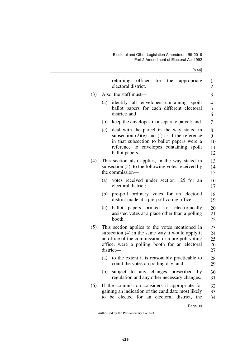$[s 44]$ 

|     | returning officer for the<br>appropriate<br>electoral district.                                                                                                                                                       | 1<br>$\overline{c}$        |
|-----|-----------------------------------------------------------------------------------------------------------------------------------------------------------------------------------------------------------------------|----------------------------|
| (3) | Also, the staff must—                                                                                                                                                                                                 | 3                          |
|     | identify all envelopes containing spoilt<br>(a)<br>ballot papers for each different electoral<br>district; and                                                                                                        | 4<br>5<br>6                |
|     | keep the envelopes in a separate parcel; and<br>(b)                                                                                                                                                                   | 7                          |
|     | deal with the parcel in the way stated in<br>(c)<br>subsection $(2)(e)$ and $(f)$ as if the reference<br>in that subsection to ballot papers were a<br>reference to envelopes containing spoilt<br>ballot papers.     | 8<br>9<br>10<br>11<br>12   |
| (4) | This section also applies, in the way stated in<br>subsection (5), to the following votes received by<br>the commission-                                                                                              | 13<br>14<br>15             |
|     | votes received under section 125 for an<br>(a)<br>electoral district;                                                                                                                                                 | 16<br>17                   |
|     | pre-poll ordinary votes for an electoral<br>(b)<br>district made at a pre-poll voting office;                                                                                                                         | 18<br>19                   |
|     | ballot papers printed for electronically<br>(c)<br>assisted votes at a place other than a polling<br>booth.                                                                                                           | 20<br>21<br>22             |
| (5) | This section applies to the votes mentioned in<br>subsection (4) in the same way it would apply if<br>an office of the commission, or a pre-poll voting<br>office, were a polling booth for an electoral<br>district- | 23<br>24<br>25<br>26<br>27 |
|     | to the extent it is reasonably practicable to<br>(a)<br>count the votes on polling day; and                                                                                                                           | 28<br>29                   |
|     | subject to any changes prescribed by<br>(b)<br>regulation and any other necessary changes.                                                                                                                            | 30<br>31                   |
| (6) | If the commission considers it appropriate for<br>gaining an indication of the candidate most likely<br>elected for an electoral district, the<br>be<br>to                                                            | 32<br>33<br>34             |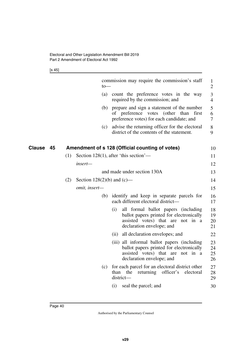[s 45]

|              |     |                                 | $to-$ | commission may require the commission's staff                                                                                                             | $\mathbf{1}$<br>$\overline{2}$ |
|--------------|-----|---------------------------------|-------|-----------------------------------------------------------------------------------------------------------------------------------------------------------|--------------------------------|
|              |     |                                 | (a)   | count the preference votes in the way<br>required by the commission; and                                                                                  | 3<br>$\overline{4}$            |
|              |     |                                 | (b)   | prepare and sign a statement of the number<br>of preference votes<br>(other than<br>first<br>preference votes) for each candidate; and                    | 5<br>6<br>7                    |
|              |     |                                 | (c)   | advise the returning officer for the electoral<br>district of the contents of the statement.                                                              | 8<br>9                         |
| Clause<br>45 |     |                                 |       | Amendment of s 128 (Official counting of votes)                                                                                                           | 10                             |
|              | (1) |                                 |       | Section 128(1), after 'this section'—                                                                                                                     | 11                             |
|              |     | insert—                         |       |                                                                                                                                                           | 12                             |
|              |     |                                 |       | and made under section 130A                                                                                                                               | 13                             |
|              | (2) | Section $128(2)(b)$ and $(c)$ — |       |                                                                                                                                                           | 14                             |
|              |     | omit, insert-                   |       |                                                                                                                                                           | 15                             |
|              |     |                                 | (b)   | identify and keep in separate parcels for<br>each different electoral district-                                                                           | 16<br>17                       |
|              |     |                                 |       | (i)<br>all formal ballot papers (including<br>ballot papers printed for electronically<br>assisted votes) that are not in a<br>declaration envelope; and  | 18<br>19<br>20<br>21           |
|              |     |                                 |       | (ii) all declaration envelopes; and                                                                                                                       | 22                             |
|              |     |                                 |       | (iii) all informal ballot papers (including<br>ballot papers printed for electronically<br>assisted votes) that are not in a<br>declaration envelope; and | 23<br>24<br>25<br>26           |
|              |     |                                 | (c)   | for each parcel for an electoral district other<br>returning officer's<br>than<br>the<br>electoral<br>$district$ —                                        | 27<br>28<br>29                 |
|              |     |                                 |       | (i)<br>seal the parcel; and                                                                                                                               | 30                             |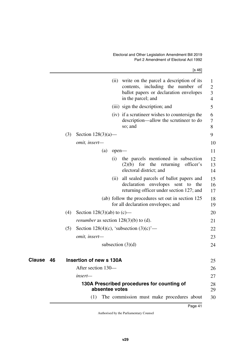| ł |
|---|
|---|

|                     |     |                                                |       | (ii) write on the parcel a description of its<br>contents, including the number of<br>ballot papers or declaration envelopes<br>in the parcel; and | 1<br>$\overline{2}$<br>3<br>4 |
|---------------------|-----|------------------------------------------------|-------|----------------------------------------------------------------------------------------------------------------------------------------------------|-------------------------------|
|                     |     |                                                |       | (iii) sign the description; and                                                                                                                    | 5                             |
|                     |     |                                                |       | (iv) if a scrutineer wishes to countersign the<br>description—allow the scrutineer to do<br>so; and                                                | 6<br>7<br>8                   |
|                     | (3) | Section $128(3)(a)$ —                          |       |                                                                                                                                                    | 9                             |
|                     |     | omit, insert-                                  |       |                                                                                                                                                    | 10                            |
|                     |     | (a)                                            | open- |                                                                                                                                                    | 11                            |
|                     |     |                                                | (i)   | the parcels mentioned in subsection<br>the returning<br>for<br>officer's<br>(2)(b)<br>electoral district; and                                      | 12<br>13<br>14                |
|                     |     |                                                | (ii)  | all sealed parcels of ballot papers and<br>declaration envelopes sent to<br>the<br>returning officer under section 127; and                        | 15<br>16<br>17                |
|                     |     |                                                |       | (ab) follow the procedures set out in section 125<br>for all declaration envelopes; and                                                            | 18<br>19                      |
|                     | (4) | Section 128(3)(ab) to $(c)$ —                  |       |                                                                                                                                                    | 20                            |
|                     |     | <i>renumber</i> as section $128(3)(b)$ to (d). |       |                                                                                                                                                    | 21                            |
|                     | (5) |                                                |       | Section 128(4)(c), 'subsection $(3)(c)$ '—                                                                                                         | 22                            |
|                     |     | omit, insert-                                  |       |                                                                                                                                                    | 23                            |
|                     |     |                                                |       | subsection $(3)(d)$                                                                                                                                | 24                            |
| <b>Clause</b><br>46 |     | Insertion of new s 130A                        |       |                                                                                                                                                    | 25                            |
|                     |     | After section 130-                             |       |                                                                                                                                                    | 26                            |
|                     |     | insert—                                        |       |                                                                                                                                                    | 27                            |
|                     |     | absentee votes                                 |       | 130A Prescribed procedures for counting of                                                                                                         | 28<br>29                      |
|                     |     | (1)                                            |       | The commission must make procedures about                                                                                                          | 30                            |
|                     |     |                                                |       |                                                                                                                                                    |                               |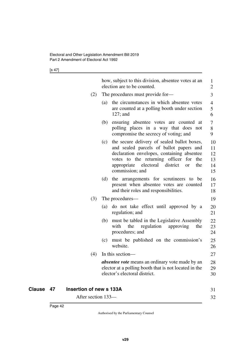[s 47]

|                                                       | how, subject to this division, absentee votes at an<br>election are to be counted.                                                                                                                                                                                             | 1<br>$\overline{2}$              |
|-------------------------------------------------------|--------------------------------------------------------------------------------------------------------------------------------------------------------------------------------------------------------------------------------------------------------------------------------|----------------------------------|
| (2)                                                   | The procedures must provide for-                                                                                                                                                                                                                                               | 3                                |
|                                                       | the circumstances in which absentee votes<br>(a)<br>are counted at a polling booth under section<br>$127$ ; and                                                                                                                                                                | $\overline{4}$<br>5<br>6         |
|                                                       | ensuring absentee votes are counted at<br>(b)<br>polling places in a way that does not<br>compromise the secrecy of voting; and                                                                                                                                                | 7<br>8<br>9                      |
|                                                       | the secure delivery of sealed ballot boxes,<br>(c)<br>and sealed parcels of ballot papers and<br>declaration envelopes, containing absentee<br>votes to the returning officer<br>for<br>the<br>district<br>appropriate<br>electoral<br>the<br><sub>or</sub><br>commission; and | 10<br>11<br>12<br>13<br>14<br>15 |
|                                                       | the arrangements for scrutineers to be<br>(d)<br>present when absentee votes are counted<br>and their roles and responsibilities.                                                                                                                                              | 16<br>17<br>18                   |
| (3)                                                   | The procedures—                                                                                                                                                                                                                                                                | 19                               |
|                                                       | do not take effect until approved by a<br>(a)<br>regulation; and                                                                                                                                                                                                               | 20<br>21                         |
|                                                       | (b) must be tabled in the Legislative Assembly<br>with<br>the<br>regulation<br>approving<br>the<br>procedures; and                                                                                                                                                             | 22<br>23<br>24                   |
|                                                       | must be published on the commission's<br>(c)<br>website.                                                                                                                                                                                                                       | 25<br>26                         |
| (4)                                                   | In this section-                                                                                                                                                                                                                                                               | 27                               |
|                                                       | <i>absentee vote</i> means an ordinary vote made by an<br>elector at a polling booth that is not located in the<br>elector's electoral district.                                                                                                                               | 28<br>29<br>30                   |
| 47<br><b>Insertion of new s 133A</b><br><b>Clause</b> |                                                                                                                                                                                                                                                                                | 31                               |

32

After section 133—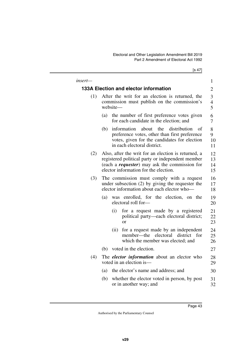[s 47]

| insert— |                                                                                                            |                                                                                                                                                                                                           | 1                    |  |  |
|---------|------------------------------------------------------------------------------------------------------------|-----------------------------------------------------------------------------------------------------------------------------------------------------------------------------------------------------------|----------------------|--|--|
|         |                                                                                                            | 133A Election and elector information                                                                                                                                                                     | $\overline{c}$       |  |  |
| (1)     | After the writ for an election is returned, the<br>commission must publish on the commission's<br>website- |                                                                                                                                                                                                           |                      |  |  |
|         | (a)                                                                                                        | the number of first preference votes given<br>for each candidate in the election; and                                                                                                                     | 6<br>7               |  |  |
|         | (b)                                                                                                        | information<br>about<br>the<br>distribution<br>of<br>preference votes, other than first preference<br>votes, given for the candidates for election<br>in each electoral district.                         | 8<br>9<br>10<br>11   |  |  |
| (2)     |                                                                                                            | Also, after the writ for an election is returned, a<br>registered political party or independent member<br>(each a <i>requester</i> ) may ask the commission for<br>elector information for the election. | 12<br>13<br>14<br>15 |  |  |
| (3)     |                                                                                                            | The commission must comply with a request<br>under subsection $(2)$ by giving the requester the<br>elector information about each elector who-                                                            | 16<br>17<br>18       |  |  |
|         | (a)                                                                                                        | was enrolled, for the election, on the<br>electoral roll for-                                                                                                                                             | 19<br>20             |  |  |
|         |                                                                                                            | for a request made by a registered<br>(i)<br>political party—each electoral district;<br>$\alpha$                                                                                                         | 21<br>22<br>23       |  |  |
|         |                                                                                                            | for a request made by an independent<br>(ii)<br>member—the<br>electoral<br>district<br>for<br>which the member was elected; and                                                                           | 24<br>25<br>26       |  |  |
|         | (b)                                                                                                        | voted in the election.                                                                                                                                                                                    | 27                   |  |  |
| (4)     |                                                                                                            | The <i>elector information</i> about an elector who<br>voted in an election is-                                                                                                                           | 28<br>29             |  |  |
|         | (a)                                                                                                        | the elector's name and address; and                                                                                                                                                                       | 30                   |  |  |
|         | (b)                                                                                                        | whether the elector voted in person, by post<br>or in another way; and                                                                                                                                    | 31<br>32             |  |  |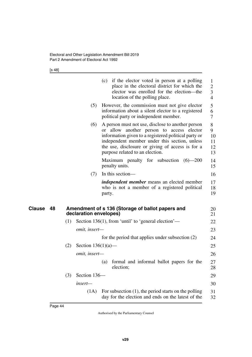[s 48]

|              |     |                        |               | (c) if the elector voted in person at a polling<br>place in the electoral district for which the<br>elector was enrolled for the election—the<br>location of the polling place.                                                                                                             | 1<br>$\overline{2}$<br>3<br>$\overline{4}$ |
|--------------|-----|------------------------|---------------|---------------------------------------------------------------------------------------------------------------------------------------------------------------------------------------------------------------------------------------------------------------------------------------------|--------------------------------------------|
|              |     | (5)                    |               | However, the commission must not give elector<br>information about a silent elector to a registered<br>political party or independent member.                                                                                                                                               | 5<br>6<br>7                                |
|              |     | (6)                    | <sub>or</sub> | A person must not use, disclose to another person<br>allow another person to access elector<br>information given to a registered political party or<br>independent member under this section, unless<br>the use, disclosure or giving of access is for a<br>purpose related to an election. | 8<br>9<br>10<br>11<br>12<br>13             |
|              |     |                        |               | Maximum penalty for subsection $(6)$ —200<br>penalty units.                                                                                                                                                                                                                                 | 14<br>15                                   |
|              |     | (7)                    |               | In this section-                                                                                                                                                                                                                                                                            | 16                                         |
|              |     |                        | party.        | <i>independent member</i> means an elected member<br>who is not a member of a registered political                                                                                                                                                                                          | 17<br>18<br>19                             |
| Clause<br>48 |     | declaration envelopes) |               | Amendment of s 136 (Storage of ballot papers and                                                                                                                                                                                                                                            | 20<br>21                                   |
|              | (1) |                        |               | Section 136(1), from 'until' to 'general election'—                                                                                                                                                                                                                                         | 22                                         |
|              |     | omit, insert-          |               |                                                                                                                                                                                                                                                                                             | 23                                         |
|              |     |                        |               | for the period that applies under subsection $(2)$                                                                                                                                                                                                                                          | 24                                         |
|              | (2) | Section $136(1)(a)$ —  |               |                                                                                                                                                                                                                                                                                             | 25                                         |
|              |     | omit, insert-          |               |                                                                                                                                                                                                                                                                                             | 26                                         |
|              |     |                        |               | (a) formal and informal ballot papers for the<br>election;                                                                                                                                                                                                                                  | 27<br>28                                   |
|              | (3) | Section 136-           |               |                                                                                                                                                                                                                                                                                             | 29                                         |
|              |     | insert-                |               |                                                                                                                                                                                                                                                                                             | 30                                         |
|              |     | (1A)                   |               | For subsection $(1)$ , the period starts on the polling<br>day for the election and ends on the latest of the                                                                                                                                                                               | 31<br>32                                   |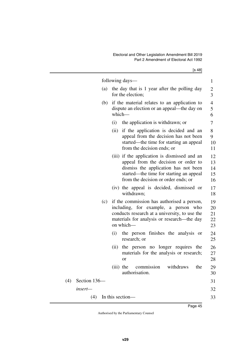[s 48]

|     |              |     |             | following days—                                                                                                                                                                                                | $\mathbf{1}$               |
|-----|--------------|-----|-------------|----------------------------------------------------------------------------------------------------------------------------------------------------------------------------------------------------------------|----------------------------|
|     |              | (a) |             | the day that is 1 year after the polling day<br>for the election;                                                                                                                                              | $\overline{c}$<br>3        |
|     |              | (b) | which-      | if the material relates to an application to<br>dispute an election or an appeal—the day on                                                                                                                    | 4<br>5<br>6                |
|     |              |     | (i)         | the application is withdrawn; or                                                                                                                                                                               | 7                          |
|     |              |     | (ii)        | if the application is decided and an<br>appeal from the decision has not been<br>started—the time for starting an appeal<br>from the decision ends; or                                                         | 8<br>9<br>10<br>11         |
|     |              |     |             | (iii) if the application is dismissed and an<br>appeal from the decision or order to<br>dismiss the application has not been<br>started—the time for starting an appeal<br>from the decision or order ends; or | 12<br>13<br>14<br>15<br>16 |
|     |              |     |             | (iv) the appeal is decided, dismissed or<br>withdrawn;                                                                                                                                                         | 17<br>18                   |
|     |              |     |             | (c) if the commission has authorised a person,<br>including, for example, a person<br>who<br>conducts research at a university, to use the<br>materials for analysis or research—the day<br>on which-          | 19<br>20<br>21<br>22<br>23 |
|     |              |     | (i)         | the person finishes the analysis or<br>research; or                                                                                                                                                            | 24<br>25                   |
|     |              |     | (ii)        | the person no longer requires the<br>materials for the analysis or research;<br>or                                                                                                                             | 26<br>27<br>28             |
|     |              |     | $(iii)$ the | the<br>withdraws<br>commission<br>authorisation.                                                                                                                                                               | 29<br>30                   |
| (4) | Section 136- |     |             |                                                                                                                                                                                                                | 31                         |
|     | insert-      |     |             |                                                                                                                                                                                                                | 32                         |
|     | (4)          |     |             | In this section-                                                                                                                                                                                               | 33                         |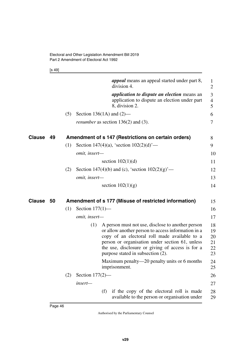[s 49]

|               |    |     |                    | <i>appeal</i> means an appeal started under part 8,<br>division 4.                                                                                                                                                                                                                                   | 1<br>$\overline{2}$              |
|---------------|----|-----|--------------------|------------------------------------------------------------------------------------------------------------------------------------------------------------------------------------------------------------------------------------------------------------------------------------------------------|----------------------------------|
|               |    |     |                    | <i>application to dispute an election</i> means an                                                                                                                                                                                                                                                   | 3                                |
|               |    |     |                    | application to dispute an election under part<br>8, division 2.                                                                                                                                                                                                                                      | $\overline{4}$<br>5              |
|               |    | (5) |                    | Section 136(1A) and $(2)$ —                                                                                                                                                                                                                                                                          | 6                                |
|               |    |     |                    | <i>renumber</i> as section $136(2)$ and (3).                                                                                                                                                                                                                                                         | 7                                |
| <b>Clause</b> | 49 |     |                    | Amendment of s 147 (Restrictions on certain orders)                                                                                                                                                                                                                                                  | 8                                |
|               |    | (1) |                    | Section 147(4)(a), 'section $102(2)(d)$ '—                                                                                                                                                                                                                                                           | 9                                |
|               |    |     | omit, insert-      |                                                                                                                                                                                                                                                                                                      | 10                               |
|               |    |     |                    | section $102(1)(d)$                                                                                                                                                                                                                                                                                  | 11                               |
|               |    | (2) |                    | Section 147(4)(b) and (c), 'section $102(2)(g)$ '—                                                                                                                                                                                                                                                   | 12                               |
|               |    |     | omit, insert-      |                                                                                                                                                                                                                                                                                                      | 13                               |
|               |    |     |                    | section $102(1)(g)$                                                                                                                                                                                                                                                                                  | 14                               |
| Clause        | 50 |     |                    | Amendment of s 177 (Misuse of restricted information)                                                                                                                                                                                                                                                | 15                               |
|               |    | (1) | Section $177(1)$ — |                                                                                                                                                                                                                                                                                                      | 16                               |
|               |    |     | omit, insert-      |                                                                                                                                                                                                                                                                                                      | 17                               |
|               |    |     | (1)                | A person must not use, disclose to another person<br>or allow another person to access information in a<br>copy of an electoral roll made available to a<br>person or organisation under section 61, unless<br>the use, disclosure or giving of access is for a<br>purpose stated in subsection (2). | 18<br>19<br>20<br>21<br>22<br>23 |
|               |    |     |                    | Maximum penalty—20 penalty units or 6 months<br>imprisonment.                                                                                                                                                                                                                                        | 24<br>25                         |
|               |    | (2) | Section $177(2)$ — |                                                                                                                                                                                                                                                                                                      | 26                               |
|               |    |     | insert-            |                                                                                                                                                                                                                                                                                                      | 27                               |
|               |    |     |                    | if the copy of the electoral roll is made<br>(f)<br>available to the person or organisation under                                                                                                                                                                                                    | 28<br>29                         |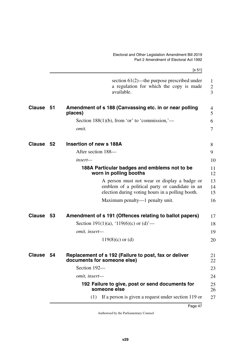|               |      | [s 51]                                                                                                                                             |                                                  |
|---------------|------|----------------------------------------------------------------------------------------------------------------------------------------------------|--------------------------------------------------|
|               |      | section $61(2)$ —the purpose prescribed under<br>a regulation for which the copy is made<br>available.                                             | $\mathbf{1}$<br>$\overline{2}$<br>$\overline{3}$ |
| <b>Clause</b> | - 51 | Amendment of s 188 (Canvassing etc. in or near polling<br>places)                                                                                  | 4<br>5                                           |
|               |      | Section 188(1)(b), from 'or' to 'commission,'—                                                                                                     | 6                                                |
|               |      | omit.                                                                                                                                              | $\overline{7}$                                   |
| Clause 52     |      | <b>Insertion of new s 188A</b>                                                                                                                     | 8                                                |
|               |      | After section 188-                                                                                                                                 | 9                                                |
|               |      | $insert-$                                                                                                                                          | 10                                               |
|               |      | 188A Particular badges and emblems not to be<br>worn in polling booths                                                                             | 11<br>12                                         |
|               |      | A person must not wear or display a badge or<br>emblem of a political party or candidate in an<br>election during voting hours in a polling booth. | 13<br>14<br>15                                   |
|               |      | Maximum penalty—1 penalty unit.                                                                                                                    | 16                                               |
| <b>Clause</b> | 53   | Amendment of s 191 (Offences relating to ballot papers)                                                                                            | 17                                               |
|               |      | Section 191(1)(a), '119(6)(c) or (d)'—                                                                                                             | 18                                               |
|               |      | omit, insert-                                                                                                                                      | 19                                               |
|               |      | $119(8)(c)$ or (d)                                                                                                                                 | 20                                               |
| <b>Clause</b> | 54   | Replacement of s 192 (Failure to post, fax or deliver<br>documents for someone else)                                                               | 21<br>22                                         |
|               |      | Section 192-                                                                                                                                       | 23                                               |
|               |      | omit, insert-                                                                                                                                      | 24                                               |
|               |      | 192 Failure to give, post or send documents for<br>someone else                                                                                    | 25<br>26                                         |
|               |      | If a person is given a request under section 119 or<br>(1)                                                                                         | 27                                               |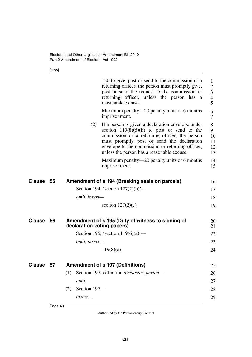[s 55]

|        |    |                            | 120 to give, post or send to the commission or a<br>returning officer, the person must promptly give,<br>post or send the request to the commission or<br>returning officer, unless the person has a<br>reasonable excuse.                                                                           | $\mathbf{1}$<br>$\overline{2}$<br>3<br>$\overline{4}$<br>5 |
|--------|----|----------------------------|------------------------------------------------------------------------------------------------------------------------------------------------------------------------------------------------------------------------------------------------------------------------------------------------------|------------------------------------------------------------|
|        |    |                            | Maximum penalty—20 penalty units or 6 months<br>imprisonment.                                                                                                                                                                                                                                        | 6<br>7                                                     |
|        |    | (2)                        | If a person is given a declaration envelope under<br>section $119(8)(d)(ii)$ to post or send to the<br>commission or a returning officer, the person<br>must promptly post or send the declaration<br>envelope to the commission or returning officer,<br>unless the person has a reasonable excuse. | 8<br>9<br>10<br>11<br>12<br>13                             |
|        |    |                            | Maximum penalty—20 penalty units or 6 months<br>imprisonment.                                                                                                                                                                                                                                        | 14<br>15                                                   |
| Clause | 55 |                            | Amendment of s 194 (Breaking seals on parcels)                                                                                                                                                                                                                                                       | 16                                                         |
|        |    |                            | Section 194, 'section $127(2)(h)$ '—                                                                                                                                                                                                                                                                 | 17                                                         |
|        |    | omit, insert-              |                                                                                                                                                                                                                                                                                                      | 18                                                         |
|        |    |                            | section $127(2)(e)$                                                                                                                                                                                                                                                                                  | 19                                                         |
| Clause | 56 | declaration voting papers) | Amendment of s 195 (Duty of witness to signing of                                                                                                                                                                                                                                                    | 20<br>21                                                   |
|        |    |                            | Section 195, 'section $119(6)(a)$ '—                                                                                                                                                                                                                                                                 | 22                                                         |
|        |    | omit, insert-              |                                                                                                                                                                                                                                                                                                      | 23                                                         |
|        |    |                            | 119(8)(a)                                                                                                                                                                                                                                                                                            | 24                                                         |
| Clause | 57 |                            | <b>Amendment of s 197 (Definitions)</b>                                                                                                                                                                                                                                                              | 25                                                         |
|        |    | (1)                        | Section 197, definition disclosure period-                                                                                                                                                                                                                                                           | 26                                                         |
|        |    | omit.                      |                                                                                                                                                                                                                                                                                                      | 27                                                         |
|        |    | Section 197-<br>(2)        |                                                                                                                                                                                                                                                                                                      | 28                                                         |
|        |    | insert-                    |                                                                                                                                                                                                                                                                                                      | 29                                                         |
|        |    |                            |                                                                                                                                                                                                                                                                                                      |                                                            |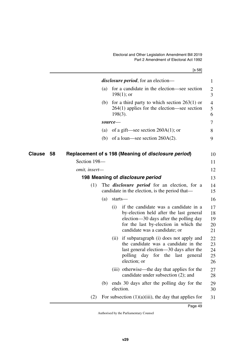[s 58]

|              |               |                                         | <i>disclosure period</i> , for an election—                                                                                                                                                          | 1                          |
|--------------|---------------|-----------------------------------------|------------------------------------------------------------------------------------------------------------------------------------------------------------------------------------------------------|----------------------------|
|              | (a)           | $198(1)$ ; or                           | for a candidate in the election—see section                                                                                                                                                          | $\overline{c}$<br>3        |
|              | (b)           | $198(3)$ .                              | for a third party to which section $263(1)$ or<br>$264(1)$ applies for the election—see section                                                                                                      | 4<br>5<br>6                |
|              |               | source—                                 |                                                                                                                                                                                                      | 7                          |
|              | (a)           |                                         | of a gift—see section $260A(1)$ ; or                                                                                                                                                                 | 8                          |
|              | (b)           |                                         | of a loan—see section $260A(2)$ .                                                                                                                                                                    | 9                          |
| Clause<br>58 |               |                                         | Replacement of s 198 (Meaning of <i>disclosure period</i> )                                                                                                                                          | 10                         |
|              | Section 198-  |                                         |                                                                                                                                                                                                      | 11                         |
|              | omit, insert- |                                         |                                                                                                                                                                                                      | 12                         |
|              |               | 198 Meaning of <i>disclosure period</i> |                                                                                                                                                                                                      | 13                         |
|              | (1)           |                                         | The <i>disclosure period</i> for an election, for a<br>candidate in the election, is the period that—                                                                                                | 14<br>15                   |
|              | (a)           | starts-                                 |                                                                                                                                                                                                      | 16                         |
|              |               | (i)                                     | if the candidate was a candidate in a<br>by-election held after the last general<br>election—30 days after the polling day<br>for the last by-election in which the<br>candidate was a candidate; or | 17<br>18<br>19<br>20<br>21 |
|              |               | (ii)<br>polling day<br>election; or     | if subparagraph (i) does not apply and<br>the candidate was a candidate in the<br>last general election—30 days after the<br>for the last general                                                    | 22<br>23<br>24<br>25<br>26 |
|              |               |                                         | (iii) otherwise—the day that applies for the<br>candidate under subsection (2); and                                                                                                                  | 27<br>28                   |
|              | (b)           | election.                               | ends 30 days after the polling day for the                                                                                                                                                           | 29<br>30                   |
|              | (2)           |                                         | For subsection $(1)(a)(iii)$ , the day that applies for                                                                                                                                              | 31                         |
|              |               |                                         |                                                                                                                                                                                                      |                            |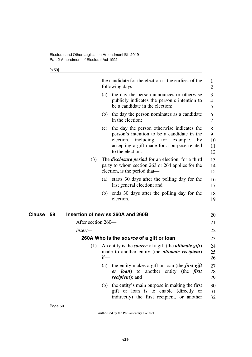[s 59]

|              |                    |        | the candidate for the election is the earliest of the<br>following days—                                                                                                                                       | $\mathbf{1}$<br>$\overline{2}$ |
|--------------|--------------------|--------|----------------------------------------------------------------------------------------------------------------------------------------------------------------------------------------------------------------|--------------------------------|
|              |                    | (a)    | the day the person announces or otherwise<br>publicly indicates the person's intention to<br>be a candidate in the election;                                                                                   | 3<br>$\overline{4}$<br>5       |
|              |                    | (b)    | the day the person nominates as a candidate<br>in the election;                                                                                                                                                | 6<br>$\tau$                    |
|              |                    | (c)    | the day the person otherwise indicates the<br>person's intention to be a candidate in the<br>election,<br>including, for example,<br>$-$ by<br>accepting a gift made for a purpose related<br>to the election. | 8<br>9<br>10<br>11<br>12       |
|              | (3)                |        | The <i>disclosure period</i> for an election, for a third<br>party to whom section 263 or 264 applies for the<br>election, is the period that—                                                                 | 13<br>14<br>15                 |
|              |                    | (a)    | starts 30 days after the polling day for the<br>last general election; and                                                                                                                                     | 16<br>17                       |
|              |                    | (b)    | ends 30 days after the polling day for the<br>election.                                                                                                                                                        | 18<br>19                       |
| Clause<br>59 |                    |        | Insertion of new ss 260A and 260B                                                                                                                                                                              | 20                             |
|              | After section 260— |        |                                                                                                                                                                                                                | 21                             |
|              | insert—            |        |                                                                                                                                                                                                                | 22                             |
|              |                    |        | 260A Who is the source of a gift or loan                                                                                                                                                                       | 23                             |
|              | (1)                | $if$ — | An entity is the <i>source</i> of a gift (the <i>ultimate gift</i> )<br>made to another entity (the <i>ultimate recipient</i> )                                                                                | 24<br>25<br>26                 |
|              |                    |        | (a) the entity makes a gift or loan (the <i>first gift</i><br>or loan) to another entity (the first<br><i>recipient</i> ); and                                                                                 | 27<br>28<br>29                 |
|              |                    | (b)    | the entity's main purpose in making the first<br>gift or loan is to enable (directly or<br>indirectly) the first recipient, or another                                                                         | 30<br>31<br>32                 |
|              |                    |        |                                                                                                                                                                                                                |                                |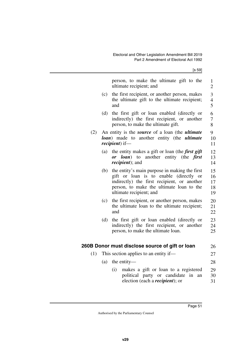[s 59]

|     |     | person, to make the ultimate gift to the<br>ultimate recipient; and                                                                                                                                           | $\mathbf{1}$<br>$\overline{c}$                           |
|-----|-----|---------------------------------------------------------------------------------------------------------------------------------------------------------------------------------------------------------------|----------------------------------------------------------|
|     | (c) | the first recipient, or another person, makes<br>the ultimate gift to the ultimate recipient;<br>and                                                                                                          | $\overline{\mathbf{3}}$<br>$\overline{\mathcal{L}}$<br>5 |
|     | (d) | the first gift or loan enabled (directly or<br>indirectly) the first recipient, or another<br>person, to make the ultimate gift.                                                                              | 6<br>$\overline{7}$<br>8                                 |
| (2) |     | An entity is the <i>source</i> of a loan (the <i>ultimate</i><br><b>loan</b> ) made to another entity (the <i>ultimate</i><br><i>recipient</i> ) if-                                                          | 9<br>10<br>11                                            |
|     | (a) | the entity makes a gift or loan (the <i>first gift</i><br>another entity (the <i>first</i><br><i>loan</i> ) to<br>$\boldsymbol{or}$<br><i>recipient</i> ); and                                                | 12<br>13<br>14                                           |
|     | (b) | the entity's main purpose in making the first<br>gift or loan is to enable (directly or<br>indirectly) the first recipient, or another<br>person, to make the ultimate loan to the<br>ultimate recipient; and | 15<br>16<br>17<br>18<br>19                               |
|     | (c) | the first recipient, or another person, makes<br>the ultimate loan to the ultimate recipient;<br>and                                                                                                          | 20<br>21<br>22                                           |
|     | (d) | the first gift or loan enabled (directly or<br>indirectly) the first recipient, or another<br>person, to make the ultimate loan.                                                                              | 23<br>24<br>25                                           |
|     |     | 260B Donor must disclose source of gift or loan                                                                                                                                                               | 26                                                       |
| (1) |     | This section applies to an entity if—                                                                                                                                                                         | 27                                                       |
|     | (a) | the entity—                                                                                                                                                                                                   | 28                                                       |
|     |     | makes a gift or loan to a registered<br>(i)                                                                                                                                                                   | 29                                                       |
|     |     | political party or candidate<br>in<br>an                                                                                                                                                                      | 30                                                       |
|     |     | election (each a <i>recipient</i> ); or                                                                                                                                                                       | 31                                                       |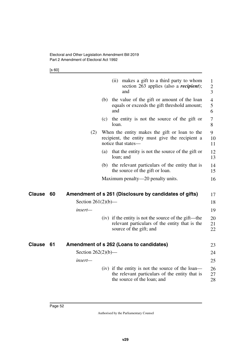[s 60]

|               |    |                       |     | (ii)  | makes a gift to a third party to whom<br>section 263 applies (also a <i>recipient</i> );<br>and                                    | 1<br>$\boldsymbol{2}$<br>3 |
|---------------|----|-----------------------|-----|-------|------------------------------------------------------------------------------------------------------------------------------------|----------------------------|
|               |    |                       |     | and   | (b) the value of the gift or amount of the loan<br>equals or exceeds the gift threshold amount;                                    | 4<br>5<br>6                |
|               |    |                       | (c) | loan. | the entity is not the source of the gift or                                                                                        | 7<br>8                     |
|               |    | (2)                   |     |       | When the entity makes the gift or loan to the<br>recipient, the entity must give the recipient a<br>notice that states—            | 9<br>10<br>11              |
|               |    |                       | (a) |       | that the entity is not the source of the gift or<br>loan; and                                                                      | 12<br>13                   |
|               |    |                       |     |       | (b) the relevant particulars of the entity that is<br>the source of the gift or loan.                                              | 14<br>15                   |
|               |    |                       |     |       | Maximum penalty—20 penalty units.                                                                                                  | 16                         |
| <b>Clause</b> | 60 |                       |     |       | Amendment of s 261 (Disclosure by candidates of gifts)                                                                             | 17                         |
|               |    | Section $261(2)(b)$ — |     |       |                                                                                                                                    | 18                         |
|               |    | insert-               |     |       |                                                                                                                                    | 19                         |
|               |    |                       |     |       | (iv) if the entity is not the source of the gift—the<br>relevant particulars of the entity that is the<br>source of the gift; and  | 20<br>21<br>22             |
| <b>Clause</b> | 61 |                       |     |       | Amendment of s 262 (Loans to candidates)                                                                                           | 23                         |
|               |    | Section $262(2)(b)$ — |     |       |                                                                                                                                    | 24                         |
|               |    | insert—               |     |       |                                                                                                                                    | 25                         |
|               |    |                       |     |       | (iv) if the entity is not the source of the loan—<br>the relevant particulars of the entity that is<br>the source of the loan; and | 26<br>27<br>28             |
|               |    |                       |     |       |                                                                                                                                    |                            |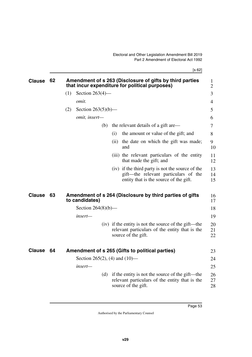[s 62]

| <b>Clause</b> | 62 |     |                                  |     |      | Amendment of s 263 (Disclosure of gifts by third parties                                                                           | 1              |
|---------------|----|-----|----------------------------------|-----|------|------------------------------------------------------------------------------------------------------------------------------------|----------------|
|               |    |     |                                  |     |      | that incur expenditure for political purposes)                                                                                     | $\overline{2}$ |
|               |    | (1) | Section $263(4)$ —               |     |      |                                                                                                                                    | 3              |
|               |    |     | omit.                            |     |      |                                                                                                                                    | 4              |
|               |    | (2) | Section $263(5)(b)$ —            |     |      |                                                                                                                                    | 5              |
|               |    |     | omit, insert-                    |     |      |                                                                                                                                    | 6              |
|               |    |     |                                  | (b) |      | the relevant details of a gift are—                                                                                                | 7              |
|               |    |     |                                  |     | (i)  | the amount or value of the gift; and                                                                                               | 8              |
|               |    |     |                                  |     | (ii) | the date on which the gift was made;<br>and                                                                                        | 9<br>10        |
|               |    |     |                                  |     |      | (iii) the relevant particulars of the entity<br>that made the gift; and                                                            | 11<br>12       |
|               |    |     |                                  |     |      | (iv) if the third party is not the source of the<br>gift—the relevant particulars of the<br>entity that is the source of the gift. | 13<br>14<br>15 |
| <b>Clause</b> | 63 |     | to candidates)                   |     |      | Amendment of s 264 (Disclosure by third parties of gifts                                                                           | 16<br>17       |
|               |    |     | Section $264(8)(b)$ —            |     |      |                                                                                                                                    | 18             |
|               |    |     | insert—                          |     |      |                                                                                                                                    | 19             |
|               |    |     |                                  |     |      | (iv) if the entity is not the source of the gift—the<br>relevant particulars of the entity that is the<br>source of the gift.      | 20<br>21<br>22 |
| <b>Clause</b> | 64 |     |                                  |     |      | Amendment of s 265 (Gifts to political parties)                                                                                    | 23             |
|               |    |     | Section 265(2), (4) and $(10)$ — |     |      |                                                                                                                                    | 24             |
|               |    |     | insert—                          |     |      |                                                                                                                                    | 25             |
|               |    |     |                                  | (d) |      | if the entity is not the source of the gift—the<br>relevant particulars of the entity that is the<br>source of the gift.           | 26<br>27<br>28 |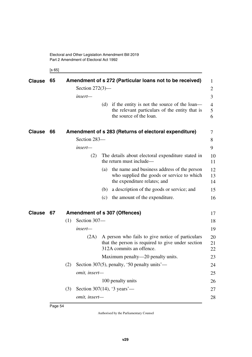[s 65]

| <b>Clause</b> | 65 |                                      |                    |     | Amendment of s 272 (Particular loans not to be received)                                                                          | 1              |
|---------------|----|--------------------------------------|--------------------|-----|-----------------------------------------------------------------------------------------------------------------------------------|----------------|
|               |    |                                      | Section $272(3)$ — |     |                                                                                                                                   | 2              |
|               |    |                                      | insert-            |     |                                                                                                                                   | 3              |
|               |    |                                      |                    |     | (d) if the entity is not the source of the loan—<br>the relevant particulars of the entity that is<br>the source of the loan.     | 4<br>5<br>6    |
| <b>Clause</b> | 66 |                                      |                    |     | Amendment of s 283 (Returns of electoral expenditure)                                                                             | 7              |
|               |    |                                      | Section 283-       |     |                                                                                                                                   | 8              |
|               |    |                                      | insert-            |     |                                                                                                                                   | 9              |
|               |    |                                      | (2)                |     | The details about electoral expenditure stated in<br>the return must include—                                                     | 10<br>11       |
|               |    |                                      |                    | (a) | the name and business address of the person<br>who supplied the goods or service to which<br>the expenditure relates; and         | 12<br>13<br>14 |
|               |    |                                      |                    | (b) | a description of the goods or service; and                                                                                        | 15             |
|               |    |                                      |                    | (c) | the amount of the expenditure.                                                                                                    | 16             |
| <b>Clause</b> | 67 | <b>Amendment of s 307 (Offences)</b> |                    |     |                                                                                                                                   |                |
|               |    | (1)                                  | Section 307-       |     |                                                                                                                                   | 18             |
|               |    |                                      | insert-            |     |                                                                                                                                   | 19             |
|               |    |                                      | (2A)               |     | A person who fails to give notice of particulars<br>that the person is required to give under section<br>312A commits an offence. | 20<br>21<br>22 |
|               |    |                                      |                    |     | Maximum penalty—20 penalty units.                                                                                                 | 23             |
|               |    | (2)                                  |                    |     | Section 307(5), penalty, '50 penalty units'-                                                                                      | 24             |
|               |    |                                      | omit, insert-      |     |                                                                                                                                   | 25             |
|               |    |                                      |                    |     | 100 penalty units                                                                                                                 | 26             |
|               |    | (3)                                  |                    |     | Section 307(14), '3 years'—                                                                                                       | 27             |
|               |    |                                      | omit, insert-      |     |                                                                                                                                   | 28             |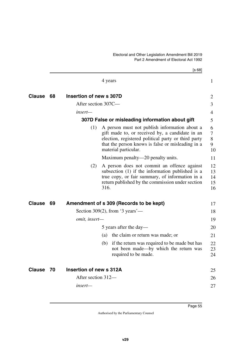|               |    |                         | [s 68]                                                                                                                                                                                                                               |                                     |
|---------------|----|-------------------------|--------------------------------------------------------------------------------------------------------------------------------------------------------------------------------------------------------------------------------------|-------------------------------------|
|               |    |                         | 4 years                                                                                                                                                                                                                              | $\mathbf{1}$                        |
| <b>Clause</b> | 68 | Insertion of new s 307D |                                                                                                                                                                                                                                      | $\overline{2}$                      |
|               |    | After section 307C-     |                                                                                                                                                                                                                                      | 3                                   |
|               |    | insert—                 |                                                                                                                                                                                                                                      | $\overline{4}$                      |
|               |    |                         | 307D False or misleading information about gift                                                                                                                                                                                      | 5                                   |
|               |    | (1)                     | A person must not publish information about a<br>gift made to, or received by, a candidate in an<br>election, registered political party or third party<br>that the person knows is false or misleading in a<br>material particular. | 6<br>$\overline{7}$<br>8<br>9<br>10 |
|               |    |                         | Maximum penalty—20 penalty units.                                                                                                                                                                                                    | 11                                  |
|               |    | (2)                     | A person does not commit an offence against<br>subsection (1) if the information published is a<br>true copy, or fair summary, of information in a<br>return published by the commission under section<br>316.                       | 12<br>13<br>14<br>15<br>16          |
| <b>Clause</b> | 69 |                         | Amendment of s 309 (Records to be kept)                                                                                                                                                                                              | 17                                  |
|               |    |                         | Section 309(2), from '3 years'—                                                                                                                                                                                                      | 18                                  |
|               |    | omit, insert-           |                                                                                                                                                                                                                                      | 19                                  |
|               |    |                         | 5 years after the day—                                                                                                                                                                                                               | 20                                  |
|               |    |                         | the claim or return was made; or<br>(a)                                                                                                                                                                                              | 21                                  |
|               |    |                         | if the return was required to be made but has<br>(b)<br>not been made—by which the return was<br>required to be made.                                                                                                                | 22<br>23<br>24                      |
| <b>Clause</b> | 70 | Insertion of new s 312A |                                                                                                                                                                                                                                      | 25                                  |
|               |    | After section 312—      |                                                                                                                                                                                                                                      | 26                                  |
|               |    | insert-                 |                                                                                                                                                                                                                                      | 27                                  |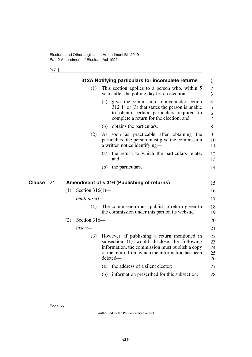[s 71]

**Clause** 71

|     |                    | 312A Notifying particulars for incomplete returns                                                                                                                                                               | $\mathbf{1}$                  |
|-----|--------------------|-----------------------------------------------------------------------------------------------------------------------------------------------------------------------------------------------------------------|-------------------------------|
|     | (1)                | This section applies to a person who, within 5<br>years after the polling day for an election—                                                                                                                  | $\overline{c}$<br>3           |
|     |                    | gives the commission a notice under section<br>(a)<br>$312(1)$ or (3) that states the person is unable<br>to obtain certain particulars required to<br>complete a return for the election; and                  | $\overline{4}$<br>5<br>6<br>7 |
|     |                    | obtains the particulars.<br>(b)                                                                                                                                                                                 | 8                             |
|     | (2)                | soon as practicable after obtaining the<br>As<br>particulars, the person must give the commission<br>a written notice identifying—                                                                              | 9<br>10<br>11                 |
|     |                    | the return to which the particulars relate;<br>(a)<br>and                                                                                                                                                       | 12<br>13                      |
|     |                    | the particulars.<br>(b)                                                                                                                                                                                         | 14                            |
|     |                    |                                                                                                                                                                                                                 |                               |
|     |                    | Amendment of s 316 (Publishing of returns)                                                                                                                                                                      | 15                            |
| (1) | Section $316(1)$ — |                                                                                                                                                                                                                 | 16                            |
|     | omit, insert-      |                                                                                                                                                                                                                 | 17                            |
|     | (1)                | The commission must publish a return given to<br>the commission under this part on its website.                                                                                                                 | 18<br>19                      |
| (2) | Section 316-       |                                                                                                                                                                                                                 | 20                            |
|     | insert—            |                                                                                                                                                                                                                 | 21                            |
|     | (3)                | However, if publishing a return mentioned in<br>subsection (1) would disclose the following<br>information, the commission must publish a copy<br>of the return from which the information has been<br>deleted- | 22<br>23<br>24<br>25<br>26    |
|     |                    | the address of a silent elector;<br>(a)                                                                                                                                                                         | 27                            |
|     |                    |                                                                                                                                                                                                                 |                               |
|     |                    | information prescribed for this subsection.<br>(b)                                                                                                                                                              | 28                            |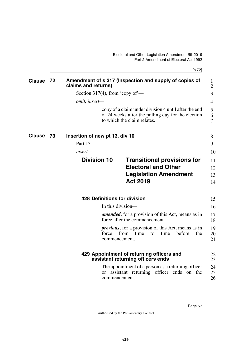[s 72]

| Clause        | 72 | claims and returns)             | Amendment of s 317 (Inspection and supply of copies of                                                                                    | 1<br>$\overline{2}$ |
|---------------|----|---------------------------------|-------------------------------------------------------------------------------------------------------------------------------------------|---------------------|
|               |    | Section 317(4), from 'copy of'— |                                                                                                                                           | 3                   |
|               |    | omit, insert-                   |                                                                                                                                           | 4                   |
|               |    |                                 | copy of a claim under division 4 until after the end<br>of 24 weeks after the polling day for the election<br>to which the claim relates. | 5<br>6<br>7         |
| <b>Clause</b> | 73 | Insertion of new pt 13, div 10  |                                                                                                                                           | 8                   |
|               |    | Part 13-                        |                                                                                                                                           | 9                   |
|               |    | insert—                         |                                                                                                                                           | 10                  |
|               |    | <b>Division 10</b>              | <b>Transitional provisions for</b>                                                                                                        | 11                  |
|               |    |                                 | <b>Electoral and Other</b>                                                                                                                | 12                  |
|               |    |                                 | <b>Legislation Amendment</b>                                                                                                              | 13                  |
|               |    |                                 | <b>Act 2019</b>                                                                                                                           | 14                  |
|               |    |                                 | <b>428 Definitions for division</b>                                                                                                       | 15                  |
|               |    |                                 | In this division-                                                                                                                         | 16                  |
|               |    |                                 | <b>amended</b> , for a provision of this Act, means as in<br>force after the commencement.                                                | 17<br>18            |
|               |    | force                           | <i>previous</i> , for a provision of this Act, means as in<br>from<br>before<br>time<br>time<br>the<br>to<br>commencement.                | 19<br>20<br>21      |
|               |    |                                 | 429 Appointment of returning officers and<br>assistant returning officers ends                                                            | 22<br>23            |
|               |    | <sub>or</sub>                   | The appointment of a person as a returning officer<br>assistant returning officer ends on the<br>commencement.                            | 24<br>25<br>26      |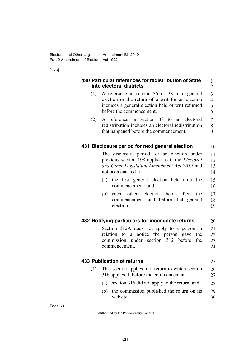[s 73]

|     | 430 Particular references for redistribution of State<br>into electoral districts                                                                                                 | 1<br>$\overline{2}$           |
|-----|-----------------------------------------------------------------------------------------------------------------------------------------------------------------------------------|-------------------------------|
| (1) | A reference in section 35 or 38 to a general<br>election or the return of a writ for an election<br>includes a general election held or writ returned<br>before the commencement. | 3<br>$\overline{4}$<br>5<br>6 |
| (2) | A reference in section 38 to an electoral<br>redistribution includes an electoral redistribution<br>that happened before the commencement.                                        | 7<br>8<br>9                   |
|     | 431 Disclosure period for next general election                                                                                                                                   | 10                            |
|     | The disclosure period for an election under<br>previous section 198 applies as if the <i>Electoral</i><br>and Other Legislation Amendment Act 2019 had<br>not been enacted for-   | 11<br>12<br>13<br>14          |
|     | the first general election held after the<br>(a)<br>commencement; and                                                                                                             | 15<br>16                      |
|     | other election<br>held<br>after<br>the<br>(b)<br>each<br>commencement and before that general<br>election.                                                                        | 17<br>18<br>19                |
|     | 432 Notifying particulars for incomplete returns                                                                                                                                  | 20                            |
|     | Section 312A does not apply to a person in<br>relation to a notice the person gave<br>the<br>commission under section 312 before<br>the<br>commencement.                          | 21<br>22<br>23<br>24          |
|     | <b>433 Publication of returns</b>                                                                                                                                                 | 25                            |
| (1) | This section applies to a return to which section<br>316 applies if, before the commencement—                                                                                     | 26<br>27                      |
|     | section 316 did not apply to the return; and<br>(a)                                                                                                                               | 28                            |
|     | the commission published the return on its<br>(b)<br>website.                                                                                                                     | 29<br>30                      |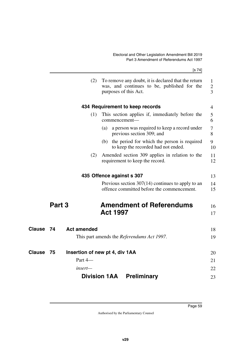|               |                          | [s 74]                                                                                                                      |                                     |
|---------------|--------------------------|-----------------------------------------------------------------------------------------------------------------------------|-------------------------------------|
|               | (2)                      | To remove any doubt, it is declared that the return<br>was, and continues to be, published for the<br>purposes of this Act. | $\mathbf{1}$<br>$\overline{2}$<br>3 |
|               |                          | 434 Requirement to keep records                                                                                             | 4                                   |
|               | (1)                      | This section applies if, immediately before the<br>commencement-                                                            | 5<br>6                              |
|               |                          | a person was required to keep a record under<br>(a)<br>previous section 309; and                                            | 7<br>8                              |
|               |                          | (b) the period for which the person is required<br>to keep the recorded had not ended.                                      | 9<br>10                             |
|               | (2)                      | Amended section 309 applies in relation to the<br>requirement to keep the record.                                           | 11<br>12                            |
|               |                          | 435 Offence against s 307                                                                                                   | 13                                  |
|               |                          | Previous section $307(14)$ continues to apply to an<br>offence committed before the commencement.                           | 14<br>15                            |
|               | Part 3                   | <b>Amendment of Referendums</b>                                                                                             | 16                                  |
|               |                          | <b>Act 1997</b>                                                                                                             | 17                                  |
| <b>Clause</b> | <b>Act amended</b><br>74 |                                                                                                                             | 18                                  |
|               |                          | This part amends the <i>Referendums Act 1997</i> .                                                                          | 19                                  |
| Clause        | 75                       | Insertion of new pt 4, div 1AA                                                                                              | 20                                  |
|               | Part 4-                  |                                                                                                                             | 21                                  |
|               | insert—                  |                                                                                                                             | 22                                  |
|               |                          | <b>Division 1AA</b><br><b>Preliminary</b>                                                                                   | 23                                  |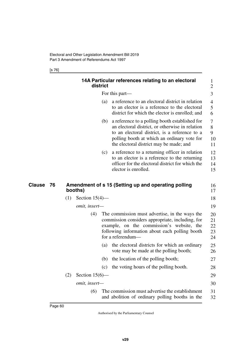[s 76]

|              | 14A Particular references relating to an electoral<br>district                                                                                                                                                                                      | 1<br>$\overline{2}$        |
|--------------|-----------------------------------------------------------------------------------------------------------------------------------------------------------------------------------------------------------------------------------------------------|----------------------------|
|              | For this part—                                                                                                                                                                                                                                      | 3                          |
|              | a reference to an electoral district in relation<br>(a)<br>to an elector is a reference to the electoral<br>district for which the elector is enrolled; and                                                                                         | $\overline{4}$<br>5<br>6   |
|              | a reference to a polling booth established for<br>(b)<br>an electoral district, or otherwise in relation<br>to an electoral district, is a reference to a<br>polling booth at which an ordinary vote for<br>the electoral district may be made; and | 7<br>8<br>9<br>10<br>11    |
|              | a reference to a returning officer in relation<br>(c)<br>to an elector is a reference to the returning<br>officer for the electoral district for which the<br>elector is enrolled.                                                                  | 12<br>13<br>14<br>15       |
| Clause<br>76 | Amendment of s 15 (Setting up and operating polling<br>booths)                                                                                                                                                                                      | 16<br>17                   |
|              | Section $15(4)$ —<br>(1)                                                                                                                                                                                                                            | 18                         |
|              | omit, insert-                                                                                                                                                                                                                                       | 19                         |
|              | The commission must advertise, in the ways the<br>(4)<br>commission considers appropriate, including, for<br>example, on the commission's website, the<br>following information about each polling booth<br>for a referendum—                       | 20<br>21<br>22<br>23<br>24 |
|              | the electoral districts for which an ordinary<br>(a)<br>vote may be made at the polling booth;                                                                                                                                                      | 25<br>26                   |
|              | the location of the polling booth;<br>(b)                                                                                                                                                                                                           | 27                         |
|              | the voting hours of the polling booth.<br>(c)                                                                                                                                                                                                       | 28                         |
|              | Section $15(6)$ —<br>(2)                                                                                                                                                                                                                            | 29                         |
|              | omit, insert-                                                                                                                                                                                                                                       | 30                         |
|              | The commission must advertise the establishment<br>(6)<br>and abolition of ordinary polling booths in the                                                                                                                                           | 31<br>32                   |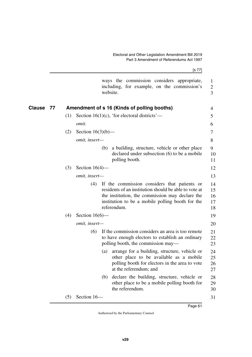|              |     | [s 77]                                                                                                                                                                                                                             |
|--------------|-----|------------------------------------------------------------------------------------------------------------------------------------------------------------------------------------------------------------------------------------|
|              |     | ways the commission considers appropriate,<br>including, for example, on the commission's<br>website.                                                                                                                              |
| Clause<br>77 |     | Amendment of s 16 (Kinds of polling booths)                                                                                                                                                                                        |
|              | (1) | Section 16(1)(c), 'for electoral districts'—<br>omit.                                                                                                                                                                              |
|              | (2) | Section $16(3)(b)$ —<br>omit, insert-                                                                                                                                                                                              |
|              |     | a building, structure, vehicle or other place<br>(b)<br>declared under subsection (6) to be a mobile<br>polling booth.                                                                                                             |
|              | (3) | Section $16(4)$ —                                                                                                                                                                                                                  |
|              |     | omit, insert-                                                                                                                                                                                                                      |
|              |     | If the commission considers that patients or<br>(4)<br>residents of an institution should be able to vote at<br>the institution, the commission may declare the<br>institution to be a mobile polling booth for the<br>referendum. |
|              | (4) | Section $16(6)$ —                                                                                                                                                                                                                  |
|              |     | omit, insert-                                                                                                                                                                                                                      |
|              |     | If the commission considers an area is too remote<br>(6)<br>to have enough electors to establish an ordinary<br>polling booth, the commission may—                                                                                 |
|              |     | arrange for a building, structure, vehicle or<br>(a)<br>other place to be available as a mobile<br>polling booth for electors in the area to vote<br>at the referendum; and                                                        |
|              |     | declare the building, structure, vehicle or<br>(b)<br>other place to be a mobile polling booth for<br>the referendum.                                                                                                              |
|              | (5) | Section 16-                                                                                                                                                                                                                        |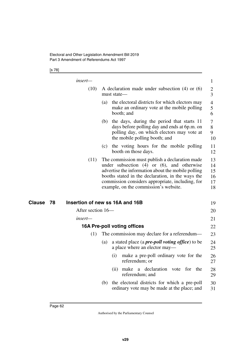## [s 78]

|               | insert—                               |             |                                                                                                                                                                                                                                                                                                           | 1                                |
|---------------|---------------------------------------|-------------|-----------------------------------------------------------------------------------------------------------------------------------------------------------------------------------------------------------------------------------------------------------------------------------------------------------|----------------------------------|
|               | (10)                                  | must state— | A declaration made under subsection $(4)$ or $(6)$                                                                                                                                                                                                                                                        | $\overline{c}$<br>3              |
|               |                                       | (a)         | the electoral districts for which electors may<br>make an ordinary vote at the mobile polling<br>booth; and                                                                                                                                                                                               | 4<br>5<br>6                      |
|               |                                       | (b)         | the days, during the period that starts 11<br>days before polling day and ends at 6p.m. on<br>polling day, on which electors may vote at<br>the mobile polling booth; and                                                                                                                                 | 7<br>8<br>9<br>10                |
|               |                                       |             | (c) the voting hours for the mobile polling<br>booth on those days.                                                                                                                                                                                                                                       | 11<br>12                         |
|               | (11)                                  |             | The commission must publish a declaration made<br>under subsection $(4)$ or $(6)$ , and otherwise<br>advertise the information about the mobile polling<br>booths stated in the declaration, in the ways the<br>commission considers appropriate, including, for<br>example, on the commission's website. | 13<br>14<br>15<br>16<br>17<br>18 |
| <b>Clause</b> | Insertion of new ss 16A and 16B<br>78 |             |                                                                                                                                                                                                                                                                                                           | 19                               |
|               | After section 16-                     |             |                                                                                                                                                                                                                                                                                                           | 20                               |
|               | insert—                               |             |                                                                                                                                                                                                                                                                                                           | 21                               |
|               |                                       |             | 16A Pre-poll voting offices                                                                                                                                                                                                                                                                               | 22                               |
|               | (1)                                   |             | The commission may declare for a referendum—                                                                                                                                                                                                                                                              | 23                               |
|               |                                       | (a)         | a stated place (a <i>pre-poll voting office</i> ) to be<br>a place where an elector may—                                                                                                                                                                                                                  | 24<br>25                         |
|               |                                       | (i)         | make a pre-poll ordinary vote for the<br>referendum; or                                                                                                                                                                                                                                                   | 26<br>27                         |
|               |                                       |             | declaration vote<br>for<br>the<br>(ii) make<br>a<br>referendum; and                                                                                                                                                                                                                                       | 28<br>29                         |
|               |                                       | (b)         | the electoral districts for which a pre-poll<br>ordinary vote may be made at the place; and                                                                                                                                                                                                               | 30<br>31                         |
|               |                                       |             |                                                                                                                                                                                                                                                                                                           |                                  |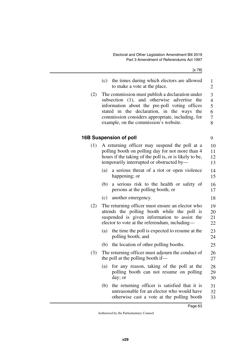[s 78]

9

18

25

| (c) the times during which electors are allowed |  |
|-------------------------------------------------|--|
| to make a vote at the place.                    |  |

(2) The commission must publish a declaration under subsection (1), and otherwise advertise the information about the pre-poll voting offices stated in the declaration, in the ways the commission considers appropriate, including, for example, on the commission's website. 3 4 5 6 7 8

## **16B Suspension of poll**

(1) A returning officer may suspend the poll at a polling booth on polling day for not more than 4 hours if the taking of the poll is, or is likely to be, temporarily interrupted or obstructed by— (a) a serious threat of a riot or open violence happening; or (b) a serious risk to the health or safety of persons at the polling booth; or 10 11 12 13 14 15 16 17

| (c) another emergency. |
|------------------------|
|                        |

- (2) The returning officer must ensure an elector who attends the polling booth while the poll is suspended is given information to assist the elector to vote at the referendum, including— 19 20 21 22
	- (a) the time the poll is expected to resume at the polling booth; and 23 24
	- (b) the location of other polling booths.
- (3) The returning officer must adjourn the conduct of the poll at the polling booth if— 26 27
	- (a) for any reason, taking of the poll at the polling booth can not resume on polling day; or 28 29 30
	- (b) the returning officer is satisfied that it is unreasonable for an elector who would have otherwise cast a vote at the polling booth 31 32 33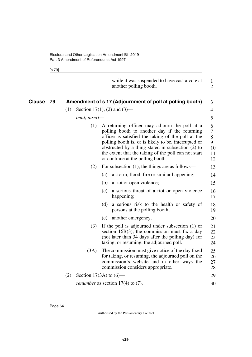[s 79]

|               |    |     |                             |     | while it was suspended to have cast a vote at<br>another polling booth.                                                                                                                                                                                                                                                                                        | 1<br>$\overline{2}$                             |
|---------------|----|-----|-----------------------------|-----|----------------------------------------------------------------------------------------------------------------------------------------------------------------------------------------------------------------------------------------------------------------------------------------------------------------------------------------------------------------|-------------------------------------------------|
| <b>Clause</b> | 79 |     |                             |     | Amendment of s 17 (Adjournment of poll at polling booth)                                                                                                                                                                                                                                                                                                       | 3                                               |
|               |    | (1) | Section 17(1), (2) and (3)— |     |                                                                                                                                                                                                                                                                                                                                                                | $\overline{4}$                                  |
|               |    |     | omit, insert-               |     |                                                                                                                                                                                                                                                                                                                                                                | 5                                               |
|               |    |     | (1)                         |     | A returning officer may adjourn the poll at a<br>polling booth to another day if the returning<br>officer is satisfied the taking of the poll at the<br>polling booth is, or is likely to be, interrupted or<br>obstructed by a thing stated in subsection (2) to<br>the extent that the taking of the poll can not start<br>or continue at the polling booth. | 6<br>$\overline{7}$<br>8<br>9<br>10<br>11<br>12 |
|               |    |     | (2)                         |     | For subsection $(1)$ , the things are as follows—                                                                                                                                                                                                                                                                                                              | 13                                              |
|               |    |     |                             | (a) | a storm, flood, fire or similar happening;                                                                                                                                                                                                                                                                                                                     | 14                                              |
|               |    |     |                             | (b) | a riot or open violence;                                                                                                                                                                                                                                                                                                                                       | 15                                              |
|               |    |     |                             | (c) | a serious threat of a riot or open violence<br>happening;                                                                                                                                                                                                                                                                                                      | 16<br>17                                        |
|               |    |     |                             | (d) | a serious risk to the health or safety of<br>persons at the polling booth;                                                                                                                                                                                                                                                                                     | 18<br>19                                        |
|               |    |     |                             | (e) | another emergency.                                                                                                                                                                                                                                                                                                                                             | 20                                              |
|               |    |     | (3)                         |     | If the poll is adjourned under subsection $(1)$ or<br>section $16B(3)$ , the commission must fix a day<br>(not later than 34 days after the polling day) for<br>taking, or resuming, the adjourned poll.                                                                                                                                                       | 21<br>22<br>23<br>24                            |
|               |    |     | (3A)                        |     | The commission must give notice of the day fixed<br>for taking, or resuming, the adjourned poll on the<br>commission's website and in other ways the<br>commission considers appropriate.                                                                                                                                                                      | 25<br>26<br>27<br>28                            |
|               |    | (2) | Section 17(3A) to $(6)$ —   |     |                                                                                                                                                                                                                                                                                                                                                                | 29                                              |
|               |    |     |                             |     | <i>renumber</i> as section $17(4)$ to $(7)$ .                                                                                                                                                                                                                                                                                                                  | 30                                              |
|               |    |     |                             |     |                                                                                                                                                                                                                                                                                                                                                                |                                                 |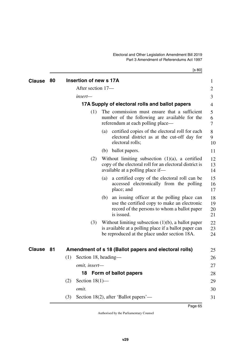[s 80]

| <b>Clause</b> | 80  | Insertion of new s 17A                                                                                                                                                 | $\mathbf{1}$         |
|---------------|-----|------------------------------------------------------------------------------------------------------------------------------------------------------------------------|----------------------|
|               |     | After section 17-                                                                                                                                                      | $\overline{2}$       |
|               |     | insert—                                                                                                                                                                | 3                    |
|               |     | 17A Supply of electoral rolls and ballot papers                                                                                                                        | 4                    |
|               |     | The commission must ensure that a sufficient<br>(1)<br>number of the following are available for the<br>referendum at each polling place—                              | 5<br>6<br>7          |
|               |     | certified copies of the electoral roll for each<br>(a)<br>electoral district as at the cut-off day for<br>electoral rolls;                                             | 8<br>9<br>10         |
|               |     | ballot papers.<br>(b)                                                                                                                                                  | 11                   |
|               |     | Without limiting subsection $(1)(a)$ , a certified<br>(2)<br>copy of the electoral roll for an electoral district is<br>available at a polling place if—               | 12<br>13<br>14       |
|               |     | a certified copy of the electoral roll can be<br>(a)<br>accessed electronically from the polling<br>place; and                                                         | 15<br>16<br>17       |
|               |     | an issuing officer at the polling place can<br>(b)<br>use the certified copy to make an electronic<br>record of the persons to whom a ballot paper<br>is issued.       | 18<br>19<br>20<br>21 |
|               |     | Without limiting subsection $(1)(b)$ , a ballot paper<br>(3)<br>is available at a polling place if a ballot paper can<br>be reproduced at the place under section 18A. | 22<br>23<br>24       |
| <b>Clause</b> | -81 | Amendment of s 18 (Ballot papers and electoral rolls)                                                                                                                  | 25                   |
|               |     | (1)<br>Section 18, heading—                                                                                                                                            | 26                   |
|               |     | omit, insert—                                                                                                                                                          | 27                   |
|               |     | Form of ballot papers<br>18                                                                                                                                            | 28                   |
|               |     | Section $18(1)$ —<br>(2)                                                                                                                                               | 29                   |
|               |     | omit.                                                                                                                                                                  | 30                   |
|               |     | Section 18(2), after 'Ballot papers'—<br>(3)                                                                                                                           | 31                   |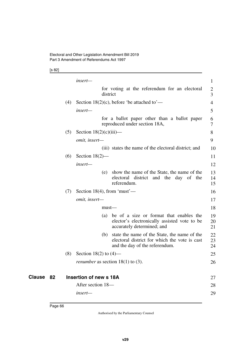[s 82]

|    |     | insert—                                    |                                                                                                                                 | $\mathbf{1}$   |  |  |
|----|-----|--------------------------------------------|---------------------------------------------------------------------------------------------------------------------------------|----------------|--|--|
|    |     | district                                   | for voting at the referendum for an electoral                                                                                   | 2<br>3         |  |  |
|    | (4) | Section 18(2)(c), before 'be attached to'— |                                                                                                                                 |                |  |  |
|    |     | insert-                                    |                                                                                                                                 | 5              |  |  |
|    |     |                                            | for a ballot paper other than a ballot paper<br>reproduced under section 18A,                                                   | 6<br>7         |  |  |
|    | (5) | Section $18(2)(c)(iii)$ —                  |                                                                                                                                 | 8              |  |  |
|    |     | omit, insert-                              |                                                                                                                                 | 9              |  |  |
|    |     |                                            | (iii) states the name of the electoral district; and                                                                            | 10             |  |  |
|    | (6) | Section $18(2)$ —                          |                                                                                                                                 | 11             |  |  |
|    |     | insert-                                    |                                                                                                                                 | 12             |  |  |
|    |     | (e)                                        | show the name of the State, the name of the<br>electoral district and the day<br>of the<br>referendum.                          | 13<br>14<br>15 |  |  |
|    | (7) | Section 18(4), from 'must'—                |                                                                                                                                 | 16             |  |  |
|    |     | omit, insert-                              |                                                                                                                                 | 17             |  |  |
|    |     | $must$ —                                   |                                                                                                                                 | 18             |  |  |
|    |     | (a)                                        | be of a size or format that enables the<br>elector's electronically assisted vote to be<br>accurately determined; and           | 19<br>20<br>21 |  |  |
|    |     | (b)                                        | state the name of the State, the name of the<br>electoral district for which the vote is cast<br>and the day of the referendum. | 22<br>23<br>24 |  |  |
|    | (8) | Section 18(2) to $(4)$ —                   |                                                                                                                                 | 25             |  |  |
|    |     | <i>renumber</i> as section $18(1)$ to (3). |                                                                                                                                 | 26             |  |  |
| 82 |     | <b>Insertion of new s 18A</b>              |                                                                                                                                 | 27             |  |  |
|    |     | After section 18-                          |                                                                                                                                 | 28             |  |  |
|    |     | insert—                                    |                                                                                                                                 | 29             |  |  |

**Clause** 82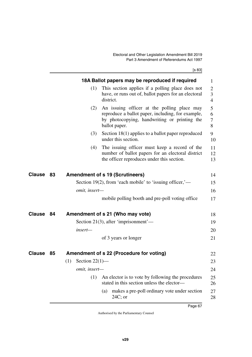[s 83]

|               |    |                          | 18A Ballot papers may be reproduced if required                                                                                                                   | 1                                     |
|---------------|----|--------------------------|-------------------------------------------------------------------------------------------------------------------------------------------------------------------|---------------------------------------|
|               |    | (1)                      | This section applies if a polling place does not<br>have, or runs out of, ballot papers for an electoral<br>district.                                             | $\overline{2}$<br>3<br>$\overline{4}$ |
|               |    | (2)                      | An issuing officer at the polling place may<br>reproduce a ballot paper, including, for example,<br>by photocopying, handwriting or printing the<br>ballot paper. | 5<br>6<br>7<br>8                      |
|               |    | (3)                      | Section 18(1) applies to a ballot paper reproduced<br>under this section.                                                                                         | 9<br>10                               |
|               |    | (4)                      | The issuing officer must keep a record of the<br>number of ballot papers for an electoral district<br>the officer reproduces under this section.                  | 11<br>12<br>13                        |
| Clause        | 83 |                          | <b>Amendment of s 19 (Scrutineers)</b>                                                                                                                            | 14                                    |
|               |    |                          | Section 19(2), from 'each mobile' to 'issuing officer,'—                                                                                                          | 15                                    |
|               |    | omit, insert-            |                                                                                                                                                                   | 16                                    |
|               |    |                          | mobile polling booth and pre-poll voting office                                                                                                                   | 17                                    |
| Clause        | 84 |                          | Amendment of s 21 (Who may vote)                                                                                                                                  | 18                                    |
|               |    |                          | Section 21(3), after 'imprisonment'—                                                                                                                              | 19                                    |
|               |    | insert-                  |                                                                                                                                                                   | 20                                    |
|               |    |                          | of 3 years or longer                                                                                                                                              | 21                                    |
| <b>Clause</b> | 85 |                          | Amendment of s 22 (Procedure for voting)                                                                                                                          | 22                                    |
|               |    | Section $22(1)$ —<br>(1) |                                                                                                                                                                   | 23                                    |
|               |    | omit, insert-            |                                                                                                                                                                   | 24                                    |
|               |    | (1)                      | An elector is to vote by following the procedures<br>stated in this section unless the elector-                                                                   | 25<br>26                              |
|               |    |                          | makes a pre-poll ordinary vote under section<br>(a)<br>$24C$ ; or                                                                                                 | 27<br>28                              |
|               |    |                          |                                                                                                                                                                   |                                       |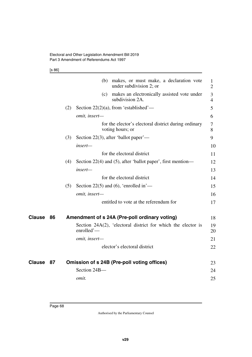[s 86]

|        |     | (b) makes, or must make, a declaration vote<br>under subdivision 2; or     | 1<br>$\overline{2}$ |
|--------|-----|----------------------------------------------------------------------------|---------------------|
|        |     | (c) makes an electronically assisted vote under<br>subdivision 2A.         | 3<br>$\overline{4}$ |
|        | (2) | Section 22(2)(a), from 'established'—                                      | 5                   |
|        |     | omit, insert-                                                              | 6                   |
|        |     | for the elector's electoral district during ordinary<br>voting hours; or   | 7<br>8              |
|        | (3) | Section 22(3), after 'ballot paper'—                                       | 9                   |
|        |     | insert-                                                                    | 10                  |
|        |     | for the electoral district                                                 | 11                  |
|        | (4) | Section $22(4)$ and (5), after 'ballot paper', first mention—              | 12                  |
|        |     | insert—                                                                    | 13                  |
|        |     | for the electoral district                                                 | 14                  |
|        | (5) | Section 22(5) and (6), 'enrolled in'—                                      | 15                  |
|        |     | omit, insert-                                                              | 16                  |
|        |     | entitled to vote at the referendum for                                     | 17                  |
| Clause | 86  | Amendment of s 24A (Pre-poll ordinary voting)                              | 18                  |
|        |     | Section 24A(2), 'electoral district for which the elector is<br>enrolled'- | 19<br>20            |
|        |     | omit, insert-                                                              | 21                  |
|        |     | elector's electoral district                                               | 22                  |
| Clause | 87  | Omission of s 24B (Pre-poll voting offices)                                | 23                  |
|        |     | Section 24B-                                                               | 24                  |
|        |     | omit.                                                                      | 25                  |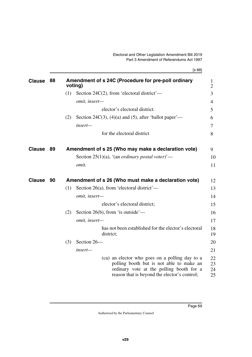[s 88]

| <b>Clause</b> | 88 | Amendment of s 24C (Procedure for pre-poll ordinary<br>1<br>voting)<br>$\overline{2}$                                                                                                                          |  |
|---------------|----|----------------------------------------------------------------------------------------------------------------------------------------------------------------------------------------------------------------|--|
|               |    | (1)<br>Section 24 $C(2)$ , from 'electoral district'—<br>3                                                                                                                                                     |  |
|               |    | omit, insert-<br>$\overline{4}$                                                                                                                                                                                |  |
|               |    | elector's electoral district.<br>5                                                                                                                                                                             |  |
|               |    | Section 24 $C(3)$ , (4)(a) and (5), after 'ballot paper'—<br>(2)<br>6                                                                                                                                          |  |
|               |    | $insert-$<br>7                                                                                                                                                                                                 |  |
|               |    | for the electoral district<br>8                                                                                                                                                                                |  |
| <b>Clause</b> | 89 | Amendment of s 25 (Who may make a declaration vote)<br>9                                                                                                                                                       |  |
|               |    | Section 25(1)(a), '(an <i>ordinary postal voter</i> )'—<br>10                                                                                                                                                  |  |
|               |    | omit.<br>11                                                                                                                                                                                                    |  |
| <b>Clause</b> | 90 | Amendment of s 26 (Who must make a declaration vote)<br>12                                                                                                                                                     |  |
|               |    | Section 26(a), from 'electoral district'—<br>(1)<br>13                                                                                                                                                         |  |
|               |    | 14<br>omit, insert-                                                                                                                                                                                            |  |
|               |    | elector's electoral district;<br>15                                                                                                                                                                            |  |
|               |    | (2)<br>Section 26(b), from 'is outside'—<br>16                                                                                                                                                                 |  |
|               |    | omit, insert-<br>17                                                                                                                                                                                            |  |
|               |    | has not been established for the elector's electoral<br>18<br>district;<br>19                                                                                                                                  |  |
|               |    | Section 26-<br>(3)<br>20                                                                                                                                                                                       |  |
|               |    | $insert-$<br>21                                                                                                                                                                                                |  |
|               |    | (ca) an elector who goes on a polling day to a<br>22<br>polling booth but is not able to make an<br>23<br>ordinary vote at the polling booth for a<br>24<br>reason that is beyond the elector's control;<br>25 |  |
|               |    |                                                                                                                                                                                                                |  |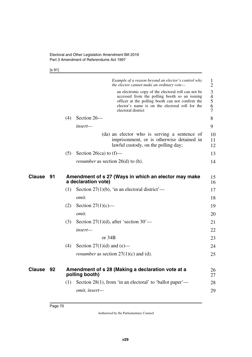[s 91]

|               |    |                                                                             |                                          | Example of a reason beyond an elector's control why<br>the elector cannot make an ordinary vote-                                                                                                                                  | $\mathbf{1}$<br>$\overline{2}$     |
|---------------|----|-----------------------------------------------------------------------------|------------------------------------------|-----------------------------------------------------------------------------------------------------------------------------------------------------------------------------------------------------------------------------------|------------------------------------|
|               |    |                                                                             |                                          | an electronic copy of the electoral roll can not be<br>accessed from the polling booth so an issuing<br>officer at the polling booth can not confirm the<br>elector's name is on the electoral roll for the<br>electoral district | 3<br>$\overline{4}$<br>5<br>6<br>7 |
|               |    | (4)                                                                         | Section 26-                              |                                                                                                                                                                                                                                   | 8                                  |
|               |    |                                                                             | insert—                                  |                                                                                                                                                                                                                                   | 9                                  |
|               |    |                                                                             |                                          | (da) an elector who is serving a sentence of<br>imprisonment, or is otherwise detained in<br>lawful custody, on the polling day;                                                                                                  | 10<br>11<br>12                     |
|               |    | (5)                                                                         | Section 26(ca) to $(f)$ —                |                                                                                                                                                                                                                                   | 13                                 |
|               |    |                                                                             | <i>renumber</i> as section 26(d) to (h). |                                                                                                                                                                                                                                   | 14                                 |
| <b>Clause</b> | 91 | Amendment of s 27 (Ways in which an elector may make<br>a declaration vote) |                                          |                                                                                                                                                                                                                                   |                                    |
|               |    | (1)                                                                         |                                          | Section 27(1)(b), 'in an electoral district'—                                                                                                                                                                                     | 17                                 |
|               |    |                                                                             | omit.                                    |                                                                                                                                                                                                                                   | 18                                 |
|               |    | (2)                                                                         | Section $27(1)(c)$ —                     |                                                                                                                                                                                                                                   | 19                                 |
|               |    |                                                                             | omit.                                    |                                                                                                                                                                                                                                   | 20                                 |
|               |    | (3)                                                                         |                                          | Section 27(1)(d), after 'section $30'$ —                                                                                                                                                                                          | 21                                 |
|               |    |                                                                             | insert-                                  |                                                                                                                                                                                                                                   | 22                                 |
|               |    |                                                                             | or $34B$                                 |                                                                                                                                                                                                                                   | 23                                 |
|               |    | (4)                                                                         | Section $27(1)(d)$ and (e)—              |                                                                                                                                                                                                                                   | 24                                 |
|               |    |                                                                             |                                          | <i>renumber</i> as section $27(1)(c)$ and (d).                                                                                                                                                                                    | 25                                 |
| <b>Clause</b> | 92 |                                                                             | polling booth)                           | Amendment of s 28 (Making a declaration vote at a                                                                                                                                                                                 | 26<br>27                           |
|               |    | (1)                                                                         |                                          | Section 28(1), from 'in an electoral' to 'ballot paper'—                                                                                                                                                                          | 28                                 |
|               |    |                                                                             | omit, insert-                            |                                                                                                                                                                                                                                   | 29                                 |
|               |    |                                                                             |                                          |                                                                                                                                                                                                                                   |                                    |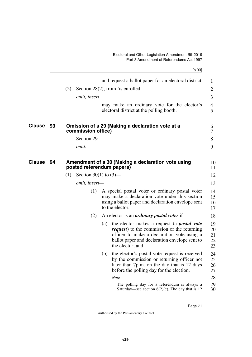|           |                                                                                 | [s 93]                                                                                                                                                                                                  |                            |
|-----------|---------------------------------------------------------------------------------|---------------------------------------------------------------------------------------------------------------------------------------------------------------------------------------------------------|----------------------------|
|           |                                                                                 | and request a ballot paper for an electoral district                                                                                                                                                    | 1                          |
|           | Section 28(2), from 'is enrolled'—<br>(2)                                       |                                                                                                                                                                                                         | 2                          |
|           | omit, insert-                                                                   |                                                                                                                                                                                                         | 3                          |
|           |                                                                                 | may make an ordinary vote for the elector's<br>electoral district at the polling booth.                                                                                                                 | 4<br>5                     |
| Clause 93 | Omission of s 29 (Making a declaration vote at a<br>commission office)          |                                                                                                                                                                                                         | 6<br>7                     |
|           | Section 29-                                                                     |                                                                                                                                                                                                         | 8                          |
|           | omit.                                                                           |                                                                                                                                                                                                         | 9                          |
| Clause 94 | Amendment of s 30 (Making a declaration vote using<br>posted referendum papers) |                                                                                                                                                                                                         | 10<br>11                   |
|           | (1)<br>Section 30(1) to $(3)$ —                                                 |                                                                                                                                                                                                         | 12                         |
|           | omit, insert-                                                                   |                                                                                                                                                                                                         | 13                         |
|           | (1)<br>to the elector.                                                          | A special postal voter or ordinary postal voter<br>may make a declaration vote under this section<br>using a ballot paper and declaration envelope sent                                                 | 14<br>15<br>16<br>17       |
|           | (2)                                                                             | An elector is an <i>ordinary postal voter</i> if—                                                                                                                                                       | 18                         |
|           | (a)<br>the elector; and                                                         | the elector makes a request (a <i>postal vote</i><br><i>request</i> ) to the commission or the returning<br>officer to make a declaration vote using a<br>ballot paper and declaration envelope sent to | 19<br>20<br>21<br>22<br>23 |
|           | (b)                                                                             | the elector's postal vote request is received<br>by the commission or returning officer not<br>later than 7p.m. on the day that is 12 days<br>before the polling day for the election.                  | 24<br>25<br>26<br>27       |
|           | $Note-$                                                                         |                                                                                                                                                                                                         | 28                         |
|           |                                                                                 | The polling day for a referendum is always a<br>Saturday—see section $6(2)(c)$ . The day that is 12                                                                                                     | 29<br>30                   |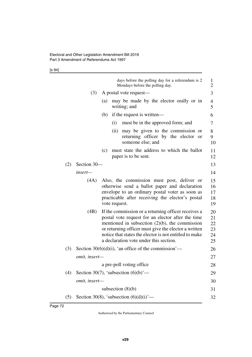## [s 94]

|     |               |     | days before the polling day for a referendum is 2<br>Mondays before the polling day.                                                                                                                                                                                                                                      | $\mathbf{1}$<br>$\overline{c}$   |
|-----|---------------|-----|---------------------------------------------------------------------------------------------------------------------------------------------------------------------------------------------------------------------------------------------------------------------------------------------------------------------------|----------------------------------|
|     | (3)           |     | A postal vote request—                                                                                                                                                                                                                                                                                                    | 3                                |
|     |               | (a) | may be made by the elector orally or in<br>writing; and                                                                                                                                                                                                                                                                   | 4<br>5                           |
|     |               | (b) | if the request is written—                                                                                                                                                                                                                                                                                                | 6                                |
|     |               |     | must be in the approved form; and<br>(i)                                                                                                                                                                                                                                                                                  | 7                                |
|     |               |     | (ii)<br>may be given to the commission or<br>returning officer by the elector<br><b>or</b><br>someone else; and                                                                                                                                                                                                           | 8<br>9<br>10                     |
|     |               | (c) | must state the address to which the ballot<br>paper is to be sent.                                                                                                                                                                                                                                                        | 11<br>12                         |
| (2) | Section 30-   |     |                                                                                                                                                                                                                                                                                                                           | 13                               |
|     | insert—       |     |                                                                                                                                                                                                                                                                                                                           | 14                               |
|     | (4A)          |     | Also, the commission must post, deliver or<br>otherwise send a ballot paper and declaration<br>envelope to an ordinary postal voter as soon as<br>practicable after receiving the elector's postal<br>vote request.                                                                                                       | 15<br>16<br>17<br>18<br>19       |
|     | (4B)          |     | If the commission or a returning officer receives a<br>postal vote request for an elector after the time<br>mentioned in subsection $(2)(b)$ , the commission<br>or returning officer must give the elector a written<br>notice that states the elector is not entitled to make<br>a declaration vote under this section. | 20<br>21<br>22<br>23<br>24<br>25 |
| (3) |               |     | Section $30(6)(d)(i)$ , 'an office of the commission'—                                                                                                                                                                                                                                                                    | 26                               |
|     | omit, insert- |     |                                                                                                                                                                                                                                                                                                                           | 27                               |
|     |               |     | a pre-poll voting office.                                                                                                                                                                                                                                                                                                 | 28                               |
| (4) |               |     | Section 30(7), 'subsection $(6)(b)$ '—                                                                                                                                                                                                                                                                                    | 29                               |
|     | omit, insert- |     |                                                                                                                                                                                                                                                                                                                           | 30                               |
|     |               |     | subsection $(8)(b)$                                                                                                                                                                                                                                                                                                       | 31                               |
| (5) |               |     | Section 30(8), 'subsection $(6)(d)(i)$ '—                                                                                                                                                                                                                                                                                 | 32                               |
|     |               |     |                                                                                                                                                                                                                                                                                                                           |                                  |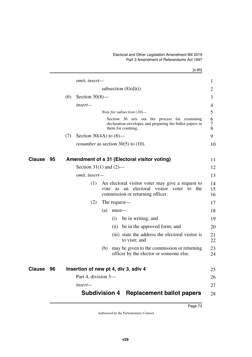## Electoral and Other Legislation Amendment Bill 2019 Part 3 Amendment of Referendums Act 1997

|               |    |     |                           |      |                                                                                                                                                                                                                               | [s 95]                                                                                                                          |                |
|---------------|----|-----|---------------------------|------|-------------------------------------------------------------------------------------------------------------------------------------------------------------------------------------------------------------------------------|---------------------------------------------------------------------------------------------------------------------------------|----------------|
|               |    |     | omit, insert-             |      |                                                                                                                                                                                                                               |                                                                                                                                 | $\mathbf{1}$   |
|               |    |     |                           |      |                                                                                                                                                                                                                               | subsection $(8)(d)(i)$                                                                                                          | 2              |
|               |    | (6) | Section $30(8)$ —         |      |                                                                                                                                                                                                                               |                                                                                                                                 | 3              |
|               |    |     | insert-                   |      |                                                                                                                                                                                                                               |                                                                                                                                 | 4              |
|               |    |     |                           |      |                                                                                                                                                                                                                               | Note for subsection $(10)$ —                                                                                                    | 5              |
|               |    |     |                           |      |                                                                                                                                                                                                                               | Section 36 sets out the process for examining<br>declaration envelopes and preparing the ballot papers in<br>them for counting. | 6<br>7<br>8    |
|               |    | (7) | Section 30(4A) to $(8)$ — |      |                                                                                                                                                                                                                               |                                                                                                                                 | 9              |
|               |    |     |                           |      |                                                                                                                                                                                                                               | <i>renumber</i> as section $30(5)$ to $(10)$ .                                                                                  | 10             |
| <b>Clause</b> | 95 |     |                           |      |                                                                                                                                                                                                                               | Amendment of s 31 (Electoral visitor voting)                                                                                    | 11             |
|               |    |     | Section 31(1) and $(2)$ — |      |                                                                                                                                                                                                                               |                                                                                                                                 | 12             |
|               |    |     | omit, insert-             |      |                                                                                                                                                                                                                               |                                                                                                                                 | 13             |
|               |    |     | (1)                       | vote | as and a set of the set of the set of the set of the set of the set of the set of the set of the set of the set of the set of the set of the set of the set of the set of the set of the set of the set of the set of the set | An electoral visitor voter may give a request to<br>an electoral visitor voter to the<br>commission or returning officer.       | 14<br>15<br>16 |
|               |    |     | (2)                       |      |                                                                                                                                                                                                                               | The request—                                                                                                                    | 17             |
|               |    |     |                           | (a)  | $must$ —                                                                                                                                                                                                                      |                                                                                                                                 | 18             |
|               |    |     |                           |      | (i)                                                                                                                                                                                                                           | be in writing; and                                                                                                              | 19             |
|               |    |     |                           |      | (ii)                                                                                                                                                                                                                          | be in the approved form; and                                                                                                    | 20             |
|               |    |     |                           |      |                                                                                                                                                                                                                               | (iii) state the address the electoral visitor is<br>to visit; and                                                               | 21<br>22       |
|               |    |     |                           | (b)  |                                                                                                                                                                                                                               | may be given to the commission or returning<br>officer by the elector or someone else.                                          | 23<br>24       |
| <b>Clause</b> | 96 |     |                           |      |                                                                                                                                                                                                                               | Insertion of new pt 4, div 3, sdiv 4                                                                                            | 25             |
|               |    |     | Part 4, division 3-       |      |                                                                                                                                                                                                                               |                                                                                                                                 | 26             |
|               |    |     | $insert-$                 |      |                                                                                                                                                                                                                               |                                                                                                                                 | 27             |
|               |    |     |                           |      |                                                                                                                                                                                                                               | <b>Subdivision 4 Replacement ballot papers</b>                                                                                  | 28             |
|               |    |     |                           |      |                                                                                                                                                                                                                               |                                                                                                                                 |                |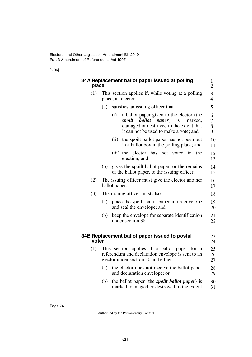## [s 96]

| place |                                    |                                                                          | 34A Replacement ballot paper issued at polling                                                                                                                            | $\mathbf{1}$<br>$\overline{c}$ |  |  |  |
|-------|------------------------------------|--------------------------------------------------------------------------|---------------------------------------------------------------------------------------------------------------------------------------------------------------------------|--------------------------------|--|--|--|
| (1)   |                                    | This section applies if, while voting at a polling<br>place, an elector- |                                                                                                                                                                           |                                |  |  |  |
|       | satisfies an issuing officer that— | 5                                                                        |                                                                                                                                                                           |                                |  |  |  |
|       |                                    | (i)                                                                      | a ballot paper given to the elector (the<br>spoilt<br>ballot paper)<br>is<br>marked,<br>damaged or destroyed to the extent that<br>it can not be used to make a vote; and | 6<br>$\overline{7}$<br>8<br>9  |  |  |  |
|       |                                    | (ii)                                                                     | the spoilt ballot paper has not been put<br>in a ballot box in the polling place; and                                                                                     | 10<br>11                       |  |  |  |
|       |                                    |                                                                          | (iii) the elector has<br>voted in<br>the<br>not<br>election; and                                                                                                          | 12<br>13                       |  |  |  |
|       | (b)                                |                                                                          | gives the spoilt ballot paper, or the remains<br>of the ballot paper, to the issuing officer.                                                                             | 14<br>15                       |  |  |  |
| (2)   |                                    | ballot paper.                                                            | The issuing officer must give the elector another                                                                                                                         | 16<br>17                       |  |  |  |
| (3)   |                                    |                                                                          | The issuing officer must also—                                                                                                                                            | 18                             |  |  |  |
|       | (a)                                |                                                                          | place the spoilt ballot paper in an envelope<br>and seal the envelope; and                                                                                                | 19<br>20                       |  |  |  |
|       | (b)                                |                                                                          | keep the envelope for separate identification<br>under section 38.                                                                                                        | 21<br>22                       |  |  |  |
| voter |                                    |                                                                          | 34B Replacement ballot paper issued to postal                                                                                                                             | 23<br>24                       |  |  |  |
| (1)   |                                    |                                                                          | This section applies if a ballot paper for a<br>referendum and declaration envelope is sent to an<br>elector under section 30 and either-                                 | 25<br>26<br>27                 |  |  |  |
|       | (a)                                |                                                                          | the elector does not receive the ballot paper<br>and declaration envelope; or                                                                                             | 28<br>29                       |  |  |  |
|       | (b)                                |                                                                          | the ballot paper (the <i>spoilt ballot paper</i> ) is<br>marked, damaged or destroyed to the extent                                                                       | 30<br>31                       |  |  |  |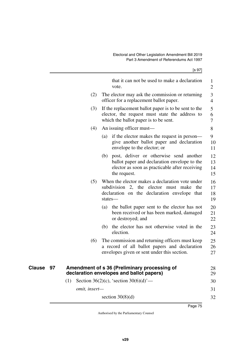[s 97]

|                     |               | that it can not be used to make a declaration<br>vote.                                                                                                           | 1<br>$\mathbf{2}$    |
|---------------------|---------------|------------------------------------------------------------------------------------------------------------------------------------------------------------------|----------------------|
|                     | (2)           | The elector may ask the commission or returning<br>officer for a replacement ballot paper.                                                                       | 3<br>$\overline{4}$  |
|                     | (3)           | If the replacement ballot paper is to be sent to the<br>elector, the request must state the address to<br>which the ballot paper is to be sent.                  | 5<br>6<br>7          |
|                     | (4)           | An issuing officer must—                                                                                                                                         | 8                    |
|                     |               | if the elector makes the request in person—<br>(a)<br>give another ballot paper and declaration<br>envelope to the elector; or                                   | 9<br>10<br>11        |
|                     |               | post, deliver or otherwise send another<br>(b)<br>ballot paper and declaration envelope to the<br>elector as soon as practicable after receiving<br>the request. | 12<br>13<br>14<br>15 |
|                     | (5)           | When the elector makes a declaration vote under<br>subdivision 2, the elector must make<br>the<br>declaration on the declaration envelope that<br>states-        | 16<br>17<br>18<br>19 |
|                     |               | the ballot paper sent to the elector has not<br>(a)<br>been received or has been marked, damaged<br>or destroyed; and                                            | 20<br>21<br>22       |
|                     |               | the elector has not otherwise voted in the<br>(b)<br>election.                                                                                                   | 23<br>24             |
|                     | (6)           | The commission and returning officers must keep<br>a record of all ballot papers and declaration<br>envelopes given or sent under this section.                  | 25<br>26<br>27       |
| <b>Clause</b><br>97 |               | Amendment of s 36 (Preliminary processing of<br>declaration envelopes and ballot papers)                                                                         | 28<br>29             |
|                     | (1)           | Section 36(2)(c), 'section $30(6)(d)$ '—                                                                                                                         | 30                   |
|                     | omit, insert- |                                                                                                                                                                  | 31                   |
|                     |               | section $30(8)(d)$                                                                                                                                               | 32                   |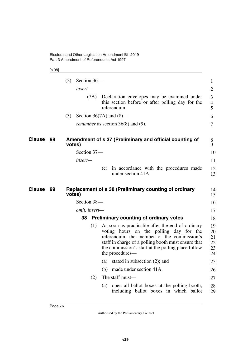[s 98]

| (2)<br>Section 36-<br>insert—                                                                                                                    |                                  |
|--------------------------------------------------------------------------------------------------------------------------------------------------|----------------------------------|
|                                                                                                                                                  | 1                                |
|                                                                                                                                                  | $\overline{2}$                   |
| Declaration envelopes may be examined under<br>(7A)<br>this section before or after polling day for the<br>referendum.                           | 3<br>$\overline{4}$<br>5         |
| Section $36(7A)$ and $(8)$ —<br>(3)                                                                                                              | 6                                |
| <i>renumber</i> as section $36(8)$ and (9).                                                                                                      | $\overline{7}$                   |
| <b>Clause</b><br>98<br>Amendment of s 37 (Preliminary and official counting of<br>votes)                                                         | 8<br>9                           |
| Section 37-                                                                                                                                      | 10                               |
| insert—                                                                                                                                          | 11                               |
| in accordance with the procedures made<br>(c)<br>under section 41A.                                                                              | 12<br>13                         |
| <b>Clause</b><br>99<br>Replacement of s 38 (Preliminary counting of ordinary<br>votes)                                                           | 14<br>15                         |
| Section 38-                                                                                                                                      | 16                               |
| omit, insert-                                                                                                                                    | 17                               |
| <b>Preliminary counting of ordinary votes</b><br>38                                                                                              | 18                               |
| As soon as practicable after the end of ordinary<br>(1)<br>voting hours on the polling day for the<br>referendum, the member of the commission's | 19<br>20<br>21<br>22<br>23<br>24 |
| staff in charge of a polling booth must ensure that<br>the commission's staff at the polling place follow<br>the procedures—                     |                                  |
| stated in subsection $(2)$ ; and<br>(a)                                                                                                          | 25                               |
| made under section 41A.<br>(b)                                                                                                                   | 26                               |
| The staff must-<br>(2)                                                                                                                           | 27                               |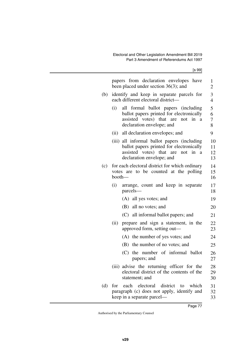[s 99]

|     | papers from declaration envelopes have<br>been placed under section $36(3)$ ; and                                                                                 | 1<br>2               |
|-----|-------------------------------------------------------------------------------------------------------------------------------------------------------------------|----------------------|
| (b) | identify and keep in separate parcels for<br>each different electoral district-                                                                                   | 3<br>$\overline{4}$  |
|     | all formal ballot papers (including<br>(i)<br>ballot papers printed for electronically<br>assisted votes) that are<br>in<br>not<br>a<br>declaration envelope; and | 5<br>6<br>7<br>8     |
|     | (ii) all declaration envelopes; and                                                                                                                               | 9                    |
|     | (iii) all informal ballot papers (including<br>ballot papers printed for electronically<br>assisted votes) that are<br>not in<br>a<br>declaration envelope; and   | 10<br>11<br>12<br>13 |
| (c) | for each electoral district for which ordinary<br>votes are to be counted at the polling<br>booth-                                                                | 14<br>15<br>16       |
|     | (i)<br>arrange, count and keep in separate<br>parcels-                                                                                                            | 17<br>18             |
|     | (A) all yes votes; and                                                                                                                                            | 19                   |
|     | (B) all no votes; and                                                                                                                                             | 20                   |
|     | (C) all informal ballot papers; and                                                                                                                               | 21                   |
|     | (ii)<br>prepare and sign a statement, in the<br>approved form, setting out-                                                                                       | 22<br>23             |
|     | (A) the number of yes votes; and                                                                                                                                  | 24                   |
|     | the number of no votes; and<br>(B)                                                                                                                                | 25                   |
|     | the number of informal ballot<br>(C)<br>papers; and                                                                                                               | 26<br>27             |
|     | (iii) advise the returning officer for the<br>electoral district of the contents of the<br>statement; and                                                         | 28<br>29<br>30       |
| (d) | district<br>for<br>each<br>electoral<br>which<br>to<br>paragraph (c) does not apply, identify and<br>keep in a separate parcel—                                   | 31<br>32<br>33       |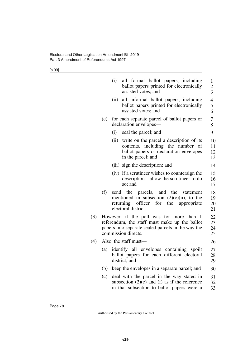[s 99]

|     |     | (i)<br>all formal ballot papers, including<br>ballot papers printed for electronically<br>assisted votes; and                                                              | $\mathbf{1}$<br>$\overline{c}$<br>3 |
|-----|-----|----------------------------------------------------------------------------------------------------------------------------------------------------------------------------|-------------------------------------|
|     |     | (ii)<br>all informal ballot papers, including<br>ballot papers printed for electronically<br>assisted votes; and                                                           | $\overline{\mathcal{A}}$<br>5<br>6  |
|     | (e) | for each separate parcel of ballot papers or<br>declaration envelopes—                                                                                                     | 7<br>8                              |
|     |     | (i)<br>seal the parcel; and                                                                                                                                                | 9                                   |
|     |     | (ii)<br>write on the parcel a description of its<br>contents, including the number of<br>ballot papers or declaration envelopes<br>in the parcel; and                      | 10<br>11<br>12<br>13                |
|     |     | (iii) sign the description; and                                                                                                                                            | 14                                  |
|     |     | (iv) if a scrutineer wishes to countersign the<br>description—allow the scrutineer to do<br>so; and                                                                        | 15<br>16<br>17                      |
|     | (f) | send the parcels, and the<br>statement<br>mentioned in subsection $(2)(c)(ii)$ , to the<br>officer<br>returning<br>for<br>the<br>appropriate<br>electoral district.        | 18<br>19<br>20<br>21                |
| (3) |     | However, if the poll was for more than<br>-1<br>referendum, the staff must make up the ballot<br>papers into separate sealed parcels in the way the<br>commission directs. | 22<br>23<br>24<br>25                |
| (4) |     | Also, the staff must—                                                                                                                                                      | 26                                  |
|     | (a) | identify all envelopes containing spoilt<br>ballot papers for each different electoral<br>district; and                                                                    | 27<br>28<br>29                      |
|     | (b) | keep the envelopes in a separate parcel; and                                                                                                                               | 30                                  |
|     | (c) | deal with the parcel in the way stated in<br>subsection $(2)(e)$ and $(f)$ as if the reference<br>in that subsection to ballot papers were a                               | 31<br>32<br>33                      |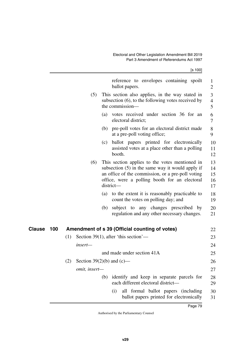|--|--|--|--|

|               |               | reference to envelopes containing spoilt<br>ballot papers.                                                                                                                                                              | $\mathbf{1}$<br>$\overline{2}$ |
|---------------|---------------|-------------------------------------------------------------------------------------------------------------------------------------------------------------------------------------------------------------------------|--------------------------------|
|               | (5)           | This section also applies, in the way stated in<br>subsection $(6)$ , to the following votes received by<br>the commission—                                                                                             | 3<br>4<br>5                    |
|               |               | (a) votes received under section 36 for an<br>electoral district;                                                                                                                                                       | 6<br>7                         |
|               |               | (b) pre-poll votes for an electoral district made<br>at a pre-poll voting office;                                                                                                                                       | $8\,$<br>9                     |
|               |               | ballot papers printed for electronically<br>(c)<br>assisted votes at a place other than a polling<br>booth.                                                                                                             | 10<br>11<br>12                 |
|               | (6)           | This section applies to the votes mentioned in<br>subsection $(5)$ in the same way it would apply if<br>an office of the commission, or a pre-poll voting<br>office, were a polling booth for an electoral<br>district- | 13<br>14<br>15<br>16<br>17     |
|               |               | to the extent it is reasonably practicable to<br>(a)<br>count the votes on polling day; and                                                                                                                             | 18<br>19                       |
|               |               | subject to any changes prescribed by<br>(b)<br>regulation and any other necessary changes.                                                                                                                              | 20<br>21                       |
| Clause<br>100 |               | Amendment of s 39 (Official counting of votes)                                                                                                                                                                          | 22                             |
|               | (1)           | Section 39(1), after 'this section'—                                                                                                                                                                                    | 23                             |
|               | insert—       |                                                                                                                                                                                                                         | 24                             |
|               |               | and made under section 41A                                                                                                                                                                                              | 25                             |
|               | (2)           | Section 39 $(2)(b)$ and $(c)$ —                                                                                                                                                                                         | 26                             |
|               | omit, insert- |                                                                                                                                                                                                                         | 27                             |
|               |               | identify and keep in separate parcels for<br>(b)<br>each different electoral district-                                                                                                                                  | 28<br>29                       |
|               |               | all formal ballot papers (including<br>(i)<br>ballot papers printed for electronically                                                                                                                                  | 30<br>31                       |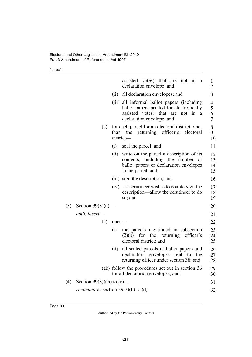[s 100]

|     |                                               |       | assisted votes) that are<br>not in a<br>declaration envelope; and                                                                                         | $\mathbf{1}$<br>$\overline{2}$ |
|-----|-----------------------------------------------|-------|-----------------------------------------------------------------------------------------------------------------------------------------------------------|--------------------------------|
|     |                                               | (ii)  | all declaration envelopes; and                                                                                                                            | 3                              |
|     |                                               |       | (iii) all informal ballot papers (including<br>ballot papers printed for electronically<br>assisted votes) that are not in a<br>declaration envelope; and | $\overline{4}$<br>5<br>6<br>7  |
|     | (c)                                           | than  | for each parcel for an electoral district other<br>the<br>returning<br>officer's<br>electoral<br>district-                                                | 8<br>9<br>10                   |
|     |                                               | (i)   | seal the parcel; and                                                                                                                                      | 11                             |
|     |                                               | (ii)  | write on the parcel a description of its<br>contents, including the number of<br>ballot papers or declaration envelopes<br>in the parcel; and             | 12<br>13<br>14<br>15           |
|     |                                               |       | (iii) sign the description; and                                                                                                                           | 16                             |
|     |                                               |       | (iv) if a scrutineer wishes to countersign the<br>description—allow the scrutineer to do<br>so; and                                                       | 17<br>18<br>19                 |
| (3) | Section $39(3)(a)$ —                          |       |                                                                                                                                                           | 20                             |
|     | omit, insert-                                 |       |                                                                                                                                                           | 21                             |
|     | (a)                                           | open- |                                                                                                                                                           | 22                             |
|     |                                               | (i)   | the parcels mentioned in subsection<br>officer's<br>(2)(b)<br>for<br>the<br>returning<br>electoral district; and                                          | 23<br>24<br>25                 |
|     |                                               | (ii)  | all sealed parcels of ballot papers and<br>declaration envelopes<br>sent to<br>the<br>returning officer under section 38; and                             | 26<br>27<br>28                 |
|     |                                               |       | (ab) follow the procedures set out in section 36<br>for all declaration envelopes; and                                                                    | 29<br>30                       |
| (4) | Section 39(3)(ab) to $(c)$ —                  |       |                                                                                                                                                           | 31                             |
|     | <i>renumber</i> as section $39(3)(b)$ to (d). |       |                                                                                                                                                           | 32                             |
|     |                                               |       |                                                                                                                                                           |                                |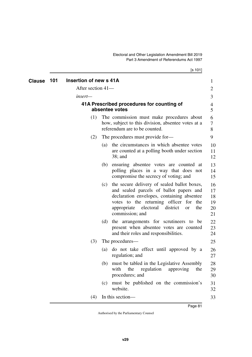| Clause | 101 | Insertion of new s 41A |     |                                                                                                                                                                                                                                                                  | 1                                |
|--------|-----|------------------------|-----|------------------------------------------------------------------------------------------------------------------------------------------------------------------------------------------------------------------------------------------------------------------|----------------------------------|
|        |     | After section 41-      |     |                                                                                                                                                                                                                                                                  | 2                                |
|        |     | <i>insert—</i>         |     |                                                                                                                                                                                                                                                                  | 3                                |
|        |     |                        |     | 41A Prescribed procedures for counting of<br>absentee votes                                                                                                                                                                                                      | 4<br>5                           |
|        |     | (1)                    |     | The commission must make procedures about<br>how, subject to this division, absentee votes at a<br>referendum are to be counted.                                                                                                                                 | 6<br>7<br>8                      |
|        |     | (2)                    |     | The procedures must provide for-                                                                                                                                                                                                                                 | 9                                |
|        |     |                        | (a) | the circumstances in which absentee votes<br>are counted at a polling booth under section<br>$38$ ; and                                                                                                                                                          | 10<br>11<br>12                   |
|        |     |                        | (b) | ensuring absentee votes are counted at<br>polling places in a way that does not<br>compromise the secrecy of voting; and                                                                                                                                         | 13<br>14<br>15                   |
|        |     |                        | (c) | the secure delivery of sealed ballot boxes,<br>and sealed parcels of ballot papers and<br>declaration envelopes, containing absentee<br>votes to the returning officer for<br>the<br>electoral<br>appropriate<br>district<br>the<br><b>or</b><br>commission; and | 16<br>17<br>18<br>19<br>20<br>21 |
|        |     |                        | (d) | the arrangements for scrutineers to be<br>present when absentee votes are counted<br>and their roles and responsibilities.                                                                                                                                       | 22<br>23<br>24                   |
|        |     | (3)                    |     | The procedures—                                                                                                                                                                                                                                                  | 25                               |
|        |     |                        |     | (a) do not take effect until approved by a<br>regulation; and                                                                                                                                                                                                    | 26<br>27                         |
|        |     |                        | (b) | must be tabled in the Legislative Assembly<br>with<br>the<br>regulation approving<br>the<br>procedures; and                                                                                                                                                      | 28<br>29<br>30                   |
|        |     |                        | (c) | must be published on the commission's<br>website.                                                                                                                                                                                                                | 31<br>32                         |
|        |     | (4)                    |     | In this section-                                                                                                                                                                                                                                                 | 33                               |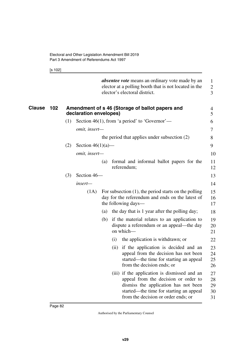[s 102]

|        |     |     |                        |     |      | <i>absentee vote</i> means an ordinary vote made by an<br>elector at a polling booth that is not located in the<br>elector's electoral district.                                                               | 1<br>$\mathfrak{2}$<br>3   |
|--------|-----|-----|------------------------|-----|------|----------------------------------------------------------------------------------------------------------------------------------------------------------------------------------------------------------------|----------------------------|
| Clause | 102 |     | declaration envelopes) |     |      | Amendment of s 46 (Storage of ballot papers and                                                                                                                                                                | 4<br>5                     |
|        |     | (1) |                        |     |      | Section 46(1), from 'a period' to 'Governor'—                                                                                                                                                                  | 6                          |
|        |     |     | omit, insert-          |     |      |                                                                                                                                                                                                                | 7                          |
|        |     |     |                        |     |      | the period that applies under subsection $(2)$                                                                                                                                                                 | 8                          |
|        |     | (2) | Section $46(1)(a)$ —   |     |      |                                                                                                                                                                                                                | 9                          |
|        |     |     | omit, insert-          |     |      |                                                                                                                                                                                                                | 10                         |
|        |     |     |                        | (a) |      | formal and informal ballot papers for the<br>referendum;                                                                                                                                                       | 11<br>12                   |
|        |     | (3) | Section 46-            |     |      |                                                                                                                                                                                                                | 13                         |
|        |     |     | insert-                |     |      |                                                                                                                                                                                                                | 14                         |
|        |     |     | (1A)                   |     |      | For subsection $(1)$ , the period starts on the polling<br>day for the referendum and ends on the latest of<br>the following days—                                                                             | 15<br>16<br>17             |
|        |     |     |                        | (a) |      | the day that is 1 year after the polling day;                                                                                                                                                                  | 18                         |
|        |     |     |                        |     |      | (b) if the material relates to an application to<br>dispute a referendum or an appeal—the day<br>on which-                                                                                                     | 19<br>20<br>21             |
|        |     |     |                        |     | (i)  | the application is withdrawn; or                                                                                                                                                                               | 22                         |
|        |     |     |                        |     | (ii) | if the application is decided and an<br>appeal from the decision has not been<br>started—the time for starting an appeal<br>from the decision ends; or                                                         | 23<br>24<br>25<br>26       |
|        |     |     |                        |     |      | (iii) if the application is dismissed and an<br>appeal from the decision or order to<br>dismiss the application has not been<br>started—the time for starting an appeal<br>from the decision or order ends; or | 27<br>28<br>29<br>30<br>31 |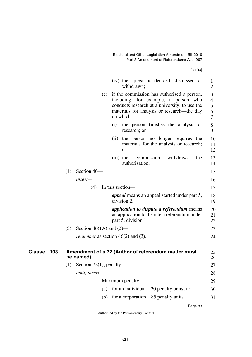[s 103]

|               |     |     |                                             |     | (iv) the appeal is decided, dismissed or<br>withdrawn;                                                                                                                                             | $\bf{l}$<br>$\overline{2}$         |
|---------------|-----|-----|---------------------------------------------|-----|----------------------------------------------------------------------------------------------------------------------------------------------------------------------------------------------------|------------------------------------|
|               |     |     |                                             |     | (c) if the commission has authorised a person,<br>including, for example, a person who<br>conducts research at a university, to use the<br>materials for analysis or research—the day<br>on which- | 3<br>$\overline{4}$<br>5<br>6<br>7 |
|               |     |     |                                             | (i) | the person finishes the analysis or<br>research; or                                                                                                                                                | 8<br>9                             |
|               |     |     |                                             |     | (ii) the person no longer requires the<br>materials for the analysis or research;<br><b>or</b>                                                                                                     | 10<br>11<br>12                     |
|               |     |     |                                             |     | withdraws<br>the<br>$(iii)$ the<br>commission<br>authorisation.                                                                                                                                    | 13<br>14                           |
|               |     | (4) | Section 46-                                 |     |                                                                                                                                                                                                    | 15                                 |
|               |     |     | insert—                                     |     |                                                                                                                                                                                                    | 16                                 |
|               |     |     | (4)                                         |     | In this section—                                                                                                                                                                                   | 17                                 |
|               |     |     |                                             |     | <i>appeal</i> means an appeal started under part 5,<br>division 2.                                                                                                                                 | 18<br>19                           |
|               |     |     |                                             |     | <i>application to dispute a referendum</i> means<br>an application to dispute a referendum under<br>part 5, division 1.                                                                            | 20<br>21<br>22                     |
|               |     | (5) | Section 46(1A) and $(2)$ —                  |     |                                                                                                                                                                                                    | 23                                 |
|               |     |     | <i>renumber</i> as section $46(2)$ and (3). |     |                                                                                                                                                                                                    | 24                                 |
| <b>Clause</b> | 103 |     | be named)                                   |     | Amendment of s 72 (Author of referendum matter must                                                                                                                                                | 25<br>26                           |
|               |     |     | $(1)$ Section 72(1), penalty-               |     |                                                                                                                                                                                                    | 27                                 |
|               |     |     | omit, insert-                               |     |                                                                                                                                                                                                    | 28                                 |
|               |     |     |                                             |     | Maximum penalty-                                                                                                                                                                                   | 29                                 |
|               |     |     | (a)                                         |     | for an individual—20 penalty units; or                                                                                                                                                             | 30                                 |
|               |     |     | (b)                                         |     | for a corporation—85 penalty units.                                                                                                                                                                | 31                                 |
|               |     |     |                                             |     |                                                                                                                                                                                                    |                                    |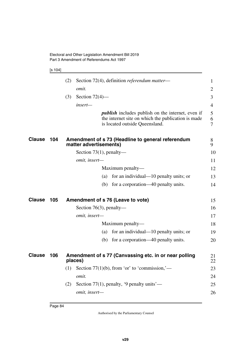## [s 104]

|               |     | (2) | Section 72(4), definition referendum matter-                                                                                                     | $\mathbf{1}$   |
|---------------|-----|-----|--------------------------------------------------------------------------------------------------------------------------------------------------|----------------|
|               |     |     | omit.                                                                                                                                            | 2              |
|               |     | (3) | Section $72(4)$ —                                                                                                                                | 3              |
|               |     |     | insert-                                                                                                                                          | $\overline{4}$ |
|               |     |     | <i>publish</i> includes publish on the internet, even if<br>the internet site on which the publication is made<br>is located outside Queensland. | 5<br>6<br>7    |
| <b>Clause</b> | 104 |     | Amendment of s 73 (Headline to general referendum<br>matter advertisements)                                                                      | 8<br>9         |
|               |     |     | Section $73(1)$ , penalty—                                                                                                                       | 10             |
|               |     |     | omit, insert-                                                                                                                                    | 11             |
|               |     |     | Maximum penalty—                                                                                                                                 | 12             |
|               |     |     | for an individual—10 penalty units; or<br>(a)                                                                                                    | 13             |
|               |     |     | (b)<br>for a corporation—40 penalty units.                                                                                                       | 14             |
| <b>Clause</b> | 105 |     | Amendment of s 76 (Leave to vote)                                                                                                                | 15             |
|               |     |     | Section 76(3), penalty—                                                                                                                          | 16             |
|               |     |     | omit, insert-                                                                                                                                    | 17             |
|               |     |     | Maximum penalty—                                                                                                                                 | 18             |
|               |     |     | for an individual—10 penalty units; or<br>(a)                                                                                                    | 19             |
|               |     |     | for a corporation—40 penalty units.<br>(b)                                                                                                       | 20             |
| <b>Clause</b> | 106 |     | Amendment of s 77 (Canvassing etc. in or near polling<br>places)                                                                                 | 21<br>22       |
|               |     | (1) | Section $77(1)(b)$ , from 'or' to 'commission,'—                                                                                                 | 23             |
|               |     |     | omit.                                                                                                                                            | 24             |
|               |     | (2) | Section 77(1), penalty, '9 penalty units'—                                                                                                       | 25             |
|               |     |     | omit, insert-                                                                                                                                    | 26             |
|               |     |     |                                                                                                                                                  |                |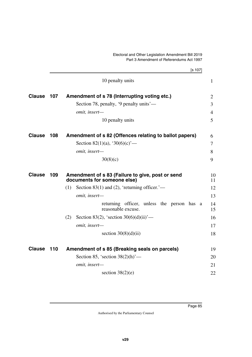|               |     | [s 107]                                                                         |                |  |  |  |
|---------------|-----|---------------------------------------------------------------------------------|----------------|--|--|--|
|               |     | 10 penalty units                                                                | $\mathbf{1}$   |  |  |  |
| <b>Clause</b> | 107 | Amendment of s 78 (Interrupting voting etc.)                                    | $\overline{2}$ |  |  |  |
|               |     | Section 78, penalty, '9 penalty units'—                                         | $\overline{3}$ |  |  |  |
|               |     | omit, insert-                                                                   | $\overline{4}$ |  |  |  |
|               |     | 10 penalty units                                                                | 5              |  |  |  |
| <b>Clause</b> | 108 | Amendment of s 82 (Offences relating to ballot papers)                          | 6              |  |  |  |
|               |     | Section 82(1)(a), '30(6)(c)'—                                                   | 7              |  |  |  |
|               |     | omit, insert-                                                                   | 8              |  |  |  |
|               |     | 30(8)(c)                                                                        | 9              |  |  |  |
| <b>Clause</b> | 109 | Amendment of s 83 (Failure to give, post or send<br>documents for someone else) |                |  |  |  |
|               |     | Section 83(1) and (2), 'returning officer.' $-$<br>(1)                          | 12             |  |  |  |
|               |     | omit, insert-                                                                   | 13             |  |  |  |
|               |     | returning officer, unless the person has a<br>reasonable excuse.                | 14<br>15       |  |  |  |
|               |     | Section 83(2), 'section 30(6)(d)(ii)'—<br>(2)                                   | 16             |  |  |  |
|               |     | omit, insert-                                                                   | 17             |  |  |  |
|               |     | section $30(8)(d)(ii)$                                                          | 18             |  |  |  |
| <b>Clause</b> | 110 | Amendment of s 85 (Breaking seals on parcels)                                   | 19             |  |  |  |
|               |     | Section 85, 'section $38(2)(h)$ '—                                              | 20             |  |  |  |
|               |     | omit, insert-                                                                   | 21             |  |  |  |
|               |     | section $38(2)(e)$                                                              | 22             |  |  |  |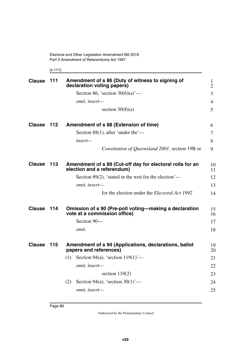[s 111]

| <b>Clause</b> | 111 | Amendment of s 86 (Duty of witness to signing of<br>declaration voting papers)          | 1<br>$\overline{2}$ |
|---------------|-----|-----------------------------------------------------------------------------------------|---------------------|
|               |     | Section 86, 'section $30(6)(a)$ '—                                                      | 3                   |
|               |     | omit, insert-                                                                           | 4                   |
|               |     | section $30(8)(a)$                                                                      | 5                   |
| <b>Clause</b> | 112 | Amendment of s 88 (Extension of time)                                                   | 6                   |
|               |     | Section 88(1), after 'under the'—                                                       | 7                   |
|               |     | insert—                                                                                 | 8                   |
|               |     | Constitution of Queensland 2001, section 19B or                                         | 9                   |
| <b>Clause</b> | 113 | Amendment of s 89 (Cut-off day for electoral rolls for an<br>election and a referendum) | 10<br>11            |
|               |     | Section 89(2), 'stated in the writ for the election'—                                   | 12                  |
|               |     | omit, insert-                                                                           | 13                  |
|               |     | for the election under the <i>Electoral Act 1992</i>                                    | 14                  |
| <b>Clause</b> | 114 | Omission of s 90 (Pre-poll voting—making a declaration<br>vote at a commission office)  | 15<br>16            |
|               |     | Section 90-                                                                             | 17                  |
|               |     | omit.                                                                                   | 18                  |
| <b>Clause</b> | 115 | Amendment of s 94 (Applications, declarations, ballot<br>papers and references)         | 19<br>20            |
|               |     | Section 94(a), 'section $119(1)$ '—<br>(1)                                              | 21                  |
|               |     | omit, insert-                                                                           | 22                  |
|               |     | section $119(2)$                                                                        | 23                  |
|               |     | Section 94(a), 'section $30(1)$ '—<br>(2)                                               | 24                  |
|               |     | omit, insert-                                                                           | 25                  |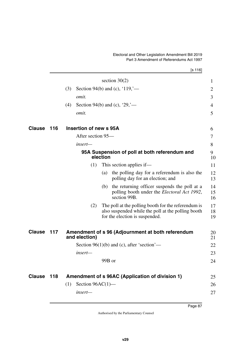$[s 116]$ 

|               |     | section $30(2)$                                                                                                                                    | $\mathbf{1}$   |
|---------------|-----|----------------------------------------------------------------------------------------------------------------------------------------------------|----------------|
|               |     | Section 94(b) and (c), '119,'—<br>(3)                                                                                                              | 2              |
|               |     | <i>omit.</i>                                                                                                                                       | 3              |
|               |     | Section 94(b) and (c), '29,'—<br>(4)                                                                                                               | 4              |
|               |     | omit.                                                                                                                                              | 5              |
| <b>Clause</b> | 116 | Insertion of new s 95A                                                                                                                             | 6              |
|               |     | After section 95—                                                                                                                                  | 7              |
|               |     | $insert-$                                                                                                                                          | 8              |
|               |     | 95A Suspension of poll at both referendum and<br>election                                                                                          | 9<br>10        |
|               |     | This section applies if—<br>(1)                                                                                                                    | 11             |
|               |     | the polling day for a referendum is also the<br>(a)<br>polling day for an election; and                                                            | 12<br>13       |
|               |     | the returning officer suspends the poll at a<br>(b)<br>polling booth under the <i>Electoral Act 1992</i> ,<br>section 99B.                         | 14<br>15<br>16 |
|               |     | The poll at the polling booth for the referendum is<br>(2)<br>also suspended while the poll at the polling booth<br>for the election is suspended. | 17<br>18<br>19 |
| Clause        | 117 | Amendment of s 96 (Adjournment at both referendum<br>and election)                                                                                 | 20<br>21       |
|               |     | Section $96(1)(b)$ and (c), after 'section'—                                                                                                       | 22             |
|               |     | $insert-$                                                                                                                                          | 23             |
|               |     | 99B or                                                                                                                                             | 24             |
| Clause        | 118 | Amendment of s 96AC (Application of division 1)                                                                                                    | 25             |
|               |     | Section $96AC(1)$ —<br>(1)                                                                                                                         | 26             |
|               |     | insert-                                                                                                                                            | 27             |
|               |     |                                                                                                                                                    |                |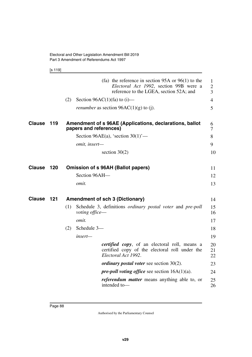[s 119]

|               |     |     |                                | (fa) the reference in section $95A$ or $96(1)$ to the<br>Electoral Act 1992, section 99B were a<br>reference to the LGEA, section 52A; and | $\mathbf{1}$<br>$\overline{2}$<br>3 |
|---------------|-----|-----|--------------------------------|--------------------------------------------------------------------------------------------------------------------------------------------|-------------------------------------|
|               |     | (2) | Section 96AC(1)(fa) to $(i)$ — |                                                                                                                                            | 4                                   |
|               |     |     |                                | <i>renumber</i> as section $96AC(1)(g)$ to (j).                                                                                            | 5                                   |
| <b>Clause</b> | 119 |     | papers and references)         | Amendment of s 96AE (Applications, declarations, ballot                                                                                    | 6<br>7                              |
|               |     |     |                                | Section 96AE(a), 'section $30(1)$ '—                                                                                                       | 8                                   |
|               |     |     | omit, insert-                  |                                                                                                                                            | 9                                   |
|               |     |     |                                | section $30(2)$                                                                                                                            | 10                                  |
| <b>Clause</b> | 120 |     |                                | <b>Omission of s 96AH (Ballot papers)</b>                                                                                                  | 11                                  |
|               |     |     | Section 96AH-                  |                                                                                                                                            | 12                                  |
|               |     |     | omit.                          |                                                                                                                                            | 13                                  |
| <b>Clause</b> | 121 |     |                                | <b>Amendment of sch 3 (Dictionary)</b>                                                                                                     | 14                                  |
|               |     | (1) | voting office-                 | Schedule 3, definitions <i>ordinary postal voter</i> and <i>pre-poll</i>                                                                   | 15<br>16                            |
|               |     |     | omit.                          |                                                                                                                                            | 17                                  |
|               |     | (2) | Schedule 3-                    |                                                                                                                                            | 18                                  |
|               |     |     | insert-                        |                                                                                                                                            | 19                                  |
|               |     |     |                                | <i>certified copy</i> , of an electoral roll, means a<br>certified copy of the electoral roll under the<br>Electoral Act 1992.             | 20<br>21<br>22                      |
|               |     |     |                                | <i>ordinary postal voter see section 30(2).</i>                                                                                            | 23                                  |
|               |     |     |                                | <i>pre-poll voting office</i> see section $16A(1)(a)$ .                                                                                    | 24                                  |
|               |     |     |                                | <i>referendum matter</i> means anything able to, or<br>intended to-                                                                        | 25<br>26                            |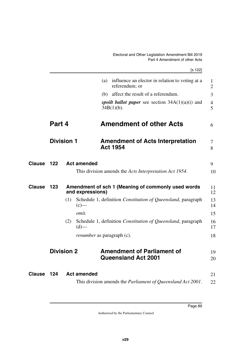|               |                   |     |                    | [s 122]                                                                  |                     |
|---------------|-------------------|-----|--------------------|--------------------------------------------------------------------------|---------------------|
|               |                   |     |                    | influence an elector in relation to voting at a<br>(a)<br>referendum; or | 1<br>$\overline{2}$ |
|               |                   |     |                    | (b) affect the result of a referendum.                                   | 3                   |
|               |                   |     |                    | spoilt ballot paper see section $34A(1)(a)(i)$ and<br>$34B(1)(b)$ .      | $\overline{4}$<br>5 |
|               | Part 4            |     |                    | <b>Amendment of other Acts</b>                                           | 6                   |
|               | <b>Division 1</b> |     |                    | <b>Amendment of Acts Interpretation</b><br><b>Act 1954</b>               | 7<br>8              |
| <b>Clause</b> | 122               |     | <b>Act amended</b> |                                                                          | 9                   |
|               |                   |     |                    | This division amends the Acts Interpretation Act 1954.                   | 10                  |
| <b>Clause</b> | 123               |     | and expressions)   | Amendment of sch 1 (Meaning of commonly used words                       | 11<br>12            |
|               |                   | (1) | $(c)$ —            | Schedule 1, definition Constitution of Queensland, paragraph             | 13<br>14            |
|               |                   |     | omit.              |                                                                          | 15                  |
|               |                   | (2) | $(d)$ —            | Schedule 1, definition Constitution of Queensland, paragraph             | 16<br>17            |
|               |                   |     |                    | <i>renumber</i> as paragraph (c).                                        | 18                  |
|               | <b>Division 2</b> |     |                    | <b>Amendment of Parliament of</b><br><b>Queensland Act 2001</b>          | 19<br>20            |
| Clause        | 124               |     | <b>Act amended</b> |                                                                          | 21                  |
|               |                   |     |                    | This division amends the Parliament of Queensland Act 2001.              | 22                  |